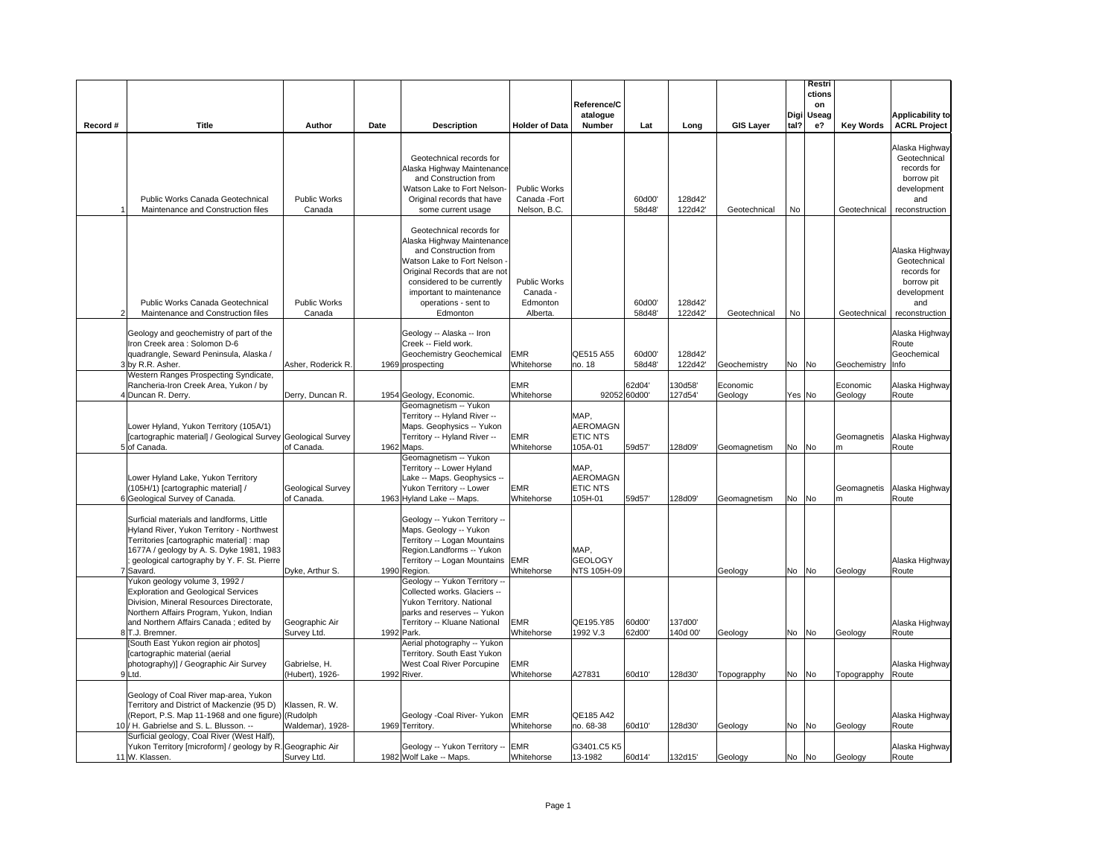|          |                                                                                                                                                                                                                                            |                                    |      |                                                                                                                                                                                                                                              |                                                      | Reference/C<br>atalogue                        |                        |                     |                     |       | Restri<br>ctions<br>on<br>Digi Useag |                     | <b>Applicability to</b>                                                                             |
|----------|--------------------------------------------------------------------------------------------------------------------------------------------------------------------------------------------------------------------------------------------|------------------------------------|------|----------------------------------------------------------------------------------------------------------------------------------------------------------------------------------------------------------------------------------------------|------------------------------------------------------|------------------------------------------------|------------------------|---------------------|---------------------|-------|--------------------------------------|---------------------|-----------------------------------------------------------------------------------------------------|
| Record # | Title                                                                                                                                                                                                                                      | Author                             | Date | <b>Description</b>                                                                                                                                                                                                                           | <b>Holder of Data</b>                                | Number                                         | Lat                    | Long                | <b>GIS Layer</b>    | tal?  | $e$ ?                                | <b>Key Words</b>    | <b>ACRL Project</b>                                                                                 |
|          | Public Works Canada Geotechnical<br>Maintenance and Construction files                                                                                                                                                                     | <b>Public Works</b><br>Canada      |      | Geotechnical records for<br>Alaska Highway Maintenance<br>and Construction from<br>Watson Lake to Fort Nelson-<br>Original records that have<br>some current usage                                                                           | <b>Public Works</b><br>Canada - Fort<br>Nelson, B.C. |                                                | 60d00'<br>58d48        | 128d42<br>122d42    | Geotechnical        | No    |                                      | Geotechnical        | Alaska Highway<br>Geotechnical<br>records for<br>borrow pit<br>development<br>and<br>reconstruction |
|          | Public Works Canada Geotechnical<br>Maintenance and Construction files                                                                                                                                                                     | <b>Public Works</b><br>Canada      |      | Geotechnical records for<br>Alaska Highway Maintenance<br>and Construction from<br>Watson Lake to Fort Nelson<br>Original Records that are not<br>considered to be currently<br>important to maintenance<br>operations - sent to<br>Edmonton | Public Works<br>Canada -<br>Edmonton<br>Alberta.     |                                                | 60d00'<br>58d48'       | 128d42<br>122d42'   | Geotechnical        | No    |                                      | Geotechnical        | Alaska Highway<br>Geotechnical<br>records for<br>borrow pit<br>development<br>and<br>reconstruction |
|          | Geology and geochemistry of part of the<br>Iron Creek area : Solomon D-6<br>quadrangle, Seward Peninsula, Alaska /<br>3 by R.R. Asher.                                                                                                     | Asher, Roderick R.                 |      | Geology -- Alaska -- Iron<br>Creek -- Field work.<br>Geochemistry Geochemical<br>1969 prospecting                                                                                                                                            | EMR<br>Whitehorse                                    | QE515 A55<br>no. 18                            | 60d00'<br>58d48        | 128d42<br>122d42    | Geochemistry        | No No |                                      | Geochemistry        | Alaska Highway<br>Route<br>Geochemical<br>Info                                                      |
|          | Western Ranges Prospecting Syndicate,<br>Rancheria-Iron Creek Area, Yukon / by<br>4 Duncan R. Derry.                                                                                                                                       | Derry, Duncan R.                   |      | 1954 Geology, Economic.                                                                                                                                                                                                                      | <b>EMR</b><br>Whitehorse                             |                                                | 62d04'<br>92052 60d00' | 130d58'<br>127d54'  | Economic<br>Geology |       | Yes No                               | Economic<br>Geology | Alaska Highway<br>Route                                                                             |
|          | Lower Hyland, Yukon Territory (105A/1)<br>[cartographic material] / Geological Survey Geological Survey<br>5 of Canada.                                                                                                                    | of Canada.                         |      | Geomagnetism -- Yukon<br>Territory -- Hyland River --<br>Maps. Geophysics -- Yukon<br>Territory -- Hyland River --<br>1962 Maps.                                                                                                             | <b>EMR</b><br>Whitehorse                             | MAP.<br><b>AEROMAGN</b><br>ETIC NTS<br>105A-01 | 59d57'                 | 128d09'             | Geomagnetism        | No No |                                      | Geomagnetis<br>m    | Alaska Highway<br>Route                                                                             |
|          | Lower Hyland Lake, Yukon Territory<br>(105H/1) [cartographic material] /<br>6 Geological Survey of Canada.                                                                                                                                 | Geological Survey<br>of Canada.    |      | Geomagnetism -- Yukon<br>Territory -- Lower Hyland<br>Lake -- Maps. Geophysics --<br>Yukon Territory -- Lower<br>1963 Hyland Lake -- Maps.                                                                                                   | <b>EMR</b><br>Whitehorse                             | MAP,<br>AEROMAGN<br>ETIC NTS<br>105H-01        | 59d57'                 | 128d09'             | Geomagnetism        | No No |                                      | Geomagnetis<br>m    | Alaska Highway<br>Route                                                                             |
|          | Surficial materials and landforms, Little<br>Hyland River, Yukon Territory - Northwest<br>Territories [cartographic material] : map<br>1677A / geology by A. S. Dyke 1981, 1983<br>geological cartography by Y. F. St. Pierre<br>7 Savard. | Dyke, Arthur S.                    |      | Geology -- Yukon Territory --<br>Maps. Geology -- Yukon<br>Territory -- Logan Mountains<br>Region.Landforms -- Yukon<br>Territory -- Logan Mountains<br>1990 Region.                                                                         | <b>EMR</b><br>Whitehorse                             | MAP,<br><b>GEOLOGY</b><br>NTS 105H-09          |                        |                     |                     | No No |                                      | Geology             | Alaska Highway<br>Route                                                                             |
|          | Yukon geology volume 3, 1992 /<br><b>Exploration and Geological Services</b><br>Division, Mineral Resources Directorate,<br>Northern Affairs Program, Yukon, Indian<br>and Northern Affairs Canada ; edited by<br>8 T.J. Bremner.          | Geographic Air<br>Survey Ltd.      |      | Geology -- Yukon Territory --<br>Collected works. Glaciers --<br>Yukon Territory. National<br>parks and reserves -- Yukon<br>Territory -- Kluane National<br>1992 Park.                                                                      | EMR<br>Whitehorse                                    | QE195.Y85<br>1992 V.3                          | 60d00'<br>62d00'       | 137d00'<br>140d 00' | Geology<br>Geology  | No No |                                      | Geology             | Alaska Highway<br>Route                                                                             |
|          | [South East Yukon region air photos]<br>[cartographic material (aerial<br>photography)] / Geographic Air Survey<br>9Ltd.                                                                                                                   | Gabrielse, H.<br>(Hubert), 1926-   |      | Aerial photography -- Yukon<br>Territory. South East Yukon<br>West Coal River Porcupine<br>1992 River.                                                                                                                                       | EMR<br>Whitehorse                                    | A27831                                         | 60d10'                 | 128d30'             | Topograpphy         | No No |                                      | Topograpphy         | Alaska Highway<br>Route                                                                             |
|          | Geology of Coal River map-area, Yukon<br>Territory and District of Mackenzie (95 D)<br>(Report, P.S. Map 11-1968 and one figure) (Rudolph<br>10 / H. Gabrielse and S. L. Blusson. --                                                       | Klassen, R. W.<br>Waldemar), 1928- |      | Geology -Coal River- Yukon<br>1969 Territory.                                                                                                                                                                                                | <b>EMR</b><br>Whitehorse                             | QE185 A42<br>no. 68-38                         | 60d10'                 | 128d30'             | Geology             | No No |                                      | Geology             | Alaska Highway<br>Route                                                                             |
|          | Surficial geology, Coal River (West Half),<br>Yukon Territory [microform] / geology by R. Geographic Air<br>11 W. Klassen.                                                                                                                 | Survey Ltd.                        |      | Geology -- Yukon Territory --<br>1982 Wolf Lake -- Maps.                                                                                                                                                                                     | <b>EMR</b><br>Whitehorse                             | G3401.C5 K5<br>13-1982                         | 60d14'                 | 132d15'             | Geology             | No No |                                      | Geology             | Alaska Highway<br>Route                                                                             |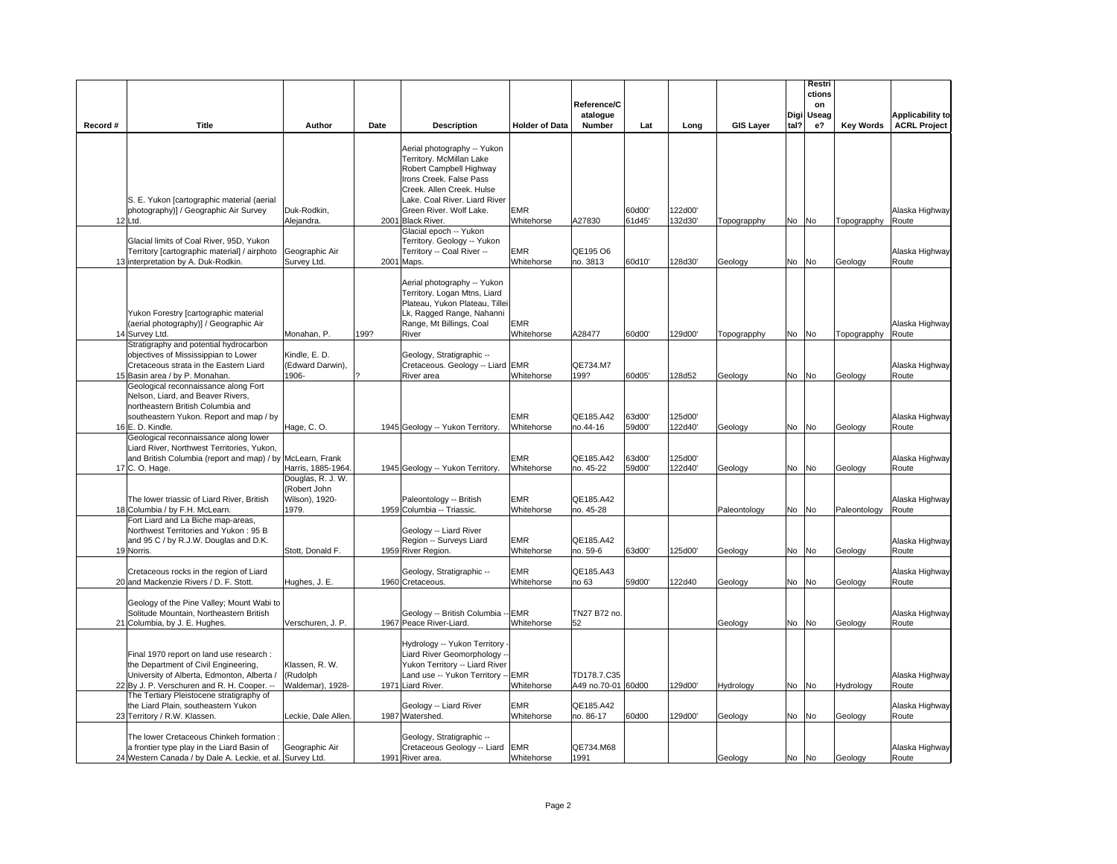|          |                                                                                                                                                                               |                                                              |      |                                                                                                                                                                                                                                                       |                          |                                   |                  |                    |                  |      | Restri       |                  |                         |
|----------|-------------------------------------------------------------------------------------------------------------------------------------------------------------------------------|--------------------------------------------------------------|------|-------------------------------------------------------------------------------------------------------------------------------------------------------------------------------------------------------------------------------------------------------|--------------------------|-----------------------------------|------------------|--------------------|------------------|------|--------------|------------------|-------------------------|
|          |                                                                                                                                                                               |                                                              |      |                                                                                                                                                                                                                                                       |                          | Reference/C                       |                  |                    |                  |      | ctions<br>on |                  |                         |
|          |                                                                                                                                                                               |                                                              |      |                                                                                                                                                                                                                                                       |                          | atalogue                          |                  |                    |                  | Digi | Useag        |                  | Applicability to        |
| Record # | Title                                                                                                                                                                         | Author                                                       | Date | <b>Description</b>                                                                                                                                                                                                                                    | <b>Holder of Data</b>    | Number                            | Lat              | Long               | <b>GIS Layer</b> | tal? | e?           | <b>Key Words</b> | <b>ACRL Project</b>     |
|          | S. E. Yukon [cartographic material (aerial<br>photography)] / Geographic Air Survey<br>12 Ltd.                                                                                | Duk-Rodkin,<br>Alejandra.                                    |      | Aerial photography -- Yukon<br>Territory. McMillan Lake<br>Robert Campbell Highway<br>Irons Creek. False Pass<br>Creek. Allen Creek. Hulse<br>Lake. Coal River. Liard River<br>Green River. Wolf Lake.<br>2001 Black River.<br>Glacial epoch -- Yukon | <b>EMR</b><br>Whitehorse | A27830                            | 60d00'<br>61d45' | 122d00'<br>132d30' | Topograpphy      |      | No No        | Topograpphy      | Alaska Highway<br>Route |
|          | Glacial limits of Coal River, 95D, Yukon<br>Territory [cartographic material] / airphoto<br>13 interpretation by A. Duk-Rodkin.                                               | Geographic Air<br>Survey Ltd.                                |      | Territory. Geology -- Yukon<br>Territory -- Coal River --<br>2001 Maps.                                                                                                                                                                               | <b>EMR</b><br>Whitehorse | QE195 O6<br>no. 3813              | 60d10'           | 128d30'            | Geology          |      | No No        | Geology          | Alaska Highway<br>Route |
|          | Yukon Forestry [cartographic material<br>(aerial photography)] / Geographic Air<br>14 Survey Ltd.                                                                             | Monahan, P.                                                  | 199? | Aerial photography -- Yukon<br>Territory. Logan Mtns, Liard<br>Plateau, Yukon Plateau, Tillei<br>Lk, Ragged Range, Nahanni<br>Range, Mt Billings, Coal<br>River                                                                                       | <b>EMR</b><br>Whitehorse | A28477                            | 60d00'           | 129d00'            | Topograpphy      |      | No No        | Topograpphy      | Alaska Highway<br>Route |
|          | Stratigraphy and potential hydrocarbon<br>objectives of Mississippian to Lower<br>Cretaceous strata in the Eastern Liard<br>15 Basin area / by P. Monahan.                    | Kindle, E. D.<br>(Edward Darwin),<br>1906-                   |      | Geology, Stratigraphic --<br>Cretaceous. Geology -- Liard EMR<br>River area                                                                                                                                                                           | Whitehorse               | QE734.M7<br>199?                  | 60d05'           | 128d52             | Geology          |      | No No        | Geology          | Alaska Highway<br>Route |
|          | Geological reconnaissance along Fort<br>Nelson, Liard, and Beaver Rivers,<br>northeastern British Columbia and<br>southeastern Yukon. Report and map / by                     |                                                              |      |                                                                                                                                                                                                                                                       | <b>EMR</b>               | QE185.A42                         | 63d00'           | 125d00'            |                  |      |              |                  | Alaska Highway          |
|          | 16 E. D. Kindle.<br>Geological reconnaissance along lower<br>Liard River, Northwest Territories, Yukon,                                                                       | Hage, C.O.                                                   |      | 1945 Geology -- Yukon Territory.                                                                                                                                                                                                                      | Whitehorse               | no.44-16                          | 59d00'           | 122d40'            | Geology          |      | No No        | Geology          | Route                   |
|          | and British Columbia (report and map) / by McLearn, Frank<br>17 C. O. Hage.                                                                                                   | Harris, 1885-1964                                            |      | 1945 Geology -- Yukon Territory.                                                                                                                                                                                                                      | <b>EMR</b><br>Whitehorse | QE185.A42<br>no. 45-22            | 63d00'<br>59d00' | 125d00'<br>122d40' | Geology          | No   | No           | Geology          | Alaska Highway<br>Route |
|          | The lower triassic of Liard River, British<br>18 Columbia / by F.H. McLearn.                                                                                                  | Douglas, R. J. W.<br>(Robert John<br>Wilson), 1920-<br>1979. |      | Paleontology -- British<br>1959 Columbia -- Triassic.                                                                                                                                                                                                 | <b>EMR</b><br>Whitehorse | QE185.A42<br>no. 45-28            |                  |                    | Paleontology     |      | No No        | Paleontology     | Alaska Highway<br>Route |
|          | Fort Liard and La Biche map-areas,<br>Northwest Territories and Yukon: 95 B<br>and 95 C / by R.J.W. Douglas and D.K.<br>19 Norris.                                            | Stott, Donald F.                                             |      | Geology -- Liard River<br>Region -- Surveys Liard<br>1959 River Region.                                                                                                                                                                               | <b>EMR</b><br>Whitehorse | QE185.A42<br>no. 59-6             | 63d00'           | 125d00'            | Geology          | No   | No           | Geology          | Alaska Highway<br>Route |
|          | Cretaceous rocks in the region of Liard<br>20 and Mackenzie Rivers / D. F. Stott.                                                                                             | Hughes, J. E.                                                |      | Geology, Stratigraphic --<br>1960 Cretaceous.                                                                                                                                                                                                         | <b>EMR</b><br>Whitehorse | QE185.A43<br>no 63                | 59d00'           | 122d40             | Geology          |      | No No        | Geology          | Alaska Highway<br>Route |
|          | Geology of the Pine Valley; Mount Wabi to<br>Solitude Mountain, Northeastern British<br>21 Columbia, by J. E. Hughes.                                                         | Verschuren, J. P.                                            |      | Geology -- British Columbia -<br>1967 Peace River-Liard.                                                                                                                                                                                              | <b>EMR</b><br>Whitehorse | TN27 B72 no.<br>52                |                  |                    | Geology          |      | No No        | Geology          | Alaska Highway<br>Route |
|          | Final 1970 report on land use research :<br>the Department of Civil Engineering,<br>University of Alberta, Edmonton, Alberta /<br>22 By J. P. Verschuren and R. H. Cooper. -- | Klassen, R. W.<br>(Rudolph<br>Waldemar), 1928-               |      | Hydrology -- Yukon Territory<br>Liard River Geomorphology<br>Yukon Territory -- Liard River<br>Land use -- Yukon Territory -<br>1971 Liard River.                                                                                                     | <b>EMR</b><br>Whitehorse | TD178.7.C35<br>A49 no.70-01 60d00 |                  | 129d00'            | Hydrology        |      | No No        | Hydrology        | Alaska Highway<br>Route |
|          | The Tertiary Pleistocene stratigraphy of<br>the Liard Plain, southeastern Yukon<br>23 Territory / R.W. Klassen.                                                               | Leckie, Dale Allen.                                          |      | Geology -- Liard River<br>1987 Watershed.                                                                                                                                                                                                             | <b>EMR</b><br>Whitehorse | QE185.A42<br>no. 86-17            | 60d00            | 129d00'            | Geology          | No   | No           | Geology          | Alaska Highway<br>Route |
|          | The lower Cretaceous Chinkeh formation:<br>a frontier type play in the Liard Basin of<br>24 Western Canada / by Dale A. Leckie, et al. Survey Ltd.                            | Geographic Air                                               |      | Geology, Stratigraphic --<br>Cretaceous Geology -- Liard<br>1991 River area.                                                                                                                                                                          | <b>EMR</b><br>Whitehorse | QE734.M68<br>1991                 |                  |                    | Geology          |      | No No        | Geology          | Alaska Highway<br>Route |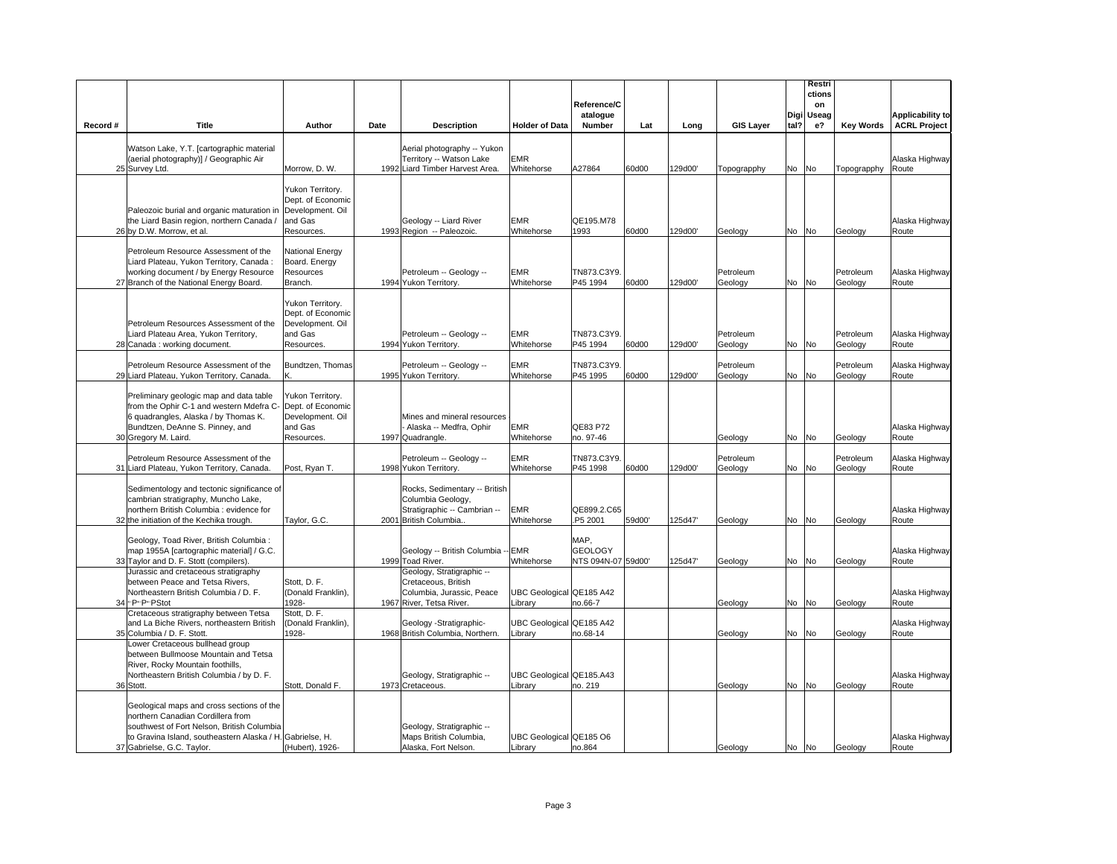|          |                                                                                                                                                                                                                         |                                                                                    |      |                                                                                                             |                                     | Reference/C<br>atalogue                      |        |         |                      | Digi  | Restri<br>ctions<br>on<br>Useag |                      | <b>Applicability to</b> |
|----------|-------------------------------------------------------------------------------------------------------------------------------------------------------------------------------------------------------------------------|------------------------------------------------------------------------------------|------|-------------------------------------------------------------------------------------------------------------|-------------------------------------|----------------------------------------------|--------|---------|----------------------|-------|---------------------------------|----------------------|-------------------------|
| Record # | Title                                                                                                                                                                                                                   | Author                                                                             | Date | <b>Description</b>                                                                                          | <b>Holder of Data</b>               | Number                                       | Lat    | Long    | <b>GIS Layer</b>     | tal?  | e?                              | <b>Key Words</b>     | <b>ACRL Project</b>     |
|          | Watson Lake, Y.T. [cartographic material<br>(aerial photography)] / Geographic Air<br>25 Survey Ltd.                                                                                                                    | Morrow, D. W.                                                                      |      | Aerial photography -- Yukon<br>Territory -- Watson Lake<br>1992 Liard Timber Harvest Area.                  | EMR<br>Whitehorse                   | A27864                                       | 60d00  | 129d00' | Topograpphy          | No No |                                 | Topograpphy          | Alaska Highway<br>Route |
|          |                                                                                                                                                                                                                         |                                                                                    |      |                                                                                                             |                                     |                                              |        |         |                      |       |                                 |                      |                         |
|          | Paleozoic burial and organic maturation in Development. Oil<br>the Liard Basin region, northern Canada /<br>26 by D.W. Morrow, et al.                                                                                   | Yukon Territory.<br>Dept. of Economic<br>and Gas<br>Resources.                     |      | Geology -- Liard River<br>1993 Region -- Paleozoic.                                                         | <b>EMR</b><br>Whitehorse            | QE195.M78<br>1993                            | 60d00  | 129d00' | Geology              | No No |                                 | Geology              | Alaska Highway<br>Route |
|          | Petroleum Resource Assessment of the<br>Liard Plateau, Yukon Territory, Canada:<br>working document / by Energy Resource                                                                                                | National Energy<br>Board. Energy<br>Resources                                      |      | Petroleum -- Geology --                                                                                     | <b>EMR</b>                          | TN873.C3Y9.                                  |        |         | Petroleum            |       |                                 | Petroleum            | Alaska Highway          |
|          | 27 Branch of the National Energy Board.                                                                                                                                                                                 | Branch.                                                                            |      | 1994 Yukon Territory.                                                                                       | Whitehorse                          | P45 1994                                     | 60d00  | 129d00' | Geology              | No No |                                 | Geology              | Route                   |
|          | Petroleum Resources Assessment of the<br>Liard Plateau Area, Yukon Territory,<br>28 Canada: working document.                                                                                                           | Yukon Territory.<br>Dept. of Economic<br>Development. Oil<br>and Gas<br>Resources. |      | Petroleum -- Geology --<br>1994 Yukon Territory.                                                            | EMR<br>Whitehorse                   | TN873.C3Y9.<br>P45 1994                      | 60d00  | 129d00' | Petroleum<br>Geology | No No |                                 | Petroleum<br>Geology | Alaska Highway<br>Route |
|          | Petroleum Resource Assessment of the                                                                                                                                                                                    | Bundtzen, Thomas                                                                   |      | Petroleum -- Geology --                                                                                     | <b>EMR</b>                          | TN873.C3Y9.                                  |        |         | Petroleum            |       |                                 | Petroleum            | Alaska Highway          |
|          | 29 Liard Plateau, Yukon Territory, Canada.                                                                                                                                                                              |                                                                                    |      | 1995 Yukon Territory.                                                                                       | Whitehorse                          | P45 1995                                     | 60d00  | 129d00' | Geology              | No No |                                 | Geology              | Route                   |
|          | Preliminary geologic map and data table<br>from the Ophir C-1 and western Mdefra C-<br>6 quadrangles, Alaska / by Thomas K.<br>Bundtzen, DeAnne S. Pinney, and<br>30 Gregory M. Laird.                                  | Yukon Territory.<br>Dept. of Economic<br>Development. Oil<br>and Gas<br>Resources. |      | Mines and mineral resources<br>Alaska -- Medfra, Ophir<br>1997 Quadrangle.                                  | <b>EMR</b><br>Whitehorse            | QE83 P72<br>no. 97-46                        |        |         | Geology              | No No |                                 | Geology              | Alaska Highway<br>Route |
|          | Petroleum Resource Assessment of the<br>31 Liard Plateau, Yukon Territory, Canada.                                                                                                                                      | Post, Ryan T.                                                                      |      | Petroleum -- Geology --<br>1998 Yukon Territory.                                                            | <b>EMR</b><br>Whitehorse            | TN873.C3Y9.<br>P45 1998                      | 60d00  | 129d00' | Petroleum<br>Geology | No No |                                 | Petroleum<br>Geology | Alaska Highway<br>Route |
|          | Sedimentology and tectonic significance of<br>cambrian stratigraphy, Muncho Lake,<br>northern British Columbia : evidence for<br>32 the initiation of the Kechika trough.                                               | Taylor, G.C.                                                                       |      | Rocks, Sedimentary -- British<br>Columbia Geology,<br>Stratigraphic -- Cambrian --<br>2001 British Columbia | EMR<br>Whitehorse                   | QE899.2.C65<br>P5 2001                       | 59d00' | 125d47' | Geology              | No No |                                 | Geology              | Alaska Highway<br>Route |
|          |                                                                                                                                                                                                                         |                                                                                    |      |                                                                                                             |                                     |                                              |        |         |                      |       |                                 |                      |                         |
|          | Geology, Toad River, British Columbia :<br>map 1955A [cartographic material] / G.C.<br>33 Taylor and D. F. Stott (compilers).                                                                                           |                                                                                    |      | Geology -- British Columbia -- EMR<br>1999 Toad River.                                                      | Whitehorse                          | MAP.<br><b>GEOLOGY</b><br>NTS 094N-07 59d00' |        | 125d47' | Geology              | No No |                                 | Geology              | Alaska Highway<br>Route |
|          | Jurassic and cretaceous stratigraphy<br>between Peace and Tetsa Rivers,<br>Northeastern British Columbia / D. F.                                                                                                        | Stott, D. F.<br>(Donald Franklin).                                                 |      | Geology, Stratigraphic --<br>Cretaceous, British<br>Columbia, Jurassic, Peace                               | UBC Geological QE185 A42            |                                              |        |         |                      |       |                                 |                      | Alaska Highway          |
|          | 34 - P-P-PStot                                                                                                                                                                                                          | 1928-                                                                              |      | 1967 River, Tetsa River.                                                                                    | Library                             | no.66-7                                      |        |         | Geology              | No No |                                 | Geology              | Route                   |
|          | Cretaceous stratigraphy between Tetsa<br>and La Biche Rivers, northeastern British                                                                                                                                      | Stott, D. F.<br>(Donald Franklin),                                                 |      | Geology -Stratigraphic-                                                                                     | UBC Geological QE185 A42            |                                              |        |         |                      |       |                                 |                      | Alaska Highway          |
|          | 35 Columbia / D. F. Stott.<br>Lower Cretaceous bullhead group<br>between Bullmoose Mountain and Tetsa<br>River, Rocky Mountain foothills,<br>Northeastern British Columbia / by D. F.                                   | 1928-                                                                              |      | 1968 British Columbia, Northern.<br>Geology, Stratigraphic --                                               | Library<br>UBC Geological QE185.A43 | no.68-14                                     |        |         | Geology              | No No |                                 | Geology              | Route<br>Alaska Highway |
|          | 36 Stott.                                                                                                                                                                                                               | Stott, Donald F.                                                                   |      | 1973 Cretaceous.                                                                                            | Library                             | no. 219                                      |        |         | Geology              | No No |                                 | Geology              | Route                   |
|          | Geological maps and cross sections of the<br>northern Canadian Cordillera from<br>southwest of Fort Nelson, British Columbia<br>to Gravina Island, southeastern Alaska / H. Gabrielse, H.<br>37 Gabrielse, G.C. Taylor. | (Hubert), 1926-                                                                    |      | Geology, Stratigraphic --<br>Maps British Columbia,<br>Alaska, Fort Nelson.                                 | UBC Geological QE185 O6<br>Library  | no.864                                       |        |         | Geology              | No No |                                 | Geology              | Alaska Highway<br>Route |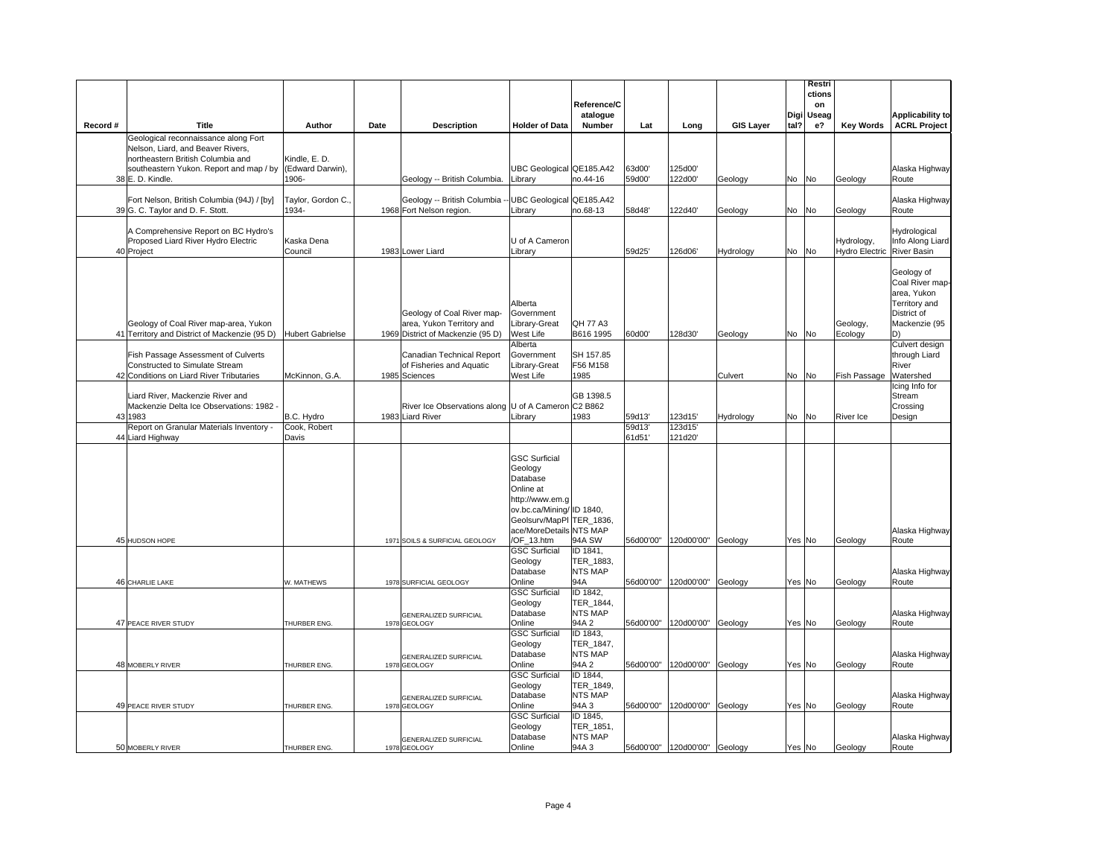|          |                                                                             |                         |      |                                                     |                                    |                         |           |                              |                  |      | Restri<br>ctions |                       |                                  |
|----------|-----------------------------------------------------------------------------|-------------------------|------|-----------------------------------------------------|------------------------------------|-------------------------|-----------|------------------------------|------------------|------|------------------|-----------------------|----------------------------------|
|          |                                                                             |                         |      |                                                     |                                    | Reference/C             |           |                              |                  |      | on               |                       |                                  |
|          | Title                                                                       |                         |      |                                                     |                                    | atalogue                |           |                              |                  | Digi | Useag            |                       | <b>Applicability to</b>          |
| Record # | Geological reconnaissance along Fort                                        | Author                  | Date | <b>Description</b>                                  | <b>Holder of Data</b>              | <b>Number</b>           | Lat       | Long                         | <b>GIS Layer</b> | tal? | e <sub>2</sub>   | <b>Key Words</b>      | <b>ACRL Project</b>              |
|          | Nelson, Liard, and Beaver Rivers,                                           |                         |      |                                                     |                                    |                         |           |                              |                  |      |                  |                       |                                  |
|          | northeastern British Columbia and                                           | Kindle, E. D.           |      |                                                     |                                    |                         |           |                              |                  |      |                  |                       |                                  |
|          | southeastern Yukon. Report and map / by                                     | (Edward Darwin),        |      |                                                     | UBC Geological QE185.A42           |                         | 63d00'    | 125d00'                      |                  |      |                  |                       | Alaska Highway                   |
|          | 38 E. D. Kindle.                                                            | 1906-                   |      | Geology -- British Columbia.                        | Library                            | no.44-16                | 59d00'    | 122d00'                      | Geology          | No   | No               | Geology               | Route                            |
|          | Fort Nelson, British Columbia (94J) / [by]                                  | Taylor, Gordon C.,      |      | Geology -- British Columbia                         | UBC Geological QE185.A42           |                         |           |                              |                  |      |                  |                       | Alaska Highway                   |
|          | 39 G. C. Taylor and D. F. Stott.                                            | 1934-                   |      | 1968 Fort Nelson region.                            | Library                            | no.68-13                | 58d48'    | 122d40'                      | Geology          |      | No No            | Geology               | Route                            |
|          |                                                                             |                         |      |                                                     |                                    |                         |           |                              |                  |      |                  |                       |                                  |
|          | A Comprehensive Report on BC Hydro's<br>Proposed Liard River Hydro Electric | Kaska Dena              |      |                                                     | U of A Cameron                     |                         |           |                              |                  |      |                  | Hydrology,            | Hydrological<br>Info Along Liard |
|          | 40 Project                                                                  | Council                 |      | 1983 Lower Liard                                    | Library                            |                         | 59d25'    | 126d06'                      | Hydrology        |      | No No            | <b>Hydro Electric</b> | <b>River Basin</b>               |
|          |                                                                             |                         |      |                                                     |                                    |                         |           |                              |                  |      |                  |                       |                                  |
|          |                                                                             |                         |      |                                                     |                                    |                         |           |                              |                  |      |                  |                       | Geology of                       |
|          |                                                                             |                         |      |                                                     |                                    |                         |           |                              |                  |      |                  |                       | Coal River map-<br>area, Yukon   |
|          |                                                                             |                         |      |                                                     | Alberta                            |                         |           |                              |                  |      |                  |                       | Territory and                    |
|          |                                                                             |                         |      | Geology of Coal River map-                          | Government                         |                         |           |                              |                  |      |                  |                       | District of                      |
|          | Geology of Coal River map-area, Yukon                                       |                         |      | area, Yukon Territory and                           | Library-Great                      | <b>QH 77 A3</b>         |           |                              |                  |      |                  | Geology,              | Mackenzie (95                    |
|          | 41 Territory and District of Mackenzie (95 D)                               | <b>Hubert Gabrielse</b> |      | 1969 District of Mackenzie (95 D)                   | West Life<br>Alberta               | B616 1995               | 60d00'    | 128d30'                      | Geology          | No   | No               | Ecology               | D)<br>Culvert design             |
|          | Fish Passage Assessment of Culverts                                         |                         |      | Canadian Technical Report                           | Government                         | SH 157.85               |           |                              |                  |      |                  |                       | through Liard                    |
|          | Constructed to Simulate Stream                                              |                         |      | of Fisheries and Aquatic                            | Library-Great                      | F56 M158                |           |                              |                  |      |                  |                       | River                            |
|          | 42 Conditions on Liard River Tributaries                                    | McKinnon, G.A.          |      | 1985 Sciences                                       | West Life                          | 1985                    |           |                              | Culvert          |      | No No            | Fish Passage          | Watershed                        |
|          | Liard River, Mackenzie River and                                            |                         |      |                                                     |                                    | GB 1398.5               |           |                              |                  |      |                  |                       | Icing Info for<br>Stream         |
|          | Mackenzie Delta Ice Observations: 1982 -                                    |                         |      | River Ice Observations along U of A Cameron C2 B862 |                                    |                         |           |                              |                  |      |                  |                       | Crossing                         |
|          | 43 1983                                                                     | B.C. Hydro              |      | 1983 Liard River                                    | Library                            | 1983                    | 59d13'    | 123d15'                      | Hydrology        |      | No No            | River Ice             | Design                           |
|          | Report on Granular Materials Inventory -                                    | Cook, Robert            |      |                                                     |                                    |                         | 59d13'    | 123d15'                      |                  |      |                  |                       |                                  |
|          | 44 Liard Highway                                                            | Davis                   |      |                                                     |                                    |                         | 61d51'    | 121d20'                      |                  |      |                  |                       |                                  |
|          |                                                                             |                         |      |                                                     | <b>GSC Surficial</b>               |                         |           |                              |                  |      |                  |                       |                                  |
|          |                                                                             |                         |      |                                                     | Geology                            |                         |           |                              |                  |      |                  |                       |                                  |
|          |                                                                             |                         |      |                                                     | Database                           |                         |           |                              |                  |      |                  |                       |                                  |
|          |                                                                             |                         |      |                                                     | Online at<br>http://www.em.g       |                         |           |                              |                  |      |                  |                       |                                  |
|          |                                                                             |                         |      |                                                     | ov.bc.ca/Mining/ ID 1840,          |                         |           |                              |                  |      |                  |                       |                                  |
|          |                                                                             |                         |      |                                                     | Geolsurv/MapPI TER 1836,           |                         |           |                              |                  |      |                  |                       |                                  |
|          |                                                                             |                         |      |                                                     | ace/MoreDetails NTS MAP            |                         |           |                              |                  |      |                  |                       | Alaska Highway                   |
|          | 45 HUDSON HOPE                                                              |                         |      | 1971 SOILS & SURFICIAL GEOLOGY                      | /OF_13.htm<br><b>GSC Surficial</b> | 94A SW<br>ID 1841,      | 56d00'00" | 120d00'00"                   | Geology          |      | Yes No           | Geology               | Route                            |
|          |                                                                             |                         |      |                                                     | Geology                            | TER_1883,               |           |                              |                  |      |                  |                       |                                  |
|          |                                                                             |                         |      |                                                     | Database                           | <b>NTS MAP</b>          |           |                              |                  |      |                  |                       | Alaska Highway                   |
|          | 46 CHARLIE LAKE                                                             | W. MATHEWS              |      | 1978 SURFICIAL GEOLOGY                              | Online                             | 94A                     | 56d00'00" | 120d00'00"                   | Geology          |      | Yes No           | Geology               | Route                            |
|          |                                                                             |                         |      |                                                     | <b>GSC Surficial</b><br>Geology    | ID 1842,<br>TER 1844,   |           |                              |                  |      |                  |                       |                                  |
|          |                                                                             |                         |      | GENERALIZED SURFICIAL                               | Database                           | <b>NTS MAP</b>          |           |                              |                  |      |                  |                       | Alaska Highway                   |
|          | 47 PEACE RIVER STUDY                                                        | THURBER ENG             |      | 1978 GEOLOGY                                        | Online                             | 94A 2                   | 56d00'00" | 120d00'00"                   | Geology          |      | Yes No           | Geology               | Route                            |
|          |                                                                             |                         |      |                                                     | <b>GSC Surficial</b>               | ID 1843,                |           |                              |                  |      |                  |                       |                                  |
|          |                                                                             |                         |      |                                                     | Geology<br>Database                | TER_1847,<br>NTS MAP    |           |                              |                  |      |                  |                       | Alaska Highway                   |
|          | 48 MOBERLY RIVER                                                            | THURBER ENG             |      | GENERALIZED SURFICIAL<br>1978 GEOLOGY               | Online                             | 94A 2                   | 56d00'00" | 120d00'00"                   | Geology          |      | Yes No           | Geology               | Route                            |
|          |                                                                             |                         |      |                                                     | <b>GSC Surficial</b>               | ID 1844,                |           |                              |                  |      |                  |                       |                                  |
|          |                                                                             |                         |      |                                                     | Geology                            | TER_1849,               |           |                              |                  |      |                  |                       |                                  |
|          | 49 PEACE RIVER STUDY                                                        | THURBER ENG.            |      | <b>GENERALIZED SURFICIAL</b><br>1978 GEOLOGY        | Database<br>Online                 | <b>NTS MAP</b><br>94A 3 | 56d00'00" | 120d00'00"                   | Geology          |      | Yes No           | Geology               | Alaska Highway<br>Route          |
|          |                                                                             |                         |      |                                                     | <b>GSC Surficial</b>               | ID 1845,                |           |                              |                  |      |                  |                       |                                  |
|          |                                                                             |                         |      |                                                     | Geology                            | TER_1851,               |           |                              |                  |      |                  |                       |                                  |
|          |                                                                             |                         |      | <b>GENERALIZED SURFICIAL</b>                        | Database                           | <b>NTS MAP</b>          |           |                              |                  |      |                  |                       | Alaska Highway                   |
|          | 50 MOBERLY RIVER                                                            | THURBER ENG.            |      | 1978 GEOLOGY                                        | Online                             | 94A 3                   |           | 56d00'00" 120d00'00" Geology |                  |      | Yes No           | Geology               | Route                            |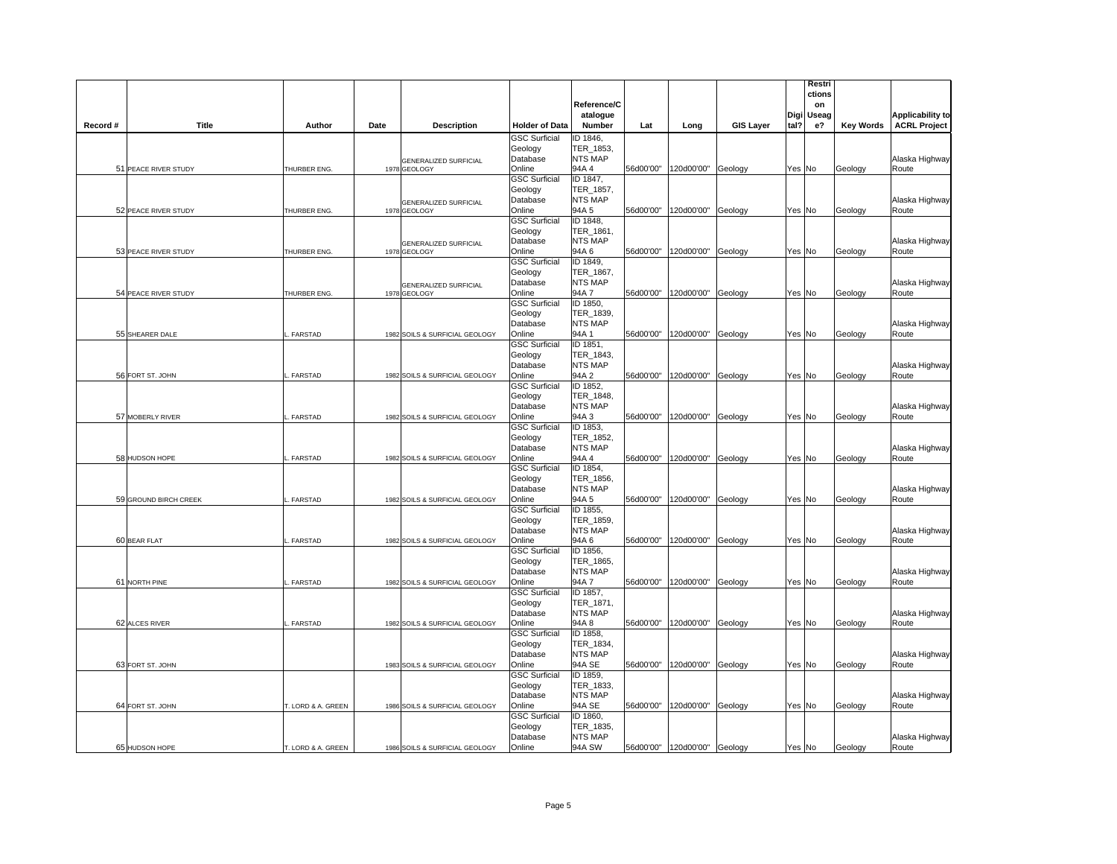|                       |                    |      |                                              |                                 | Reference/C                 |           |                                |                  |        | Restri<br>ctions<br>on |                  |                                                |
|-----------------------|--------------------|------|----------------------------------------------|---------------------------------|-----------------------------|-----------|--------------------------------|------------------|--------|------------------------|------------------|------------------------------------------------|
| Title<br>Record #     | Author             | Date | <b>Description</b>                           | <b>Holder of Data</b>           | atalogue<br>Number          | Lat       | Long                           | <b>GIS Layer</b> | tal?   | Digi Useag<br>e?       | <b>Key Words</b> | <b>Applicability to</b><br><b>ACRL Project</b> |
|                       |                    |      |                                              | <b>GSC Surficial</b>            | ID 1846,                    |           |                                |                  |        |                        |                  |                                                |
|                       |                    |      |                                              | Geology<br>Database             | TER_1853,<br><b>NTS MAP</b> |           |                                |                  |        |                        |                  | Alaska Highway                                 |
| 51 PEACE RIVER STUDY  | THURBER ENG.       |      | GENERALIZED SURFICIAL<br>1978 GEOLOGY        | Online                          | 94A 4                       |           | 56d00'00" 120d00'00" Geology   |                  |        | Yes No                 | Geology          | Route                                          |
|                       |                    |      |                                              | <b>GSC Surficial</b>            | ID 1847,                    |           |                                |                  |        |                        |                  |                                                |
|                       |                    |      |                                              | Geology                         | TER_1857,                   |           |                                |                  |        |                        |                  |                                                |
|                       |                    |      | <b>GENERALIZED SURFICIAL</b>                 | Database                        | <b>NTS MAP</b><br>94A 5     |           |                                |                  |        |                        |                  | Alaska Highway                                 |
| 52 PEACE RIVER STUDY  | THURBER ENG.       |      | 1978 GEOLOGY                                 | Online<br><b>GSC Surficial</b>  | ID 1848,                    |           | 56d00'00" 120d00'00"           | Geology          |        | Yes No                 | Geology          | Route                                          |
|                       |                    |      |                                              | Geology                         | TER_1861,                   |           |                                |                  |        |                        |                  |                                                |
|                       |                    |      | <b>GENERALIZED SURFICIAL</b>                 | Database                        | <b>NTS MAP</b>              |           |                                |                  |        |                        |                  | Alaska Highway                                 |
| 53 PEACE RIVER STUDY  | THURBER ENG.       |      | 1978 GEOLOGY                                 | Online                          | 94A6                        | 56d00'00" | 120d00'00"                     | Geology          |        | Yes No                 | Geology          | Route                                          |
|                       |                    |      |                                              | <b>GSC Surficial</b>            | ID 1849,                    |           |                                |                  |        |                        |                  |                                                |
|                       |                    |      |                                              | Geology<br>Database             | TER 1867,<br><b>NTS MAP</b> |           |                                |                  |        |                        |                  |                                                |
| 54 PEACE RIVER STUDY  | THURBER ENG.       |      | <b>GENERALIZED SURFICIAL</b><br>1978 GEOLOGY | Online                          | 94A 7                       |           | 56d00'00" 120d00'00" Geology   |                  | Yes No |                        | Geology          | Alaska Highway<br>Route                        |
|                       |                    |      |                                              | <b>GSC Surficial</b>            | ID 1850,                    |           |                                |                  |        |                        |                  |                                                |
|                       |                    |      |                                              | Geology                         | TER_1839,                   |           |                                |                  |        |                        |                  |                                                |
|                       |                    |      |                                              | Database                        | <b>NTS MAP</b>              |           |                                |                  |        |                        |                  | Alaska Highway                                 |
| 55 SHEARER DALE       | FARSTAD            |      | 1982 SOILS & SURFICIAL GEOLOGY               | Online                          | 94A 1                       | 56d00'00" | 120d00'00"                     | Geology          | Yes No |                        | Geology          | Route                                          |
|                       |                    |      |                                              | <b>GSC Surficial</b><br>Geology | ID 1851,<br>TER_1843,       |           |                                |                  |        |                        |                  |                                                |
|                       |                    |      |                                              | Database                        | <b>NTS MAP</b>              |           |                                |                  |        |                        |                  | Alaska Highway                                 |
| 56 FORT ST. JOHN      | FARSTAD            |      | 1982 SOILS & SURFICIAL GEOLOGY               | Online                          | 94A 2                       |           | 56d00'00" 120d00'00" Geology   |                  |        | Yes No                 | Geology          | Route                                          |
|                       |                    |      |                                              | <b>GSC Surficial</b>            | ID 1852,                    |           |                                |                  |        |                        |                  |                                                |
|                       |                    |      |                                              | Geology                         | TER_1848,                   |           |                                |                  |        |                        |                  |                                                |
| 57 MOBERLY RIVER      | FARSTAD            |      | 1982 SOILS & SURFICIAL GEOLOGY               | Database<br>Online              | <b>NTS MAP</b><br>94A 3     |           | 56d00'00" 120d00'00" Geology   |                  | Yes No |                        |                  | Alaska Highway<br>Route                        |
|                       |                    |      |                                              | <b>GSC Surficial</b>            | ID 1853,                    |           |                                |                  |        |                        | Geology          |                                                |
|                       |                    |      |                                              | Geology                         | TER 1852,                   |           |                                |                  |        |                        |                  |                                                |
|                       |                    |      |                                              | Database                        | <b>NTS MAP</b>              |           |                                |                  |        |                        |                  | Alaska Highway                                 |
| 58 HUDSON HOPE        | FARSTAD            |      | 1982 SOILS & SURFICIAL GEOLOGY               | Online                          | 94A 4                       |           | 56d00'00"   120d00'00" Geology |                  |        | Yes No                 | Geology          | Route                                          |
|                       |                    |      |                                              | <b>GSC Surficial</b>            | ID 1854,<br>TER 1856,       |           |                                |                  |        |                        |                  |                                                |
|                       |                    |      |                                              | Geology<br>Database             | <b>NTS MAP</b>              |           |                                |                  |        |                        |                  | Alaska Highway                                 |
| 59 GROUND BIRCH CREEK | . FARSTAD          |      | 1982 SOILS & SURFICIAL GEOLOGY               | Online                          | 94A 5                       |           | 56d00'00" 120d00'00" Geology   |                  | Yes No |                        | Geology          | Route                                          |
|                       |                    |      |                                              | <b>GSC Surficial</b>            | ID 1855,                    |           |                                |                  |        |                        |                  |                                                |
|                       |                    |      |                                              | Geology                         | TER 1859.                   |           |                                |                  |        |                        |                  |                                                |
| 60 BEAR FLAT          | FARSTAD            |      |                                              | Database<br>Online              | <b>NTS MAP</b><br>94A6      |           | 56d00'00" 120d00'00" Geology   |                  | Yes No |                        |                  | Alaska Highway<br>Route                        |
|                       |                    |      | 1982 SOILS & SURFICIAL GEOLOGY               | <b>GSC Surficial</b>            | ID 1856,                    |           |                                |                  |        |                        | Geology          |                                                |
|                       |                    |      |                                              | Geology                         | TER_1865,                   |           |                                |                  |        |                        |                  |                                                |
|                       |                    |      |                                              | Database                        | <b>NTS MAP</b>              |           |                                |                  |        |                        |                  | Alaska Highway                                 |
| 61 NORTH PINE         | FARSTAD            |      | 1982 SOILS & SURFICIAL GEOLOGY               | Online                          | 94A7                        |           | 56d00'00" 120d00'00" Geology   |                  | Yes No |                        | Geology          | Route                                          |
|                       |                    |      |                                              | <b>GSC Surficial</b>            | ID 1857,<br>TER 1871,       |           |                                |                  |        |                        |                  |                                                |
|                       |                    |      |                                              | Geology<br>Database             | <b>NTS MAP</b>              |           |                                |                  |        |                        |                  | Alaska Highway                                 |
| 62 ALCES RIVER        | FARSTAD            |      | 1982 SOILS & SURFICIAL GEOLOGY               | Online                          | 94A 8                       | 56d00'00" | 120d00'00" Geology             |                  |        | Yes No                 | Geology          | Route                                          |
|                       |                    |      |                                              | <b>GSC Surficial</b>            | ID 1858,                    |           |                                |                  |        |                        |                  |                                                |
|                       |                    |      |                                              | Geology                         | TER_1834,                   |           |                                |                  |        |                        |                  |                                                |
|                       |                    |      |                                              | Database                        | <b>NTS MAP</b>              |           |                                |                  |        |                        |                  | Alaska Highway                                 |
| 63 FORT ST. JOHN      |                    |      | 1983 SOILS & SURFICIAL GEOLOGY               | Online<br><b>GSC Surficial</b>  | 94A SE<br>ID 1859,          |           | 56d00'00" 120d00'00" Geology   |                  |        | Yes No                 | Geology          | Route                                          |
|                       |                    |      |                                              | Geology                         | TER_1833,                   |           |                                |                  |        |                        |                  |                                                |
|                       |                    |      |                                              | Database                        | <b>NTS MAP</b>              |           |                                |                  |        |                        |                  | Alaska Highway                                 |
| 64 FORT ST. JOHN      | T. LORD & A. GREEN |      | 1986 SOILS & SURFICIAL GEOLOGY               | Online                          | 94A SE                      |           | 56d00'00" 120d00'00" Geology   |                  | Yes No |                        | Geology          | Route                                          |
|                       |                    |      |                                              | <b>GSC Surficial</b>            | ID 1860,                    |           |                                |                  |        |                        |                  |                                                |
|                       |                    |      |                                              | Geology<br>Database             | TER_1835,<br><b>NTS MAP</b> |           |                                |                  |        |                        |                  | Alaska Highway                                 |
| 65 HUDSON HOPE        | T. LORD & A. GREEN |      | 1986 SOILS & SURFICIAL GEOLOGY               | Online                          | 94A SW                      |           | 56d00'00" 120d00'00" Geology   |                  | Yes No |                        | Geology          | Route                                          |
|                       |                    |      |                                              |                                 |                             |           |                                |                  |        |                        |                  |                                                |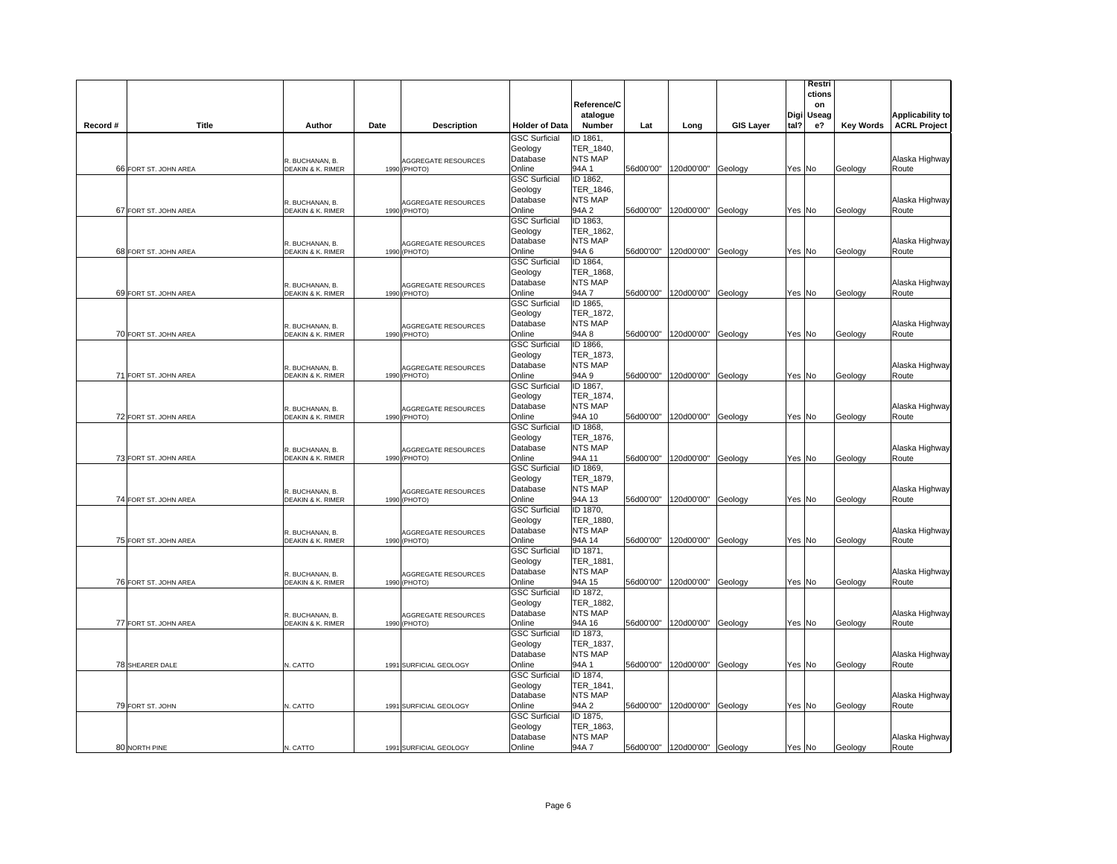|          |                       |                                      |                                            |                                                       | Reference/C<br>atalogue                    |           |                               |                  |        | Restri<br>ctions<br>on<br>Digi Useag |                  | <b>Applicability to</b> |
|----------|-----------------------|--------------------------------------|--------------------------------------------|-------------------------------------------------------|--------------------------------------------|-----------|-------------------------------|------------------|--------|--------------------------------------|------------------|-------------------------|
| Record # | <b>Title</b>          | Author                               | Date<br><b>Description</b>                 | <b>Holder of Data</b>                                 | Number                                     | Lat       | Long                          | <b>GIS Layer</b> | tal?   | e?                                   | <b>Key Words</b> | <b>ACRL Project</b>     |
|          |                       | R. BUCHANAN, B.                      | <b>AGGREGATE RESOURCES</b>                 | <b>GSC Surficial</b><br>Geology<br>Database           | ID 1861,<br>TER_1840,<br><b>NTS MAP</b>    |           |                               |                  |        |                                      |                  | Alaska Highway          |
|          | 66 FORT ST. JOHN AREA | DEAKIN & K. RIMER                    | 1990 (PHOTO)                               | Online                                                | 94A 1                                      |           | 56d00'00" 120d00'00" Geology  |                  | Yes No |                                      | Geology          | Route                   |
|          |                       | R. BUCHANAN, B.                      |                                            | <b>GSC Surficial</b><br>Geology<br>Database           | ID 1862,<br>TER_1846,<br>NTS MAP           |           |                               |                  |        |                                      |                  | Alaska Highway          |
|          | 67 FORT ST. JOHN AREA | DEAKIN & K. RIMER                    | AGGREGATE RESOURCES<br>1990 (PHOTO)        | Online                                                | 94A 2                                      |           | 56d00'00" 120d00'00" Geology  |                  | Yes No |                                      | Geology          | Route                   |
|          |                       | R. BUCHANAN, B.                      | <b>AGGREGATE RESOURCES</b>                 | <b>GSC Surficial</b><br>Geology<br>Database           | ID 1863,<br>TER_1862,<br>NTS MAP           |           |                               |                  |        |                                      |                  | Alaska Highway          |
|          | 68 FORT ST. JOHN AREA | <b>DEAKIN &amp; K. RIMER</b>         | 1990 (PHOTO)                               | Online                                                | 94A6                                       | 56d00'00" | 120d00'00" Geology            |                  | Yes No |                                      | Geology          | Route                   |
|          |                       | R. BUCHANAN, B.                      | AGGREGATE RESOURCES                        | <b>GSC Surficial</b><br>Geology<br>Database           | ID 1864,<br>TER_1868,<br>NTS MAP<br>94A 7  | 56d00'00" | 120d00'00"                    |                  |        |                                      |                  | Alaska Highway          |
|          | 69 FORT ST. JOHN AREA | DEAKIN & K. RIMER                    | 1990 (PHOTO)                               | Online<br><b>GSC Surficial</b>                        | ID 1865,                                   |           |                               | Geology          | Yes No |                                      | Geology          | Route                   |
|          | 70 FORT ST. JOHN AREA | R. BUCHANAN, B.<br>DEAKIN & K. RIMER | <b>AGGREGATE RESOURCES</b><br>1990 (PHOTO) | Geology<br>Database<br>Online                         | TER 1872,<br><b>NTS MAP</b><br>94A 8       | 56d00'00" | 120d00'00"                    | Geology          | Yes No |                                      | Geology          | Alaska Highway<br>Route |
|          | 71 FORT ST. JOHN AREA | R. BUCHANAN, B.<br>DEAKIN & K. RIMER | AGGREGATE RESOURCES<br>1990 (PHOTO)        | <b>GSC Surficial</b><br>Geology<br>Database<br>Online | ID 1866,<br>TER 1873,<br>NTS MAP<br>94A 9  |           | 56d00'00" 120d00'00" Geology  |                  | Yes No |                                      | Geology          | Alaska Highway<br>Route |
|          |                       |                                      |                                            | <b>GSC Surficial</b>                                  | ID 1867,                                   |           |                               |                  |        |                                      |                  |                         |
|          | 72 FORT ST. JOHN AREA | R. BUCHANAN, B.<br>DEAKIN & K. RIMER | AGGREGATE RESOURCES<br>1990 (PHOTO)        | Geology<br>Database<br>Online                         | TER_1874,<br>NTS MAP<br>94A 10             |           | 56d00'00"  120d00'00" Geology |                  | Yes No |                                      | Geology          | Alaska Highway<br>Route |
|          | 73 FORT ST. JOHN AREA | R. BUCHANAN, B.<br>DEAKIN & K. RIMER | <b>AGGREGATE RESOURCES</b><br>1990 (PHOTO) | <b>GSC Surficial</b><br>Geology<br>Database<br>Online | ID 1868,<br>TER_1876,<br>NTS MAP<br>94A 11 |           | 56d00'00" 120d00'00" Geology  |                  | Yes No |                                      | Geology          | Alaska Highway<br>Route |
|          | 74 FORT ST. JOHN AREA | R. BUCHANAN, B.<br>DEAKIN & K. RIMER | AGGREGATE RESOURCES<br>1990 (PHOTO)        | <b>GSC Surficial</b><br>Geology<br>Database<br>Online | ID 1869,<br>TER 1879,<br>NTS MAP<br>94A 13 |           | 56d00'00" 120d00'00" Geology  |                  | Yes No |                                      | Geology          | Alaska Highway<br>Route |
|          | 75 FORT ST. JOHN AREA | R. BUCHANAN, B.<br>DEAKIN & K. RIMER | <b>AGGREGATE RESOURCES</b><br>1990 (PHOTO) | <b>GSC Surficial</b><br>Geology<br>Database<br>Online | ID 1870,<br>TER 1880,<br>NTS MAP<br>94A 14 | 56d00'00" | 120d00'00"                    | Geology          | Yes No |                                      | Geology          | Alaska Highway<br>Route |
|          | 76 FORT ST. JOHN AREA | R. BUCHANAN, B.<br>DEAKIN & K. RIMER | AGGREGATE RESOURCES<br>1990<br>(PHOTO)     | <b>GSC Surficial</b><br>Geology<br>Database<br>Online | ID 1871,<br>TER 1881,<br>NTS MAP<br>94A 15 |           | 56d00'00" 120d00'00" Geology  |                  | Yes No |                                      | Geology          | Alaska Highway<br>Route |
|          |                       | R. BUCHANAN, B.                      | AGGREGATE RESOURCES                        | <b>GSC Surficial</b><br>Geology<br>Database           | ID 1872,<br>TER 1882,<br><b>NTS MAP</b>    |           |                               |                  |        |                                      |                  | Alaska Highway          |
|          | 77 FORT ST. JOHN AREA | <b>DEAKIN &amp; K. RIMER</b>         | 1990 (PHOTO)                               | Online<br><b>GSC Surficial</b><br>Geology             | 94A 16<br>ID 1873,<br>TER_1837,            | 56d00'00" | 120d00'00"                    | Geology          | Yes No |                                      | Geology          | Route                   |
|          | 78 SHEARER DALE       | N. CATTO                             | 1991 SURFICIAL GEOLOGY                     | Database<br>Online<br><b>GSC Surficial</b>            | <b>NTS MAP</b><br>94A 1<br>ID 1874,        |           | 56d00'00" 120d00'00" Geology  |                  | Yes No |                                      | Geology          | Alaska Highway<br>Route |
|          | 79 FORT ST. JOHN      | N. CATTO                             | 1991 SURFICIAL GEOLOGY                     | Geology<br>Database<br>Online                         | TER_1841,<br><b>NTS MAP</b><br>94A 2       |           | 56d00'00" 120d00'00" Geology  |                  | Yes No |                                      | Geology          | Alaska Highway<br>Route |
|          |                       |                                      |                                            | <b>GSC Surficial</b><br>Geology<br>Database           | ID 1875,<br>TER_1863,<br>NTS MAP           |           |                               |                  |        |                                      |                  | Alaska Highway          |
|          | 80 NORTH PINE         | N. CATTO                             | 1991 SURFICIAL GEOLOGY                     | Online                                                | 94A 7                                      |           | 56d00'00" 120d00'00" Geology  |                  | Yes No |                                      | Geology          | Route                   |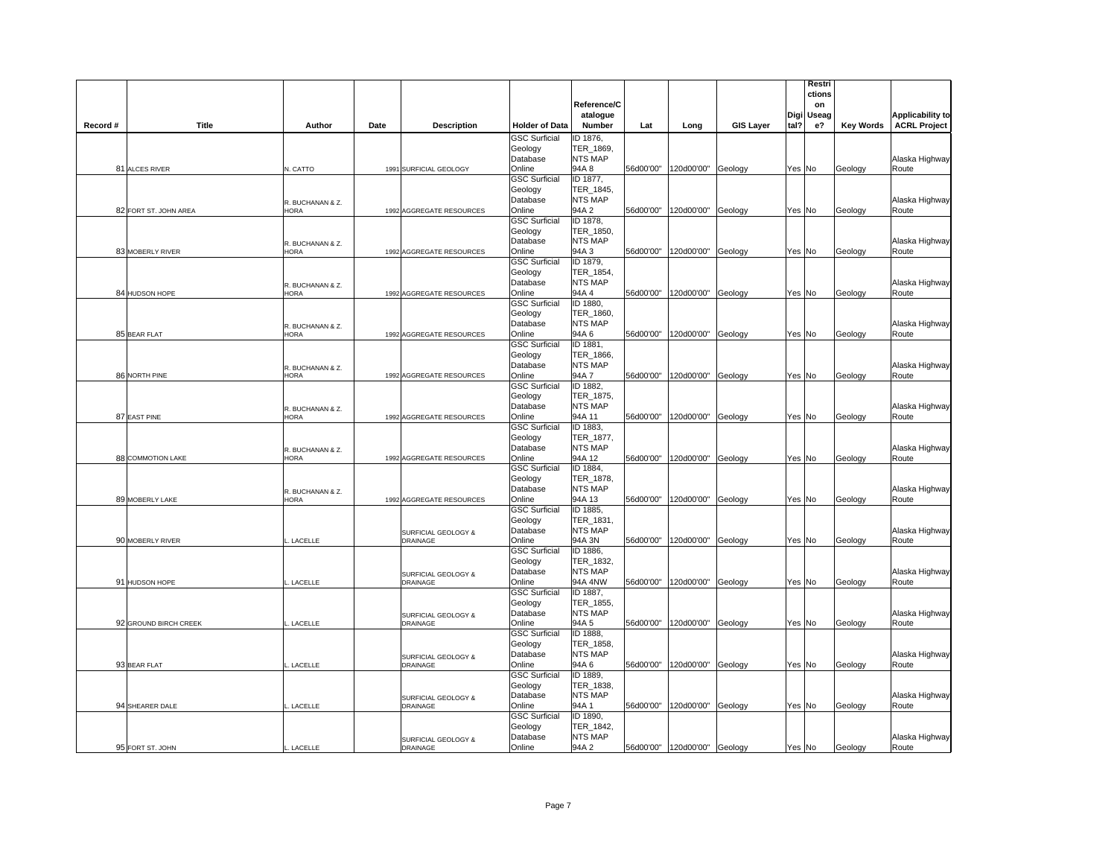|          |                       |                                 |                                        |                                 | Reference/C<br>atalogue     |           |                               |                  |        | Restri<br>ctions<br>on<br>Digi Useag |                  | <b>Applicability to</b> |
|----------|-----------------------|---------------------------------|----------------------------------------|---------------------------------|-----------------------------|-----------|-------------------------------|------------------|--------|--------------------------------------|------------------|-------------------------|
| Record # | Title                 | Author                          | Date<br><b>Description</b>             | <b>Holder of Data</b>           | Number                      | Lat       | Long                          | <b>GIS Layer</b> | tal?   | е?                                   | <b>Key Words</b> | <b>ACRL Project</b>     |
|          |                       |                                 |                                        | <b>GSC Surficial</b>            | ID 1876,                    |           |                               |                  |        |                                      |                  |                         |
|          |                       |                                 |                                        | Geology<br>Database             | TER_1869,<br>NTS MAP        |           |                               |                  |        |                                      |                  | Alaska Highway          |
|          | 81 ALCES RIVER        | N. CATTO                        | 1991 SURFICIAL GEOLOGY                 | Online                          | 94A 8                       |           | 56d00'00" 120d00'00" Geology  |                  |        | Yes No                               | Geology          | Route                   |
|          |                       |                                 |                                        | <b>GSC Surficial</b>            | ID 1877,                    |           |                               |                  |        |                                      |                  |                         |
|          |                       |                                 |                                        | Geology                         | TER_1845,                   |           |                               |                  |        |                                      |                  |                         |
|          |                       | R. BUCHANAN & Z.                |                                        | Database                        | <b>NTS MAP</b>              |           |                               |                  |        |                                      |                  | Alaska Highway          |
|          | 82 FORT ST. JOHN AREA | <b>HORA</b>                     | 1992 AGGREGATE RESOURCES               | Online<br><b>GSC Surficial</b>  | 94A 2<br>ID 1878,           |           | 56d00'00" 120d00'00" Geology  |                  | Yes No |                                      | Geology          | Route                   |
|          |                       |                                 |                                        | Geology                         | TER_1850,                   |           |                               |                  |        |                                      |                  |                         |
|          |                       | R. BUCHANAN & Z.                |                                        | Database                        | NTS MAP                     |           |                               |                  |        |                                      |                  | Alaska Highway          |
|          | 83 MOBERLY RIVER      | <b>HORA</b>                     | 1992 AGGREGATE RESOURCES               | Online                          | 94A 3                       | 56d00'00" | 120d00'00"                    | Geology          | Yes No |                                      | Geology          | Route                   |
|          |                       |                                 |                                        | <b>GSC Surficial</b><br>Geology | ID 1879,<br>TER 1854,       |           |                               |                  |        |                                      |                  |                         |
|          |                       |                                 |                                        | Database                        | NTS MAP                     |           |                               |                  |        |                                      |                  | Alaska Highway          |
|          | 84 HUDSON HOPE        | R. BUCHANAN & Z.<br><b>HORA</b> | 1992 AGGREGATE RESOURCES               | Online                          | 94A 4                       |           | 56d00'00"  120d00'00" Geology |                  | Yes No |                                      | Geology          | Route                   |
|          |                       |                                 |                                        | <b>GSC Surficial</b>            | ID 1880,                    |           |                               |                  |        |                                      |                  |                         |
|          |                       |                                 |                                        | Geology                         | TER_1860,                   |           |                               |                  |        |                                      |                  |                         |
|          | 85 BEAR FLAT          | R. BUCHANAN & Z.<br><b>HORA</b> |                                        | Database<br>Online              | <b>NTS MAP</b><br>94A 6     | 56d00'00" | 120d00'00"                    |                  | Yes No |                                      |                  | Alaska Highway<br>Route |
|          |                       |                                 | 1992 AGGREGATE RESOURCES               | <b>GSC Surficial</b>            | ID 1881,                    |           |                               | Geology          |        |                                      | Geology          |                         |
|          |                       |                                 |                                        | Geology                         | TER_1866,                   |           |                               |                  |        |                                      |                  |                         |
|          |                       | R. BUCHANAN & Z.                |                                        | Database                        | <b>NTS MAP</b>              |           |                               |                  |        |                                      |                  | Alaska Highway          |
|          | 86 NORTH PINE         | <b>HORA</b>                     | 1992 AGGREGATE RESOURCES               | Online                          | 94A7                        |           | 56d00'00" 120d00'00" Geology  |                  | Yes No |                                      | Geology          | Route                   |
|          |                       |                                 |                                        | <b>GSC Surficial</b><br>Geology | ID 1882,<br>TER_1875,       |           |                               |                  |        |                                      |                  |                         |
|          |                       | R. BUCHANAN & Z.                |                                        | Database                        | <b>NTS MAP</b>              |           |                               |                  |        |                                      |                  | Alaska Highway          |
|          | 87 EAST PINE          | <b>HORA</b>                     | 1992 AGGREGATE RESOURCES               | Online                          | 94A 11                      |           | 56d00'00" 120d00'00" Geology  |                  |        | Yes No                               | Geology          | Route                   |
|          |                       |                                 |                                        | <b>GSC Surficial</b>            | ID 1883,                    |           |                               |                  |        |                                      |                  |                         |
|          |                       |                                 |                                        | Geology                         | TER 1877,                   |           |                               |                  |        |                                      |                  |                         |
|          | 88 COMMOTION LAKE     | R. BUCHANAN & Z.<br>HORA        | 1992 AGGREGATE RESOURCES               | Database<br>Online              | NTS MAP<br>94A 12           |           | 56d00'00" 120d00'00" Geology  |                  |        | Yes No                               | Geology          | Alaska Highway<br>Route |
|          |                       |                                 |                                        | <b>GSC Surficial</b>            | ID 1884,                    |           |                               |                  |        |                                      |                  |                         |
|          |                       |                                 |                                        | Geology                         | TER 1878.                   |           |                               |                  |        |                                      |                  |                         |
|          |                       | R. BUCHANAN & Z.                |                                        | Database                        | <b>NTS MAP</b>              |           |                               |                  |        |                                      |                  | Alaska Highway          |
|          | 89 MOBERLY LAKE       | HORA                            | 1992 AGGREGATE RESOURCES               | Online<br><b>GSC Surficial</b>  | 94A 13<br>ID 1885,          |           | 56d00'00" 120d00'00" Geology  |                  | Yes No |                                      | Geology          | Route                   |
|          |                       |                                 |                                        | Geology                         | TER 1831,                   |           |                               |                  |        |                                      |                  |                         |
|          |                       |                                 | SURFICIAL GEOLOGY &                    | Database                        | NTS MAP                     |           |                               |                  |        |                                      |                  | Alaska Highway          |
|          | 90 MOBERLY RIVER      | LACELLE                         | DRAINAGE                               | Online                          | 94A 3N                      | 56d00'00" | 120d00'00" Geology            |                  | Yes No |                                      | Geology          | Route                   |
|          |                       |                                 |                                        | <b>GSC Surficial</b>            | ID 1886,                    |           |                               |                  |        |                                      |                  |                         |
|          |                       |                                 | SURFICIAL GEOLOGY &                    | Geology<br>Database             | TER_1832,<br><b>NTS MAP</b> |           |                               |                  |        |                                      |                  | Alaska Highway          |
|          | 91 HUDSON HOPE        | LACELLE                         | DRAINAGE                               | Online                          | 94A 4NW                     |           | 56d00'00" 120d00'00" Geology  |                  | Yes No |                                      | Geology          | Route                   |
|          |                       |                                 |                                        | <b>GSC Surficial</b>            | ID 1887,                    |           |                               |                  |        |                                      |                  |                         |
|          |                       |                                 |                                        | Geology                         | TER 1855,                   |           |                               |                  |        |                                      |                  |                         |
|          | 92 GROUND BIRCH CREEK | LACELLE                         | SURFICIAL GEOLOGY &<br><b>DRAINAGE</b> | Database<br>Online              | <b>NTS MAP</b><br>94A 5     | 56d00'00" | 120d00'00"                    | Geology          | Yes No |                                      | Geology          | Alaska Highway<br>Route |
|          |                       |                                 |                                        | <b>GSC Surficial</b>            | ID 1888,                    |           |                               |                  |        |                                      |                  |                         |
|          |                       |                                 |                                        | Geology                         | TER_1858,                   |           |                               |                  |        |                                      |                  |                         |
|          |                       |                                 | SURFICIAL GEOLOGY &                    | Database                        | <b>NTS MAP</b>              |           |                               |                  |        |                                      |                  | Alaska Highway          |
|          | 93 BEAR FLAT          | LACELLE                         | DRAINAGE                               | Online<br><b>GSC Surficial</b>  | 94A6<br>ID 1889,            |           | 56d00'00" 120d00'00" Geology  |                  |        | Yes No                               | Geology          | Route                   |
|          |                       |                                 |                                        | Geology                         | TER_1838,                   |           |                               |                  |        |                                      |                  |                         |
|          |                       |                                 | SURFICIAL GEOLOGY &                    | Database                        | <b>NTS MAP</b>              |           |                               |                  |        |                                      |                  | Alaska Highway          |
|          | 94 SHEARER DALE       | LACELLE                         | DRAINAGE                               | Online                          | 94A 1                       |           | 56d00'00" 120d00'00" Geology  |                  | Yes No |                                      | Geology          | Route                   |
|          |                       |                                 |                                        | <b>GSC Surficial</b>            | ID 1890,                    |           |                               |                  |        |                                      |                  |                         |
|          |                       |                                 |                                        | Geology<br>Database             | TER_1842,<br><b>NTS MAP</b> |           |                               |                  |        |                                      |                  | Alaska Highway          |
|          | 95 FORT ST. JOHN      | LACELLE                         | SURFICIAL GEOLOGY &<br>DRAINAGE        | Online                          | 94A 2                       |           | 56d00'00" 120d00'00" Geology  |                  | Yes No |                                      | Geology          | Route                   |
|          |                       |                                 |                                        |                                 |                             |           |                               |                  |        |                                      |                  |                         |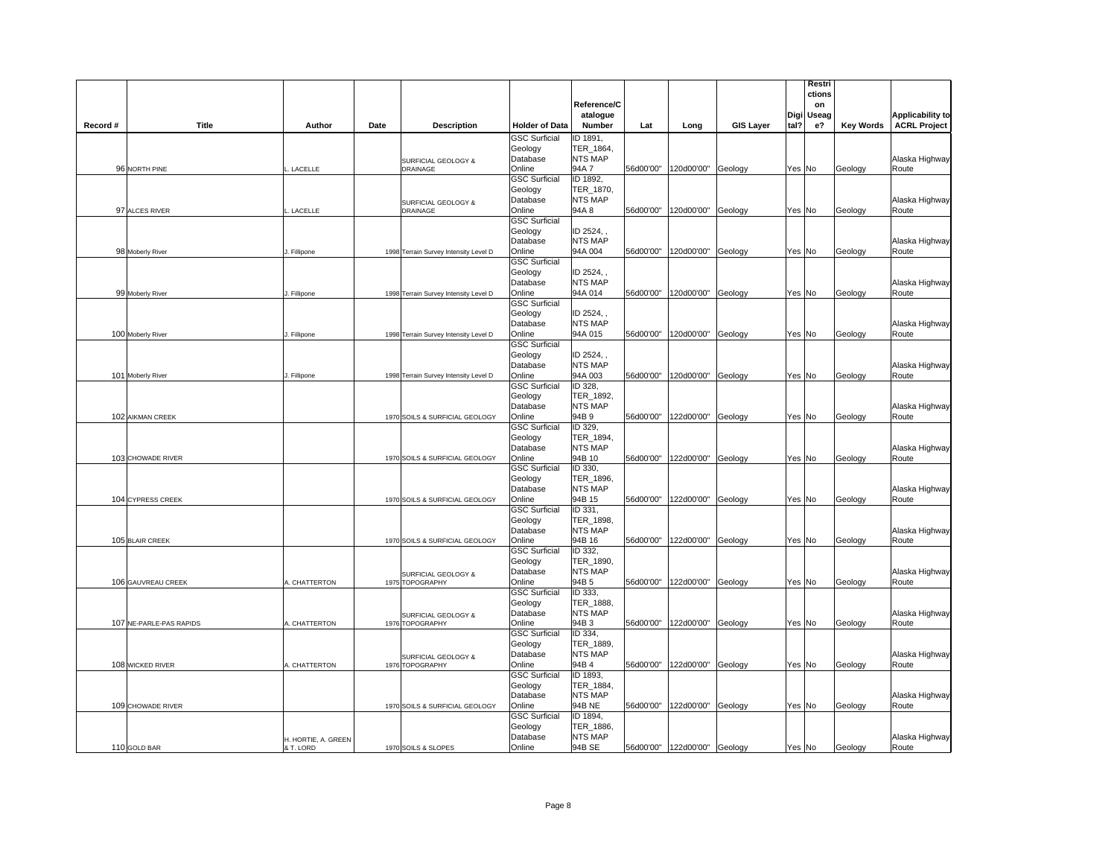|          |                         |                     |      |                                        |                                 |                             |           |                                |                  | Restri        |                  |                         |
|----------|-------------------------|---------------------|------|----------------------------------------|---------------------------------|-----------------------------|-----------|--------------------------------|------------------|---------------|------------------|-------------------------|
|          |                         |                     |      |                                        |                                 |                             |           |                                |                  | ctions        |                  |                         |
|          |                         |                     |      |                                        |                                 | Reference/C                 |           |                                |                  | on            |                  |                         |
|          |                         |                     |      |                                        |                                 | atalogue                    |           |                                |                  | Useag<br>Digi |                  | <b>Applicability to</b> |
| Record # | Title                   | Author              | Date | <b>Description</b>                     | <b>Holder of Data</b>           | <b>Number</b>               | Lat       | Long                           | <b>GIS Layer</b> | tal?<br>е?    | <b>Key Words</b> | <b>ACRL Project</b>     |
|          |                         |                     |      |                                        | <b>GSC Surficial</b>            | ID 1891.                    |           |                                |                  |               |                  |                         |
|          |                         |                     |      |                                        | Geology                         | TER_1864,                   |           |                                |                  |               |                  |                         |
|          |                         |                     |      | SURFICIAL GEOLOGY &                    | Database                        | <b>NTS MAP</b>              |           |                                |                  |               |                  | Alaska Highway          |
|          | 96 NORTH PINE           | LACELLE             |      | DRAINAGE                               | Online                          | 94A 7                       |           | 56d00'00"  120d00'00"          | Geology          | Yes No        | Geology          | Route                   |
|          |                         |                     |      |                                        | <b>GSC Surficial</b>            | ID 1892,                    |           |                                |                  |               |                  |                         |
|          |                         |                     |      |                                        | Geology                         | TER_1870,                   |           |                                |                  |               |                  |                         |
|          |                         |                     |      | SURFICIAL GEOLOGY &                    | Database                        | <b>NTS MAP</b>              |           |                                |                  |               |                  | Alaska Highway          |
|          | 97 ALCES RIVER          | <b>LACELLE</b>      |      | <b>DRAINAGE</b>                        | Online                          | 94A 8                       |           | 56d00'00" 120d00'00"           | Geology          | Yes No        | Geology          | Route                   |
|          |                         |                     |      |                                        | <b>GSC Surficial</b>            |                             |           |                                |                  |               |                  |                         |
|          |                         |                     |      |                                        | Geology                         | ID 2524, ,                  |           |                                |                  |               |                  |                         |
|          |                         |                     |      |                                        | Database                        | <b>NTS MAP</b>              |           |                                |                  |               |                  | Alaska Highway          |
|          | 98 Moberly River        | Fillipone           |      | 1998 Terrain Survey Intensity Level D  | Online                          | 94A 004                     | 56d00'00" | 120d00'00"                     | Geology          | Yes No        | Geology          | Route                   |
|          |                         |                     |      |                                        | <b>GSC Surficial</b><br>Geology | ID 2524,                    |           |                                |                  |               |                  |                         |
|          |                         |                     |      |                                        |                                 | <b>NTS MAP</b>              |           |                                |                  |               |                  |                         |
|          |                         | Fillipone           |      |                                        | Database<br>Online              | 94A 014                     |           | 56d00'00" 120d00'00"           | Geology          | Yes No        | Geology          | Alaska Highway<br>Route |
|          | 99 Moberly River        |                     |      | 1998 Terrain Survey Intensity Level D  | <b>GSC Surficial</b>            |                             |           |                                |                  |               |                  |                         |
|          |                         |                     |      |                                        | Geology                         | ID 2524,                    |           |                                |                  |               |                  |                         |
|          |                         |                     |      |                                        | Database                        | <b>NTS MAP</b>              |           |                                |                  |               |                  | Alaska Highway          |
|          | 100 Moberly River       | . Fillipone         |      | 1998 Terrain Survey Intensity Level D  | Online                          | 94A 015                     | 56d00'00" | 120d00'00"                     | Geology          | Yes No        | Geology          | Route                   |
|          |                         |                     |      |                                        | <b>GSC Surficial</b>            |                             |           |                                |                  |               |                  |                         |
|          |                         |                     |      |                                        | Geology                         | ID 2524,                    |           |                                |                  |               |                  |                         |
|          |                         |                     |      |                                        | Database                        | <b>NTS MAP</b>              |           |                                |                  |               |                  | Alaska Highway          |
|          | 101 Moberly River       | Fillipone           |      | 1998 Terrain Survey Intensity Level D  | Online                          | 94A 003                     |           | 56d00'00" 120d00'00"           | Geology          | Yes No        | Geology          | Route                   |
|          |                         |                     |      |                                        | <b>GSC Surficial</b>            | ID 328.                     |           |                                |                  |               |                  |                         |
|          |                         |                     |      |                                        | Geology                         | TER_1892,                   |           |                                |                  |               |                  |                         |
|          |                         |                     |      |                                        | Database                        | <b>NTS MAP</b>              |           |                                |                  |               |                  | Alaska Highway          |
|          | 102 AIKMAN CREEK        |                     |      | 1970 SOILS & SURFICIAL GEOLOGY         | Online                          | 94B 9                       |           | 56d00'00" 122d00'00"           | Geology          | Yes No        | Geology          | Route                   |
|          |                         |                     |      |                                        | <b>GSC Surficial</b>            | ID 329.                     |           |                                |                  |               |                  |                         |
|          |                         |                     |      |                                        | Geology                         | TER 1894,                   |           |                                |                  |               |                  |                         |
|          |                         |                     |      |                                        | Database                        | <b>NTS MAP</b>              |           |                                |                  |               |                  | Alaska Highway          |
|          | 103 CHOWADE RIVER       |                     |      | 1970 SOILS & SURFICIAL GEOLOGY         | Online                          | 94B 10                      |           | 56d00'00" 122d00'00"           | Geology          | Yes No        | Geology          | Route                   |
|          |                         |                     |      |                                        | <b>GSC Surficial</b>            | ID 330,                     |           |                                |                  |               |                  |                         |
|          |                         |                     |      |                                        | Geology                         | TER 1896,                   |           |                                |                  |               |                  |                         |
|          |                         |                     |      |                                        | Database                        | <b>NTS MAP</b>              |           |                                |                  |               |                  | Alaska Highway          |
|          | 104 CYPRESS CREEK       |                     |      | 1970 SOILS & SURFICIAL GEOLOGY         | Online                          | 94B 15                      |           | 56d00'00" 122d00'00"           | Geology          | Yes No        | Geology          | Route                   |
|          |                         |                     |      |                                        | <b>GSC Surficial</b>            | ID 331,                     |           |                                |                  |               |                  |                         |
|          |                         |                     |      |                                        | Geology                         | TER 1898,                   |           |                                |                  |               |                  |                         |
|          |                         |                     |      |                                        | Database                        | <b>NTS MAP</b>              |           |                                |                  |               |                  | Alaska Highway          |
|          | 105 BLAIR CREEK         |                     |      | 1970 SOILS & SURFICIAL GEOLOGY         | Online                          | 94B 16                      | 56d00'00" | 122d00'00"                     | Geology          | Yes No        | Geology          | Route                   |
|          |                         |                     |      |                                        | <b>GSC Surficial</b>            | ID 332.                     |           |                                |                  |               |                  |                         |
|          |                         |                     |      |                                        | Geology                         | TER_1890,<br><b>NTS MAP</b> |           |                                |                  |               |                  |                         |
|          |                         |                     |      | SURFICIAL GEOLOGY &                    | Database<br>Online              | 94B <sub>5</sub>            |           | 56d00'00" 122d00'00"           |                  |               |                  | Alaska Highway<br>Route |
|          | 106 GAUVREAU CREEK      | . CHATTERTON        |      | 1975 TOPOGRAPHY                        | <b>GSC Surficial</b>            | ID 333.                     |           |                                | Geology          | Yes No        | Geology          |                         |
|          |                         |                     |      |                                        | Geology                         | TER_1888,                   |           |                                |                  |               |                  |                         |
|          |                         |                     |      |                                        | Database                        | <b>NTS MAP</b>              |           |                                |                  |               |                  | Alaska Highway          |
|          | 107 NE-PARLE-PAS RAPIDS | A. CHATTERTON       |      | SURFICIAL GEOLOGY &<br>1976 TOPOGRAPHY | Online                          | 94B <sub>3</sub>            | 56d00'00" | 122d00'00"                     | Geology          | Yes No        | Geology          | Route                   |
|          |                         |                     |      |                                        | <b>GSC Surficial</b>            | ID 334,                     |           |                                |                  |               |                  |                         |
|          |                         |                     |      |                                        | Geology                         | TER_1889,                   |           |                                |                  |               |                  |                         |
|          |                         |                     |      |                                        | Database                        | <b>NTS MAP</b>              |           |                                |                  |               |                  | Alaska Highway          |
|          | 108 WICKED RIVER        | . CHATTERTON        |      | SURFICIAL GEOLOGY &<br>1976 TOPOGRAPHY | Online                          | 94B 4                       |           | 56d00'00" 122d00'00"           | Geology          | Yes No        | Geology          | Route                   |
|          |                         |                     |      |                                        | <b>GSC Surficial</b>            | ID 1893,                    |           |                                |                  |               |                  |                         |
|          |                         |                     |      |                                        | Geology                         | TER_1884,                   |           |                                |                  |               |                  |                         |
|          |                         |                     |      |                                        | Database                        | <b>NTS MAP</b>              |           |                                |                  |               |                  | Alaska Highway          |
|          | 109 CHOWADE RIVER       |                     |      | 1970 SOILS & SURFICIAL GEOLOGY         | Online                          | 94B NE                      |           | 56d00'00"  122d00'00"          | Geology          | Yes No        | Geology          | Route                   |
|          |                         |                     |      |                                        | <b>GSC Surficial</b>            | ID 1894,                    |           |                                |                  |               |                  |                         |
|          |                         |                     |      |                                        | Geology                         | TER_1886,                   |           |                                |                  |               |                  |                         |
|          |                         | H. HORTIE, A. GREEN |      |                                        | Database                        | <b>NTS MAP</b>              |           |                                |                  |               |                  | Alaska Highway          |
|          | 110 GOLD BAR            | & T. LORD           |      | 1970 SOILS & SLOPES                    | Online                          | 94B SE                      |           | 56d00'00"   122d00'00" Geology |                  | Yes No        | Geology          | Route                   |
|          |                         |                     |      |                                        |                                 |                             |           |                                |                  |               |                  |                         |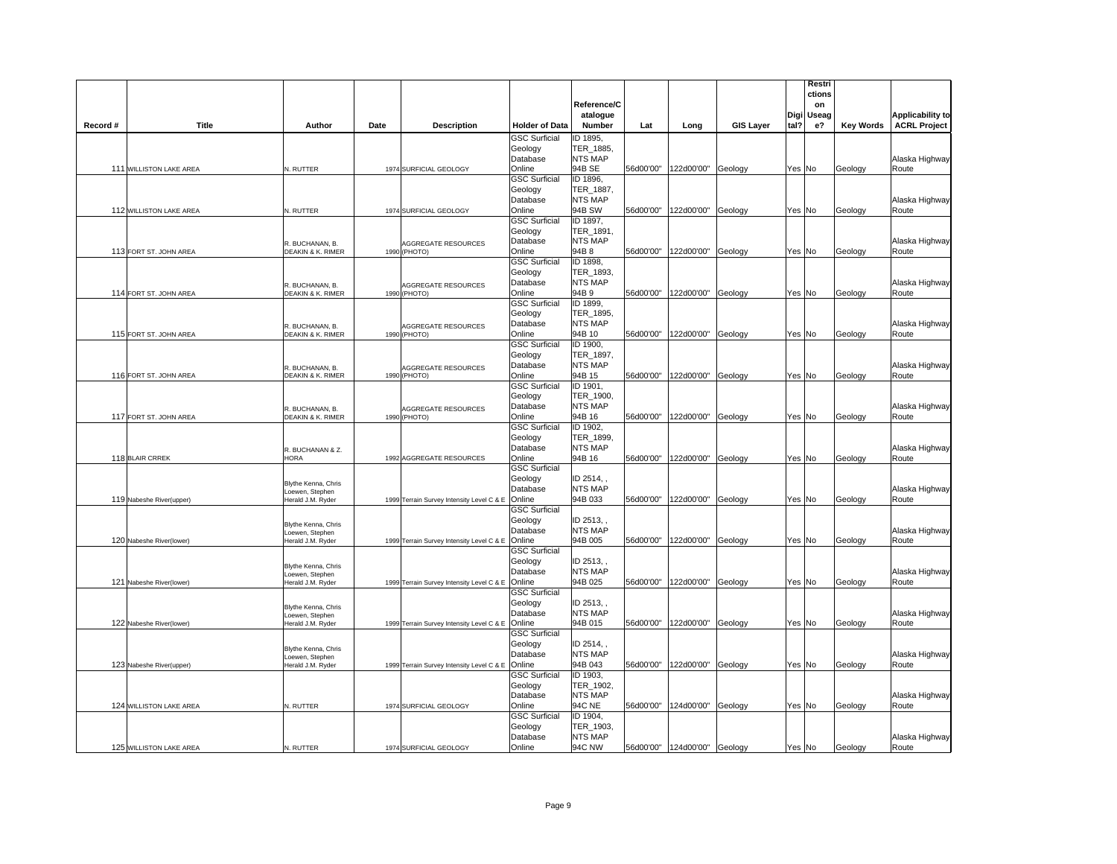|          |                          |                                                                    |      |                                            |                                                       | Reference/C<br>atalogue                                  |           |                               |                  |        | Restri<br>ctions<br>on<br>Digi Useag |                  | <b>Applicability to</b> |
|----------|--------------------------|--------------------------------------------------------------------|------|--------------------------------------------|-------------------------------------------------------|----------------------------------------------------------|-----------|-------------------------------|------------------|--------|--------------------------------------|------------------|-------------------------|
| Record # | Title                    | Author                                                             | Date | <b>Description</b>                         | <b>Holder of Data</b>                                 | Number                                                   | Lat       | Long                          | <b>GIS Layer</b> | tal?   | е?                                   | <b>Key Words</b> | <b>ACRL Project</b>     |
|          |                          |                                                                    |      |                                            | <b>GSC Surficial</b><br>Geology<br>Database           | ID 1895,<br>TER_1885,<br><b>NTS MAP</b>                  |           |                               |                  |        |                                      |                  | Alaska Highway          |
|          | 111 WILLISTON LAKE AREA  | N. RUTTER                                                          |      | 1974 SURFICIAL GEOLOGY                     | Online                                                | 94B SE                                                   |           | 56d00'00" 122d00'00"          | Geology          | Yes No |                                      | Geology          | Route                   |
|          |                          |                                                                    |      |                                            | <b>GSC Surficial</b><br>Geology<br>Database           | ID 1896,<br>TER_1887,<br><b>NTS MAP</b>                  |           |                               |                  |        |                                      |                  | Alaska Highway          |
|          | 112 WILLISTON LAKE AREA  | N. RUTTER                                                          |      | 1974 SURFICIAL GEOLOGY                     | Online<br><b>GSC Surficial</b>                        | 94B SW<br>ID 1897,                                       |           | 56d00'00" 122d00'00"          | Geology          | Yes No |                                      | Geology          | Route                   |
|          | 113 FORT ST. JOHN AREA   | R. BUCHANAN, B.<br>DEAKIN & K. RIMER                               |      | <b>AGGREGATE RESOURCES</b><br>1990 (PHOTO) | Geology<br>Database<br>Online                         | TER_1891,<br><b>NTS MAP</b><br>94B 8                     | 56d00'00" | 122d00'00"                    | Geology          | Yes No |                                      | Geology          | Alaska Highway<br>Route |
|          |                          | R. BUCHANAN, B.                                                    |      | AGGREGATE RESOURCES                        | GSC Surficial<br>Geology<br>Database                  | ID 1898.<br>TER 1893,<br><b>NTS MAP</b>                  |           |                               |                  |        |                                      |                  | Alaska Highway          |
|          | 114 FORT ST. JOHN AREA   | DEAKIN & K. RIMER                                                  |      | 1990 (PHOTO)                               | Online<br><b>GSC Surficial</b>                        | 94B 9<br>ID 1899,                                        |           | 56d00'00" 122d00'00"          | Geology          | Yes No |                                      | Geology          | Route                   |
|          | 115 FORT ST. JOHN AREA   | R. BUCHANAN, B.<br>DEAKIN & K. RIMER                               |      | <b>AGGREGATE RESOURCES</b><br>1990 (PHOTO) | Geology<br>Database<br>Online                         | TER 1895,<br><b>NTS MAP</b><br>94B 10                    | 56d00'00" | 122d00'00"                    | Geology          | Yes No |                                      | Geology          | Alaska Highway<br>Route |
|          | 116 FORT ST. JOHN AREA   | R. BUCHANAN, B.<br>DEAKIN & K. RIMER                               |      | <b>AGGREGATE RESOURCES</b><br>1990 (PHOTO) | <b>GSC Surficial</b><br>Geology<br>Database<br>Online | ID 1900,<br>TER_1897,<br><b>NTS MAP</b><br>94B 15        |           | 56d00'00" 122d00'00"          | Geology          | Yes No |                                      | Geology          | Alaska Highway<br>Route |
|          | 117 FORT ST. JOHN AREA   | R. BUCHANAN, B.<br>DEAKIN & K. RIMER                               |      | AGGREGATE RESOURCES<br>1990 (PHOTO)        | <b>GSC Surficial</b><br>Geology<br>Database<br>Online | ID 1901,<br>TER_1900,<br><b>NTS MAP</b><br>94B 16        |           | 56d00'00" 122d00'00"          | Geology          | Yes No |                                      | Geology          | Alaska Highway<br>Route |
|          | 118 BLAIR CRREK          | R. BUCHANAN & Z.<br>HORA                                           |      | 1992 AGGREGATE RESOURCES                   | <b>GSC Surficial</b><br>Geology<br>Database<br>Online | ID 1902,<br>TER 1899,<br><b>NTS MAP</b><br>94B 16        |           | 56d00'00" 122d00'00"          | Geology          | Yes No |                                      | Geology          | Alaska Highway<br>Route |
|          | 119 Nabeshe River(upper) | <b>Blythe Kenna, Chris</b><br>Loewen, Stephen<br>Herald J.M. Ryder |      | 1999 Terrain Survey Intensity Level C & E  | <b>GSC Surficial</b><br>Geology<br>Database<br>Online | ID 2514,<br><b>NTS MAP</b><br>94B 033                    |           | 56d00'00"  122d00'00"         | Geology          | Yes No |                                      | Geology          | Alaska Highway<br>Route |
|          | 120 Nabeshe River(lower) | Blythe Kenna, Chris<br>oewen, Stephen<br>Herald J.M. Ryder         |      | 1999 Terrain Survey Intensity Level C & E  | <b>GSC Surficial</b><br>Geology<br>Database<br>Online | ID 2513,<br><b>NTS MAP</b><br>94B 005                    | 56d00'00" | 122d00'00"                    | Geology          | Yes No |                                      | Geology          | Alaska Highway<br>Route |
|          | 121 Nabeshe River(lower) | Blythe Kenna, Chris<br>oewen, Stephen<br>lerald J.M. Ryder         |      | 1999 Terrain Survey Intensity Level C & E  | <b>GSC Surficial</b><br>Geology<br>Database<br>Online | ID 2513,<br><b>NTS MAP</b><br>94B 025                    |           | 56d00'00" 122d00'00"          | Geology          | Yes No |                                      | Geology          | Alaska Highway<br>Route |
|          | 122 Nabeshe River(lower) | Blythe Kenna, Chris<br>oewen, Stephen<br>Herald J.M. Ryder         |      |                                            | <b>GSC Surficial</b><br>Geology<br>Database<br>Online | ID 2513,<br><b>NTS MAP</b><br>94B 015                    | 56d00'00" | 122d00'00"                    | Geology          | Yes No |                                      |                  | Alaska Highway<br>Route |
|          |                          | Blythe Kenna, Chris<br>Loewen, Stephen                             |      | 1999 Terrain Survey Intensity Level C & E  | <b>GSC Surficial</b><br>Geology<br>Database           | ID 2514,<br><b>NTS MAP</b>                               |           |                               |                  |        |                                      | Geology          | Alaska Highway          |
|          | 123 Nabeshe River(upper) | Herald J.M. Ryder                                                  |      | 1999 Terrain Survey Intensity Level C & E  | Online<br><b>GSC Surficial</b><br>Geology             | 94B 043<br>ID 1903,<br>TER_1902,                         |           | 56d00'00" 122d00'00"          | Geology          | Yes No |                                      | Geology          | Route                   |
|          | 124 WILLISTON LAKE AREA  | N. RUTTER                                                          |      | 1974 SURFICIAL GEOLOGY                     | Database<br>Online<br><b>GSC Surficial</b><br>Geology | <b>NTS MAP</b><br><b>94C NE</b><br>ID 1904,<br>TER_1903, |           | 56d00'00" 124d00'00"          | Geology          | Yes No |                                      | Geology          | Alaska Highway<br>Route |
|          | 125 WILLISTON LAKE AREA  | N. RUTTER                                                          |      | 1974 SURFICIAL GEOLOGY                     | Database<br>Online                                    | <b>NTS MAP</b><br><b>94C NW</b>                          |           | 56d00'00"  124d00'00" Geology |                  | Yes No |                                      | Geology          | Alaska Highway<br>Route |
|          |                          |                                                                    |      |                                            |                                                       |                                                          |           |                               |                  |        |                                      |                  |                         |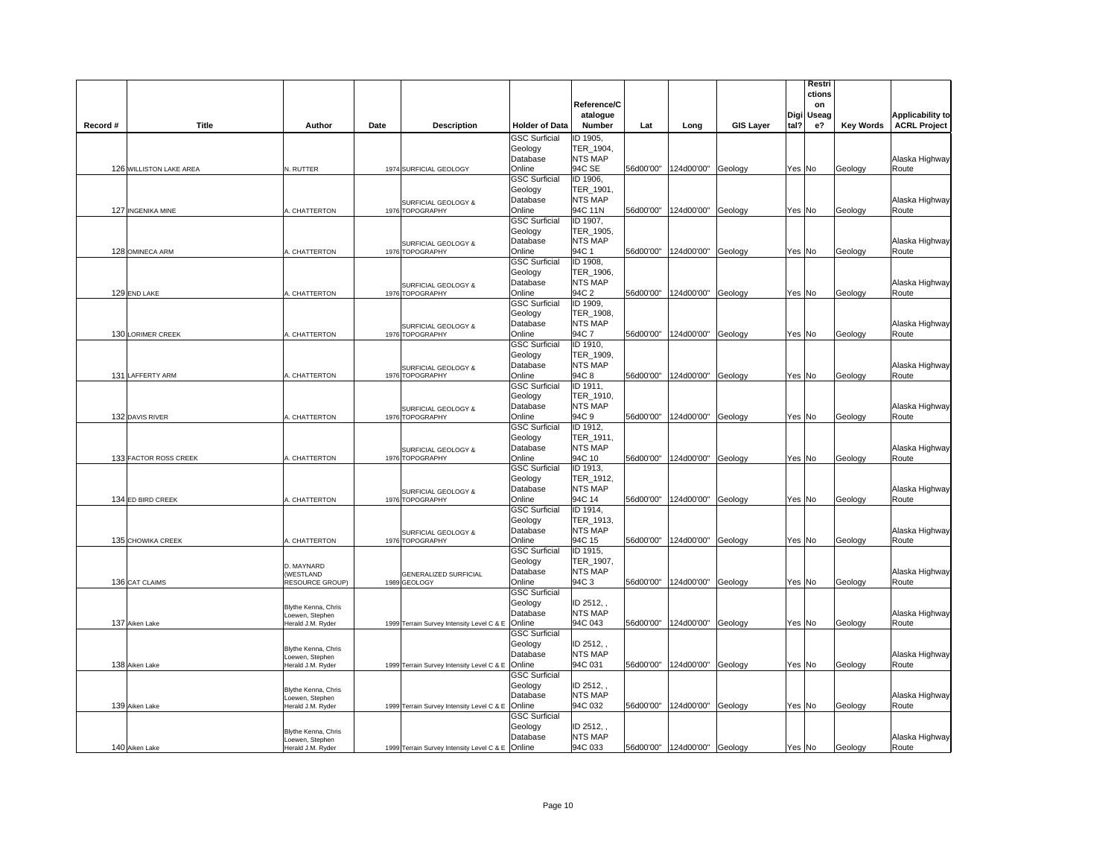|          |                         |                                        |      |                                           |                                 |                             |           |                                |                  |        | Restri       |                  |                         |
|----------|-------------------------|----------------------------------------|------|-------------------------------------------|---------------------------------|-----------------------------|-----------|--------------------------------|------------------|--------|--------------|------------------|-------------------------|
|          |                         |                                        |      |                                           |                                 | Reference/C                 |           |                                |                  |        | ctions<br>on |                  |                         |
|          |                         |                                        |      |                                           |                                 | atalogue                    |           |                                |                  | Digi   | Useag        |                  | Applicability to        |
| Record # | Title                   | Author                                 | Date | <b>Description</b>                        | <b>Holder of Data</b>           | <b>Number</b>               | Lat       | Long                           | <b>GIS Layer</b> | tal?   | e?           | <b>Key Words</b> | <b>ACRL Project</b>     |
|          |                         |                                        |      |                                           | <b>GSC Surficial</b>            | ID 1905,                    |           |                                |                  |        |              |                  |                         |
|          |                         |                                        |      |                                           | Geology                         | TER_1904,                   |           |                                |                  |        |              |                  |                         |
|          |                         |                                        |      |                                           | Database<br>Online              | <b>NTS MAP</b><br>94C SE    |           | 56d00'00" 124d00'00"           |                  |        |              |                  | Alaska Highway          |
|          | 126 WILLISTON LAKE AREA | N. RUTTER                              |      | 1974 SURFICIAL GEOLOGY                    | <b>GSC Surficial</b>            | ID 1906,                    |           |                                | Geology          | Yes No |              | Geology          | Route                   |
|          |                         |                                        |      |                                           | Geology                         | TER_1901,                   |           |                                |                  |        |              |                  |                         |
|          |                         |                                        |      | SURFICIAL GEOLOGY &                       | Database                        | <b>NTS MAP</b>              |           |                                |                  |        |              |                  | Alaska Highway          |
|          | 127 INGENIKA MINE       | A. CHATTERTON                          |      | 1976 TOPOGRAPHY                           | Online                          | 94C 11N                     | 56d00'00" | 124d00'00"                     | Geology          | Yes No |              | Geology          | Route                   |
|          |                         |                                        |      |                                           | <b>GSC Surficial</b>            | ID 1907,                    |           |                                |                  |        |              |                  |                         |
|          |                         |                                        |      |                                           | Geology<br>Database             | TER_1905,<br><b>NTS MAP</b> |           |                                |                  |        |              |                  | Alaska Highway          |
|          | 128 OMINECA ARM         | A. CHATTERTON                          |      | SURFICIAL GEOLOGY &<br>1976 TOPOGRAPHY    | Online                          | 94C 1                       | 56d00'00" | 124d00'00"                     | Geology          | Yes No |              | Geology          | Route                   |
|          |                         |                                        |      |                                           | <b>GSC Surficial</b>            | ID 1908,                    |           |                                |                  |        |              |                  |                         |
|          |                         |                                        |      |                                           | Geology                         | TER 1906.                   |           |                                |                  |        |              |                  |                         |
|          |                         |                                        |      | SURFICIAL GEOLOGY &                       | Database                        | <b>NTS MAP</b>              |           |                                |                  |        |              |                  | Alaska Highway          |
|          | 129 END LAKE            | A. CHATTERTON                          |      | 1976 TOPOGRAPHY                           | Online                          | 94C 2                       |           | 56d00'00" 124d00'00"           | Geology          | Yes No |              | Geology          | Route                   |
|          |                         |                                        |      |                                           | <b>GSC Surficial</b><br>Geology | ID 1909,<br>TER 1908,       |           |                                |                  |        |              |                  |                         |
|          |                         |                                        |      |                                           | Database                        | <b>NTS MAP</b>              |           |                                |                  |        |              |                  | Alaska Highway          |
|          | 130 LORIMER CREEK       | <b>L. CHATTERTON</b>                   |      | SURFICIAL GEOLOGY &<br>1976 TOPOGRAPHY    | Online                          | 94C 7                       | 56d00'00" | 124d00'00"                     | Geology          | Yes No |              | Geology          | Route                   |
|          |                         |                                        |      |                                           | <b>GSC Surficial</b>            | ID 1910,                    |           |                                |                  |        |              |                  |                         |
|          |                         |                                        |      |                                           | Geology                         | TER_1909,                   |           |                                |                  |        |              |                  |                         |
|          |                         |                                        |      | SURFICIAL GEOLOGY &                       | Database                        | <b>NTS MAP</b>              |           |                                |                  |        |              |                  | Alaska Highway          |
|          | 131 LAFFERTY ARM        | A. CHATTERTON                          |      | 1976 TOPOGRAPHY                           | Online                          | 94C 8                       | 56d00'00" | 124d00'00"                     | Geology          | Yes No |              | Geology          | Route                   |
|          |                         |                                        |      |                                           | <b>GSC Surficial</b><br>Geology | ID 1911,<br>TER 1910,       |           |                                |                  |        |              |                  |                         |
|          |                         |                                        |      | SURFICIAL GEOLOGY &                       | Database                        | <b>NTS MAP</b>              |           |                                |                  |        |              |                  | Alaska Highway          |
|          | 132 DAVIS RIVER         | A. CHATTERTON                          |      | 1976 TOPOGRAPHY                           | Online                          | 94C 9                       | 56d00'00" | 124d00'00"                     | Geology          | Yes No |              | Geology          | Route                   |
|          |                         |                                        |      |                                           | <b>GSC Surficial</b>            | ID 1912,                    |           |                                |                  |        |              |                  |                         |
|          |                         |                                        |      |                                           | Geology                         | TER 1911,                   |           |                                |                  |        |              |                  |                         |
|          |                         |                                        |      | SURFICIAL GEOLOGY &                       | Database                        | NTS MAP                     |           |                                |                  |        |              |                  | Alaska Highway          |
|          | 133 FACTOR ROSS CREEK   | A. CHATTERTON                          |      | 1976 TOPOGRAPHY                           | Online<br><b>GSC Surficial</b>  | 94C 10<br>ID 1913,          | 56d00'00" | 124d00'00"                     | Geology          | Yes No |              | Geology          | Route                   |
|          |                         |                                        |      |                                           | Geology                         | TER 1912,                   |           |                                |                  |        |              |                  |                         |
|          |                         |                                        |      | SURFICIAL GEOLOGY &                       | Database                        | <b>NTS MAP</b>              |           |                                |                  |        |              |                  | Alaska Highway          |
|          | 134 ED BIRD CREEK       | A. CHATTERTON                          |      | 1976 TOPOGRAPHY                           | Online                          | 94C 14                      | 56d00'00" | 124d00'00"                     | Geology          | Yes No |              | Geology          | Route                   |
|          |                         |                                        |      |                                           | <b>GSC Surficial</b>            | ID 1914,                    |           |                                |                  |        |              |                  |                         |
|          |                         |                                        |      |                                           | Geology                         | TER 1913,<br><b>NTS MAP</b> |           |                                |                  |        |              |                  |                         |
|          | 135 CHOWIKA CREEK       | A. CHATTERTON                          |      | SURFICIAL GEOLOGY &<br>1976 TOPOGRAPHY    | Database<br>Online              | 94C 15                      | 56d00'00" | 124d00'00"                     | Geology          | Yes No |              | Geology          | Alaska Highway<br>Route |
|          |                         |                                        |      |                                           | <b>GSC Surficial</b>            | ID 1915,                    |           |                                |                  |        |              |                  |                         |
|          |                         | D. MAYNARD                             |      |                                           | Geology                         | TER_1907,                   |           |                                |                  |        |              |                  |                         |
|          |                         | (WESTLAND                              |      | <b>GENERALIZED SURFICIAL</b>              | Database                        | <b>NTS MAP</b>              |           |                                |                  |        |              |                  | Alaska Highway          |
|          | 136 CAT CLAIMS          | <b>RESOURCE GROUP)</b>                 |      | 1989 GEOLOGY                              | Online                          | 94C 3                       | 56d00'00" | 124d00'00"                     | Geology          | Yes No |              | Geology          | Route                   |
|          |                         |                                        |      |                                           | <b>GSC Surficial</b>            |                             |           |                                |                  |        |              |                  |                         |
|          |                         | Blythe Kenna, Chris                    |      |                                           | Geology<br>Database             | ID 2512,<br><b>NTS MAP</b>  |           |                                |                  |        |              |                  | Alaska Highway          |
|          | 137 Aiken Lake          | Loewen, Stephen<br>Herald J.M. Ryder   |      | 1999 Terrain Survey Intensity Level C & E | Online                          | 94C 043                     | 56d00'00" | 124d00'00"                     | Geology          | Yes No |              | Geology          | Route                   |
|          |                         |                                        |      |                                           | <b>GSC Surficial</b>            |                             |           |                                |                  |        |              |                  |                         |
|          |                         | Blythe Kenna, Chris                    |      |                                           | Geology                         | ID 2512,                    |           |                                |                  |        |              |                  |                         |
|          |                         | Loewen, Stephen                        |      |                                           | Database                        | <b>NTS MAP</b>              |           |                                |                  |        |              |                  | Alaska Highway          |
|          | 138 Aiken Lake          | Herald J.M. Ryder                      |      | 1999 Terrain Survey Intensity Level C & E | Online<br><b>GSC Surficial</b>  | 94C 031                     | 56d00'00" | 124d00'00"                     | Geology          | Yes No |              | Geology          | Route                   |
|          |                         |                                        |      |                                           | Geology                         | ID 2512,                    |           |                                |                  |        |              |                  |                         |
|          |                         | Blythe Kenna, Chris<br>Loewen, Stephen |      |                                           | Database                        | <b>NTS MAP</b>              |           |                                |                  |        |              |                  | Alaska Highway          |
|          | 139 Aiken Lake          | Herald J.M. Ryder                      |      | 1999 Terrain Survey Intensity Level C & E | Online                          | 94C 032                     | 56d00'00" | 124d00'00"                     | Geology          | Yes No |              | Geology          | Route                   |
|          |                         |                                        |      |                                           | <b>GSC Surficial</b>            |                             |           |                                |                  |        |              |                  |                         |
|          |                         | Blythe Kenna, Chris                    |      |                                           | Geology                         | ID 2512,                    |           |                                |                  |        |              |                  |                         |
|          |                         | Loewen, Stephen                        |      |                                           | Database                        | <b>NTS MAP</b>              |           |                                |                  |        |              |                  | Alaska Highway          |
|          | 140 Aiken Lake          | Herald J.M. Ryder                      |      | 1999 Terrain Survey Intensity Level C & E | Online                          | 94C 033                     |           | 56d00'00"   124d00'00" Geology |                  | Yes No |              | Geology          | Route                   |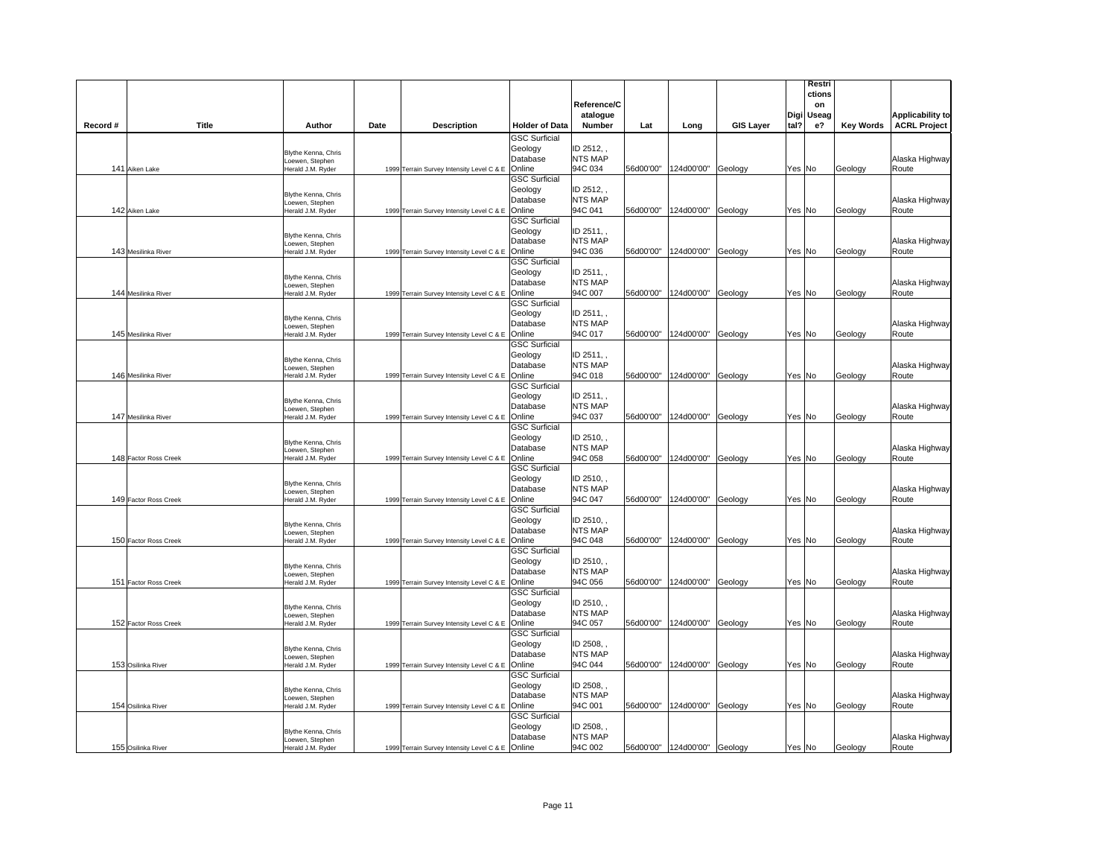|          |                       |                                        |      |                                                  |                                 |                              |           |                               |                  |        | Restri<br>ctions |                  |                         |
|----------|-----------------------|----------------------------------------|------|--------------------------------------------------|---------------------------------|------------------------------|-----------|-------------------------------|------------------|--------|------------------|------------------|-------------------------|
|          |                       |                                        |      |                                                  |                                 | Reference/C                  |           |                               |                  |        | on               |                  |                         |
|          |                       |                                        |      |                                                  |                                 | atalogue                     |           |                               |                  | Digi   | Useag            |                  | <b>Applicability to</b> |
| Record # | <b>Title</b>          | Author                                 | Date | <b>Description</b>                               | <b>Holder of Data</b>           | Number                       | Lat       | Long                          | <b>GIS Layer</b> | tal?   | e?               | <b>Key Words</b> | <b>ACRL Project</b>     |
|          |                       |                                        |      |                                                  | <b>GSC Surficial</b><br>Geology | ID 2512,                     |           |                               |                  |        |                  |                  |                         |
|          |                       | Blythe Kenna, Chris<br>Loewen, Stephen |      |                                                  | Database                        | <b>NTS MAP</b>               |           |                               |                  |        |                  |                  | Alaska Highway          |
|          | 141 Aiken Lake        | Herald J.M. Ryder                      |      | 1999 Terrain Survey Intensity Level C & E        | Online                          | 94C 034                      | 56d00'00" | 124d00'00"                    | Geology          | Yes No |                  | Geology          | Route                   |
|          |                       |                                        |      |                                                  | <b>GSC Surficial</b>            |                              |           |                               |                  |        |                  |                  |                         |
|          |                       | Blythe Kenna, Chris                    |      |                                                  | Geology                         | ID 2512,                     |           |                               |                  |        |                  |                  |                         |
|          | 142 Aiken Lake        | Loewen, Stephen<br>Herald J.M. Ryder   |      | 1999 Terrain Survey Intensity Level C & E        | Database<br>Online              | <b>NTS MAP</b><br>94C 041    | 56d00'00" | 124d00'00"                    | Geology          | Yes No |                  | Geology          | Alaska Highway<br>Route |
|          |                       |                                        |      |                                                  | <b>GSC Surficial</b>            |                              |           |                               |                  |        |                  |                  |                         |
|          |                       |                                        |      |                                                  | Geology                         | ID 2511,                     |           |                               |                  |        |                  |                  |                         |
|          |                       | Blythe Kenna, Chris<br>oewen, Stephen  |      |                                                  | Database                        | <b>NTS MAP</b>               |           |                               |                  |        |                  |                  | Alaska Highway          |
|          | 143 Mesilinka River   | Herald J.M. Ryder                      |      | 1999 Terrain Survey Intensity Level C & E        | Online                          | 94C 036                      | 56d00'00" | 124d00'00"                    | Geology          | Yes No |                  | Geology          | Route                   |
|          |                       |                                        |      |                                                  | <b>GSC Surficial</b>            |                              |           |                               |                  |        |                  |                  |                         |
|          |                       | Blythe Kenna, Chris                    |      |                                                  | Geology<br>Database             | ID 2511,<br><b>NTS MAP</b>   |           |                               |                  |        |                  |                  | Alaska Highway          |
|          | 144 Mesilinka River   | oewen, Stephen<br>Herald J.M. Ryder    |      | 1999 Terrain Survey Intensity Level C & E        | Online                          | 94C 007                      | 56d00'00" | 124d00'00"                    | Geology          | Yes No |                  | Geology          | Route                   |
|          |                       |                                        |      |                                                  | <b>GSC Surficial</b>            |                              |           |                               |                  |        |                  |                  |                         |
|          |                       | Blythe Kenna, Chris                    |      |                                                  | Geology                         | ID 2511,                     |           |                               |                  |        |                  |                  |                         |
|          |                       | oewen. Stephen                         |      |                                                  | Database                        | <b>NTS MAP</b>               |           |                               |                  |        |                  |                  | Alaska Highway          |
|          | 145 Mesilinka River   | Herald J.M. Ryder                      |      | 1999 Terrain Survey Intensity Level C & E        | Online                          | 94C 017                      | 56d00'00" | 124d00'00"                    | Geology          | Yes No |                  | Geology          | Route                   |
|          |                       |                                        |      |                                                  | <b>GSC Surficial</b><br>Geology | ID 2511,                     |           |                               |                  |        |                  |                  |                         |
|          |                       | Blythe Kenna, Chris                    |      |                                                  | Database                        | NTS MAP                      |           |                               |                  |        |                  |                  | Alaska Highway          |
|          | 146 Mesilinka River   | Loewen, Stephen<br>Herald J.M. Ryder   |      | 1999 Terrain Survey Intensity Level C & E        | Online                          | 94C 018                      | 56d00'00" | 124d00'00"                    | Geology          | Yes No |                  | Geology          | Route                   |
|          |                       |                                        |      |                                                  | <b>GSC Surficial</b>            |                              |           |                               |                  |        |                  |                  |                         |
|          |                       | Blythe Kenna, Chris                    |      |                                                  | Geology                         | ID 2511,                     |           |                               |                  |        |                  |                  |                         |
|          |                       | Loewen, Stephen                        |      |                                                  | Database                        | <b>NTS MAP</b>               |           |                               |                  |        |                  |                  | Alaska Highway          |
|          | 147 Mesilinka River   | Herald J.M. Ryder                      |      | 1999 Terrain Survey Intensity Level C & E Online | <b>GSC Surficial</b>            | 94C 037                      | 56d00'00" | 124d00'00"                    | Geology          | Yes No |                  | Geology          | Route                   |
|          |                       |                                        |      |                                                  | Geology                         | ID 2510,                     |           |                               |                  |        |                  |                  |                         |
|          |                       | Blythe Kenna, Chris<br>Loewen, Stephen |      |                                                  | Database                        | <b>NTS MAP</b>               |           |                               |                  |        |                  |                  | Alaska Highway          |
|          | 148 Factor Ross Creek | Herald J.M. Ryder                      |      | 1999 Terrain Survey Intensity Level C & E        | Online                          | 94C 058                      | 56d00'00" | 124d00'00" Geology            |                  | Yes No |                  | Geology          | Route                   |
|          |                       |                                        |      |                                                  | <b>GSC Surficial</b>            |                              |           |                               |                  |        |                  |                  |                         |
|          |                       | Blythe Kenna, Chris                    |      |                                                  | Geology<br>Database             | ID 2510, ,<br><b>NTS MAP</b> |           |                               |                  |        |                  |                  | Alaska Highway          |
|          | 149 Factor Ross Creek | Loewen, Stephen<br>Herald J.M. Ryder   |      | 1999 Terrain Survey Intensity Level C & E        | Online                          | 94C 047                      | 56d00'00" | 124d00'00" Geology            |                  | Yes No |                  | Geology          | Route                   |
|          |                       |                                        |      |                                                  | <b>GSC Surficial</b>            |                              |           |                               |                  |        |                  |                  |                         |
|          |                       | Blythe Kenna, Chris                    |      |                                                  | Geology                         | ID 2510,                     |           |                               |                  |        |                  |                  |                         |
|          |                       | oewen, Stephen                         |      |                                                  | Database                        | <b>NTS MAP</b>               |           |                               |                  |        |                  |                  | Alaska Highway          |
|          | 150 Factor Ross Creek | Herald J.M. Ryder                      |      | 1999 Terrain Survey Intensity Level C & E        | Online                          | 94C 048                      | 56d00'00" | 124d00'00"                    | Geology          | Yes No |                  | Geology          | Route                   |
|          |                       |                                        |      |                                                  | <b>GSC Surficial</b><br>Geology | ID 2510,                     |           |                               |                  |        |                  |                  |                         |
|          |                       | Blythe Kenna, Chris<br>oewen, Stephen  |      |                                                  | Database                        | <b>NTS MAP</b>               |           |                               |                  |        |                  |                  | Alaska Highway          |
|          | 151 Factor Ross Creek | lerald J.M. Ryder                      |      | 1999 Terrain Survey Intensity Level C & E        | Online                          | 94C 056                      | 56d00'00" | 124d00'00"                    | Geology          | Yes No |                  | Geology          | Route                   |
|          |                       |                                        |      |                                                  | <b>GSC Surficial</b>            |                              |           |                               |                  |        |                  |                  |                         |
|          |                       | Blythe Kenna, Chris                    |      |                                                  | Geology                         | ID 2510,                     |           |                               |                  |        |                  |                  |                         |
|          | 152 Factor Ross Creek | Loewen, Stephen                        |      |                                                  | Database<br>Online              | <b>NTS MAP</b><br>94C 057    |           |                               |                  |        |                  |                  | Alaska Highway<br>Route |
|          |                       | Herald J.M. Ryder                      |      | 1999 Terrain Survey Intensity Level C & E        | <b>GSC Surficial</b>            |                              | 56d00'00" | 124d00'00"                    | Geology          | Yes No |                  | Geology          |                         |
|          |                       |                                        |      |                                                  | Geology                         | ID 2508,                     |           |                               |                  |        |                  |                  |                         |
|          |                       | Blythe Kenna, Chris<br>Loewen, Stephen |      |                                                  | Database                        | <b>NTS MAP</b>               |           |                               |                  |        |                  |                  | Alaska Highway          |
|          | 153 Osilinka River    | Herald J.M. Ryder                      |      | 1999 Terrain Survey Intensity Level C & E Online |                                 | 94C 044                      | 56d00'00" | 124d00'00" Geology            |                  | Yes No |                  | Geology          | Route                   |
|          |                       |                                        |      |                                                  | <b>GSC Surficial</b>            |                              |           |                               |                  |        |                  |                  |                         |
|          |                       | Blythe Kenna, Chris                    |      |                                                  | Geology<br>Database             | ID 2508,<br><b>NTS MAP</b>   |           |                               |                  |        |                  |                  |                         |
|          | 154 Osilinka River    | Loewen, Stephen<br>Herald J.M. Ryder   |      | 1999 Terrain Survey Intensity Level C & E        | Online                          | 94C 001                      | 56d00'00" | 124d00'00"                    | Geology          | Yes No |                  | Geology          | Alaska Highway<br>Route |
|          |                       |                                        |      |                                                  | <b>GSC Surficial</b>            |                              |           |                               |                  |        |                  |                  |                         |
|          |                       | Blythe Kenna, Chris                    |      |                                                  | Geology                         | ID 2508,                     |           |                               |                  |        |                  |                  |                         |
|          |                       | Loewen, Stephen                        |      |                                                  | Database                        | <b>NTS MAP</b>               |           |                               |                  |        |                  |                  | Alaska Highway          |
|          | 155 Osilinka River    | Herald J.M. Ryder                      |      | 1999 Terrain Survey Intensity Level C & E Online |                                 | 94C 002                      |           | 56d00'00"  124d00'00" Geology |                  | Yes No |                  | Geology          | Route                   |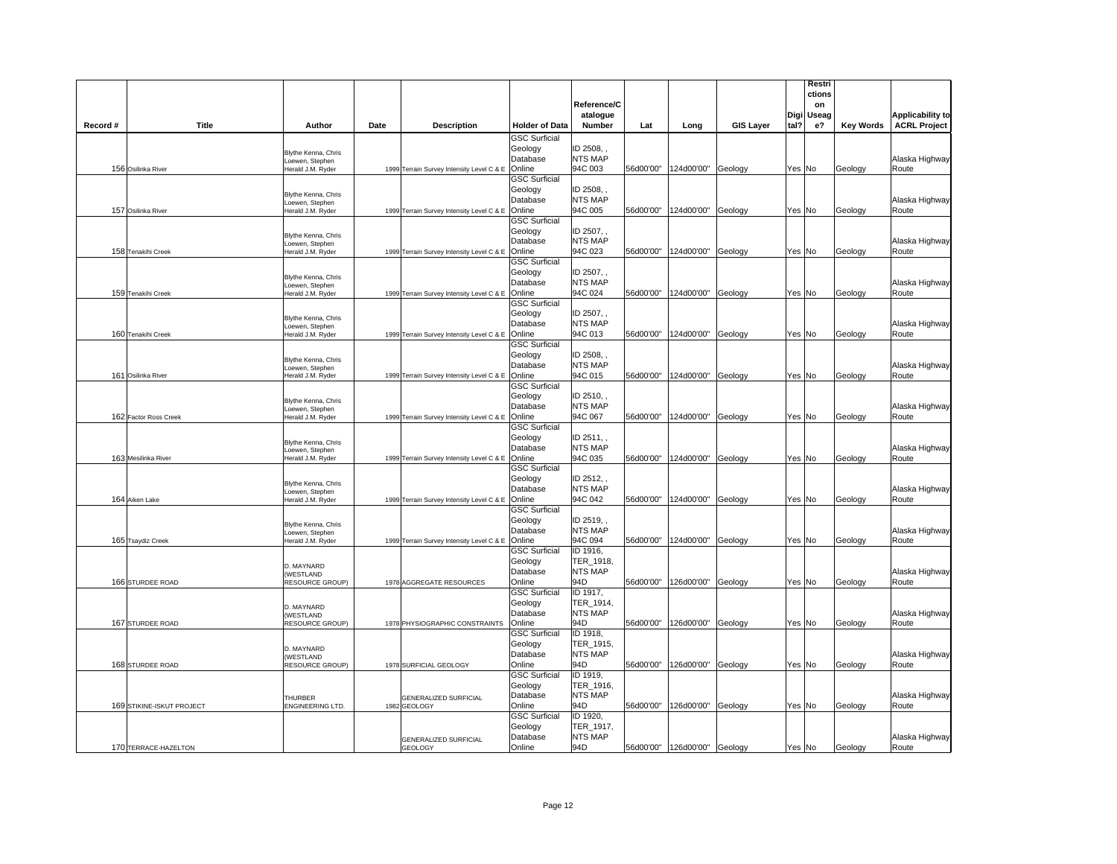|          |                           |                                           |      |                                              |                                 | Reference/C<br>atalogue     |           |                              |                  |        | Restri<br>ctions<br>on<br>Digi Useag |                  | <b>Applicability to</b> |
|----------|---------------------------|-------------------------------------------|------|----------------------------------------------|---------------------------------|-----------------------------|-----------|------------------------------|------------------|--------|--------------------------------------|------------------|-------------------------|
| Record # | <b>Title</b>              | Author                                    | Date | <b>Description</b>                           | <b>Holder of Data</b>           | Number                      | Lat       | Long                         | <b>GIS Layer</b> | tal?   | e?                                   | <b>Key Words</b> | <b>ACRL Project</b>     |
|          |                           |                                           |      |                                              | <b>GSC Surficial</b>            |                             |           |                              |                  |        |                                      |                  |                         |
|          |                           | Blythe Kenna, Chris                       |      |                                              | Geology                         | ID 2508,                    |           |                              |                  |        |                                      |                  |                         |
|          |                           | Loewen, Stephen                           |      |                                              | Database                        | <b>NTS MAP</b>              |           |                              |                  |        |                                      |                  | Alaska Highway          |
|          | 156 Osilinka River        | Herald J.M. Ryder                         |      | 1999 Terrain Survey Intensity Level C & E    | Online<br><b>GSC Surficial</b>  | 94C 003                     |           | 56d00'00" 124d00'00"         | Geology          | Yes No |                                      | Geology          | Route                   |
|          |                           |                                           |      |                                              | Geology                         | ID 2508,,                   |           |                              |                  |        |                                      |                  |                         |
|          |                           | Blythe Kenna, Chris                       |      |                                              | Database                        | <b>NTS MAP</b>              |           |                              |                  |        |                                      |                  | Alaska Highway          |
|          | 157 Osilinka River        | oewen. Stephen<br>Herald J.M. Ryder       |      | 1999 Terrain Survey Intensity Level C & E    | Online                          | 94C 005                     |           | 56d00'00" 124d00'00"         | Geology          | Yes No |                                      | Geology          | Route                   |
|          |                           |                                           |      |                                              | <b>GSC Surficial</b>            |                             |           |                              |                  |        |                                      |                  |                         |
|          |                           | Blythe Kenna, Chris                       |      |                                              | Geology                         | ID 2507,                    |           |                              |                  |        |                                      |                  |                         |
|          |                           | oewen, Stephen                            |      |                                              | Database                        | <b>NTS MAP</b>              |           |                              |                  |        |                                      |                  | Alaska Highway          |
|          | 158 Tenakihi Creek        | Herald J.M. Ryder                         |      | 1999 Terrain Survey Intensity Level C & E    | Online                          | 94C 023                     | 56d00'00" | 124d00'00"                   | Geology          | Yes No |                                      | Geology          | Route                   |
|          |                           |                                           |      |                                              | <b>GSC Surficial</b>            |                             |           |                              |                  |        |                                      |                  |                         |
|          |                           | Blythe Kenna, Chris                       |      |                                              | Geology                         | ID 2507.                    |           |                              |                  |        |                                      |                  |                         |
|          |                           | oewen. Stephen                            |      |                                              | Database                        | <b>NTS MAP</b>              |           |                              |                  |        |                                      |                  | Alaska Highway          |
|          | 159 Tenakihi Creek        | Herald J.M. Ryder                         |      | 1999 Terrain Survey Intensity Level C & E    | Online                          | 94C 024                     |           | 56d00'00" 124d00'00"         | Geology          | Yes No |                                      | Geology          | Route                   |
|          |                           |                                           |      |                                              | <b>GSC Surficial</b><br>Geology | ID 2507,                    |           |                              |                  |        |                                      |                  |                         |
|          |                           | Blythe Kenna, Chris                       |      |                                              | Database                        | <b>NTS MAP</b>              |           |                              |                  |        |                                      |                  | Alaska Highway          |
|          | 160 Tenakihi Creek        | oewen, Stephen<br>Herald J.M. Ryder       |      | 1999 Terrain Survey Intensity Level C & E    | Online                          | 94C 013                     | 56d00'00" | 124d00'00"                   | Geology          | Yes No |                                      | Geology          | Route                   |
|          |                           |                                           |      |                                              | <b>GSC Surficial</b>            |                             |           |                              |                  |        |                                      |                  |                         |
|          |                           |                                           |      |                                              | Geology                         | ID 2508,                    |           |                              |                  |        |                                      |                  |                         |
|          |                           | Blythe Kenna, Chris<br>Loewen, Stephen    |      |                                              | Database                        | <b>NTS MAP</b>              |           |                              |                  |        |                                      |                  | Alaska Highway          |
|          | 161 Osilinka River        | Herald J.M. Ryder                         |      | 1999 Terrain Survey Intensity Level C & E    | Online                          | 94C 015                     |           | 56d00'00" 124d00'00"         | Geology          | Yes No |                                      | Geology          | Route                   |
|          |                           |                                           |      |                                              | <b>GSC Surficial</b>            |                             |           |                              |                  |        |                                      |                  |                         |
|          |                           | Blythe Kenna, Chris                       |      |                                              | Geology                         | ID 2510,                    |           |                              |                  |        |                                      |                  |                         |
|          |                           | oewen, Stephen                            |      |                                              | Database                        | <b>NTS MAP</b>              |           |                              |                  |        |                                      |                  | Alaska Highway          |
|          | 162 Factor Ross Creek     | Herald J.M. Ryder                         |      | 1999 Terrain Survey Intensity Level C & E    | Online                          | 94C 067                     |           | 56d00'00" 124d00'00"         | Geology          | Yes No |                                      | Geology          | Route                   |
|          |                           |                                           |      |                                              | <b>GSC Surficial</b>            | ID 2511,                    |           |                              |                  |        |                                      |                  |                         |
|          |                           | Blythe Kenna, Chris                       |      |                                              | Geology<br>Database             | <b>NTS MAP</b>              |           |                              |                  |        |                                      |                  | Alaska Highway          |
|          | 163 Mesilinka River       | Loewen, Stephen<br>Herald J.M. Ryder      |      | 1999 Terrain Survey Intensity Level C & E    | Online                          | 94C 035                     | 56d00'00" | 124d00'00"                   | Geology          | Yes No |                                      | Geology          | Route                   |
|          |                           |                                           |      |                                              | <b>GSC Surficial</b>            |                             |           |                              |                  |        |                                      |                  |                         |
|          |                           |                                           |      |                                              | Geology                         | ID 2512,                    |           |                              |                  |        |                                      |                  |                         |
|          |                           | Blythe Kenna, Chris<br>Loewen, Stephen    |      |                                              | Database                        | <b>NTS MAP</b>              |           |                              |                  |        |                                      |                  | Alaska Highway          |
|          | 164 Aiken Lake            | Herald J.M. Ryder                         |      | 1999 Terrain Survey Intensity Level C & E    | Online                          | 94C 042                     |           | 56d00'00"  124d00'00"        | Geology          | Yes No |                                      | Geology          | Route                   |
|          |                           |                                           |      |                                              | <b>GSC Surficial</b>            |                             |           |                              |                  |        |                                      |                  |                         |
|          |                           | Blythe Kenna, Chris                       |      |                                              | Geology                         | ID 2519,                    |           |                              |                  |        |                                      |                  |                         |
|          |                           | oewen, Stephen                            |      |                                              | Database                        | <b>NTS MAP</b>              |           |                              |                  |        |                                      |                  | Alaska Highway          |
|          | 165 Tsaydiz Creek         | Herald J.M. Ryder                         |      | 1999 Terrain Survey Intensity Level C & E    | Online                          | 94C 094                     | 56d00'00" | 124d00'00"                   | Geology          | Yes No |                                      | Geology          | Route                   |
|          |                           |                                           |      |                                              | <b>GSC Surficial</b>            | ID 1916.                    |           |                              |                  |        |                                      |                  |                         |
|          |                           | D. MAYNARD                                |      |                                              | Geology<br>Database             | TER_1918,<br><b>NTS MAP</b> |           |                              |                  |        |                                      |                  | Alaska Highway          |
|          | 166 STURDEE ROAD          | <b>WESTLAND</b><br><b>RESOURCE GROUP)</b> |      | 1978 AGGREGATE RESOURCES                     | Online                          | 94D                         | 56d00'00" | 126d00'00"                   | Geology          | Yes No |                                      | Geology          | Route                   |
|          |                           |                                           |      |                                              | <b>GSC Surficial</b>            | ID 1917,                    |           |                              |                  |        |                                      |                  |                         |
|          |                           |                                           |      |                                              | Geology                         | TER_1914,                   |           |                              |                  |        |                                      |                  |                         |
|          |                           | D. MAYNARD<br>(WESTLAND                   |      |                                              | Database                        | <b>NTS MAP</b>              |           |                              |                  |        |                                      |                  | Alaska Highway          |
|          | 167 STURDEE ROAD          | RESOURCE GROUP)                           |      | 1978 PHYSIOGRAPHIC CONSTRAINTS               | Online                          | 94D                         | 56d00'00" | 126d00'00"                   | Geology          | Yes No |                                      | Geology          | Route                   |
|          |                           |                                           |      |                                              | <b>GSC Surficial</b>            | ID 1918,                    |           |                              |                  |        |                                      |                  |                         |
|          |                           | D. MAYNARD                                |      |                                              | Geology                         | TER_1915,                   |           |                              |                  |        |                                      |                  |                         |
|          |                           | (WESTLAND                                 |      |                                              | Database                        | <b>NTS MAP</b>              |           |                              |                  |        |                                      |                  | Alaska Highway          |
|          | 168 STURDEE ROAD          | RESOURCE GROUP)                           |      | 1978 SURFICIAL GEOLOGY                       | Online                          | 94D                         |           | 56d00'00"  126d00'00"        | Geology          | Yes No |                                      | Geology          | Route                   |
|          |                           |                                           |      |                                              | <b>GSC Surficial</b>            | ID 1919,                    |           |                              |                  |        |                                      |                  |                         |
|          |                           |                                           |      |                                              | Geology                         | TER_1916,                   |           |                              |                  |        |                                      |                  |                         |
|          | 169 STIKINE-ISKUT PROJECT | THURBER<br>ENGINEERING LTD.               |      | <b>GENERALIZED SURFICIAL</b><br>1982 GEOLOGY | Database<br>Online              | <b>NTS MAP</b><br>94D       |           | 56d00'00" 126d00'00" Geology |                  | Yes No |                                      | Geology          | Alaska Highway<br>Route |
|          |                           |                                           |      |                                              | <b>GSC Surficial</b>            | ID 1920,                    |           |                              |                  |        |                                      |                  |                         |
|          |                           |                                           |      |                                              | Geology                         | TER_1917,                   |           |                              |                  |        |                                      |                  |                         |
|          |                           |                                           |      | <b>GENERALIZED SURFICIAL</b>                 | Database                        | <b>NTS MAP</b>              |           |                              |                  |        |                                      |                  | Alaska Highway          |
|          | 170 TERRACE-HAZELTON      |                                           |      | <b>GEOLOGY</b>                               | Online                          | 94D                         |           | 56d00'00" 126d00'00" Geology |                  | Yes No |                                      | Geology          | Route                   |
|          |                           |                                           |      |                                              |                                 |                             |           |                              |                  |        |                                      |                  |                         |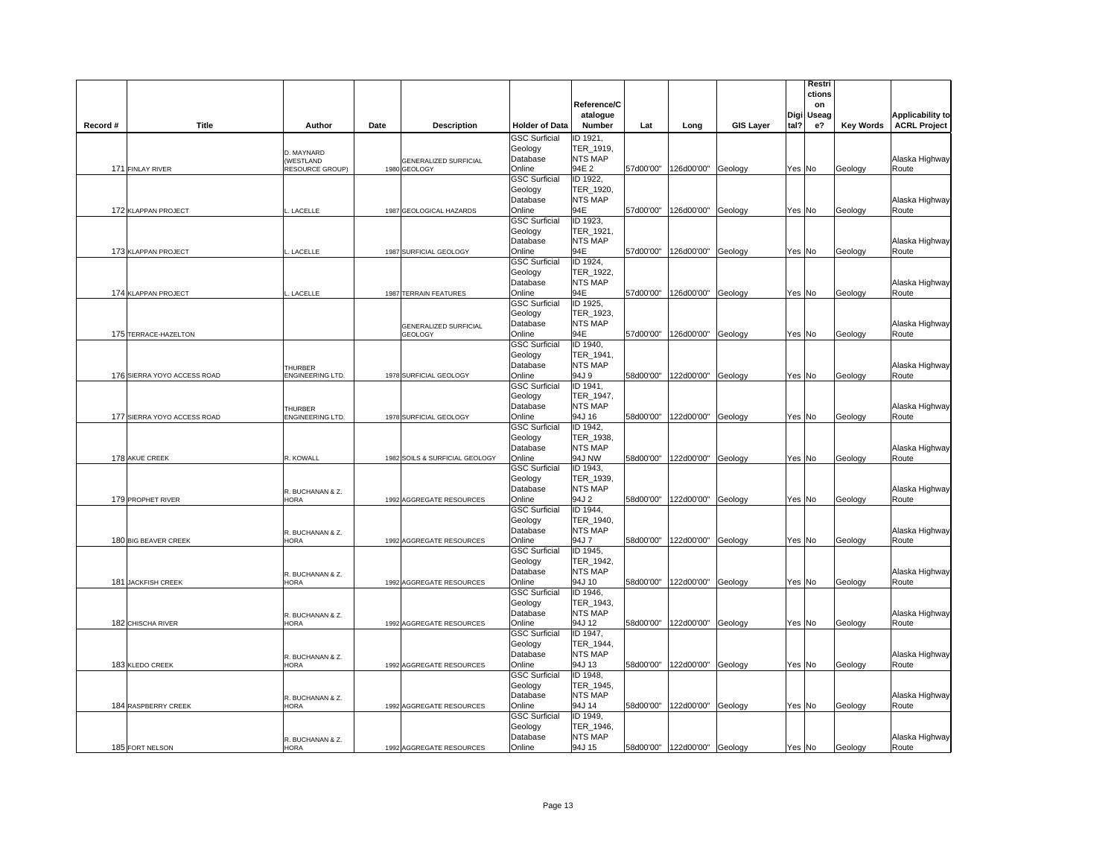|          |                             |                                                   |                                                |                                                       | Reference/C<br>atalogue                           |           |                              |                  |        | Restri<br>ctions<br>on<br>Digi Useag |                  | <b>Applicability to</b> |
|----------|-----------------------------|---------------------------------------------------|------------------------------------------------|-------------------------------------------------------|---------------------------------------------------|-----------|------------------------------|------------------|--------|--------------------------------------|------------------|-------------------------|
| Record # | Title                       | Author                                            | Date<br><b>Description</b>                     | <b>Holder of Data</b>                                 | <b>Number</b>                                     | Lat       | Long                         | <b>GIS Layer</b> | tal?   | е?                                   | <b>Key Words</b> | <b>ACRL Project</b>     |
|          | 171 FINLAY RIVER            | D. MAYNARD<br>(WESTLAND<br><b>RESOURCE GROUP)</b> | <b>GENERALIZED SURFICIAL</b><br>1980 GEOLOGY   | <b>GSC Surficial</b><br>Geology<br>Database<br>Online | ID 1921,<br>TER_1919,<br>NTS MAP<br>94E 2         |           | 57d00'00" 126d00'00" Geology |                  |        | Yes No                               | Geology          | Alaska Highway<br>Route |
|          |                             |                                                   |                                                | <b>GSC Surficial</b><br>Geology<br>Database           | ID 1922,<br>TER_1920,<br><b>NTS MAP</b>           |           |                              |                  |        |                                      |                  | Alaska Highway          |
|          | 172 KLAPPAN PROJECT         | LACELLE                                           | 1987 GEOLOGICAL HAZARDS                        | Online<br><b>GSC Surficial</b><br>Geology<br>Database | 94E<br>ID 1923,<br>TER_1921,<br>NTS MAP           |           | 57d00'00" 126d00'00" Geology |                  | Yes No |                                      | Geology          | Route<br>Alaska Highway |
|          | 173 KLAPPAN PROJECT         | LACELLE                                           | 1987 SURFICIAL GEOLOGY                         | Online<br><b>GSC Surficial</b><br>Geology<br>Database | 94E<br>ID 1924,<br>TER 1922,<br><b>NTS MAP</b>    | 57d00'00" | 126d00'00"                   | Geology          | Yes No |                                      | Geology          | Route<br>Alaska Highway |
|          | 174 KLAPPAN PROJECT         | LACELLE                                           | 1987 TERRAIN FEATURES                          | Online<br><b>GSC Surficial</b><br>Geology             | 94E<br>ID 1925,<br>TER 1923,                      |           | 57d00'00" 126d00'00" Geology |                  | Yes No |                                      | Geology          | Route                   |
|          | 175 TERRACE-HAZELTON        |                                                   | <b>GENERALIZED SURFICIAL</b><br><b>GEOLOGY</b> | Database<br>Online<br><b>GSC Surficial</b><br>Geology | <b>NTS MAP</b><br>94E<br>ID 1940,<br>TER_1941,    | 57d00'00" | 126d00'00"                   | Geology          | Yes No |                                      | Geology          | Alaska Highway<br>Route |
|          | 176 SIERRA YOYO ACCESS ROAD | <b>THURBER</b><br>ENGINEERING LTD.                | 1978 SURFICIAL GEOLOGY                         | Database<br>Online<br><b>GSC Surficial</b>            | <b>NTS MAP</b><br>94J 9<br>ID 1941,               |           | 58d00'00" 122d00'00" Geology |                  | Yes No |                                      | Geology          | Alaska Highway<br>Route |
|          | 177 SIERRA YOYO ACCESS ROAD | THURBER<br>ENGINEERING LTD.                       | 1978 SURFICIAL GEOLOGY                         | Geology<br>Database<br>Online<br><b>GSC Surficial</b> | TER_1947,<br><b>NTS MAP</b><br>94J 16             |           | 58d00'00" 122d00'00" Geology |                  | Yes No |                                      | Geology          | Alaska Highway<br>Route |
|          | 178 AKUE CREEK              | R. KOWALL                                         | 1982 SOILS & SURFICIAL GEOLOGY                 | Geology<br>Database<br>Online                         | ID 1942,<br>TER_1938,<br>NTS MAP<br>94J NW        |           | 58d00'00" 122d00'00" Geology |                  | Yes No |                                      | Geology          | Alaska Highway<br>Route |
|          | 179 PROPHET RIVER           | R. BUCHANAN & Z.<br><b>HORA</b>                   | 1992 AGGREGATE RESOURCES                       | <b>GSC Surficial</b><br>Geology<br>Database<br>Online | ID 1943,<br>TER 1939,<br><b>NTS MAP</b><br>94J 2  | 58d00'00" | 122d00'00" Geology           |                  | Yes No |                                      | Geology          | Alaska Highway<br>Route |
|          | 180 BIG BEAVER CREEK        | R. BUCHANAN & Z.<br><b>HORA</b>                   | 1992 AGGREGATE RESOURCES                       | <b>GSC Surficial</b><br>Geology<br>Database<br>Online | ID 1944,<br>TER 1940,<br>NTS MAP<br>94J 7         | 58d00'00" | 122d00'00"                   | Geology          | Yes No |                                      | Geology          | Alaska Highway<br>Route |
|          | 181 JACKFISH CREEK          | R. BUCHANAN & Z.<br><b>HORA</b>                   | 1992 AGGREGATE RESOURCES                       | <b>GSC Surficial</b><br>Geology<br>Database<br>Online | ID 1945,<br>TER_1942,<br><b>NTS MAP</b><br>94J 10 |           | 58d00'00" 122d00'00" Geology |                  | Yes No |                                      | Geology          | Alaska Highway<br>Route |
|          | 182 CHISCHA RIVER           | R. BUCHANAN & Z.<br><b>HORA</b>                   | 1992 AGGREGATE RESOURCES                       | <b>GSC Surficial</b><br>Geology<br>Database<br>Online | ID 1946.<br>TER 1943,<br><b>NTS MAP</b><br>94J 12 | 58d00'00" | 122d00'00"                   | Geology          | Yes No |                                      | Geology          | Alaska Highway<br>Route |
|          |                             | R. BUCHANAN & Z.                                  |                                                | <b>GSC Surficial</b><br>Geology<br>Database           | ID 1947,<br>TER_1944,<br><b>NTS MAP</b>           |           |                              |                  |        |                                      |                  | Alaska Highway          |
|          | 183 KLEDO CREEK             | HORA                                              | 1992 AGGREGATE RESOURCES                       | Online<br><b>GSC Surficial</b><br>Geology<br>Database | 94J 13<br>ID 1948,<br>TER_1945,<br><b>NTS MAP</b> |           | 58d00'00" 122d00'00" Geology |                  |        | Yes No                               | Geology          | Route<br>Alaska Highway |
|          | 184 RASPBERRY CREEK         | R. BUCHANAN & Z.<br><b>HORA</b>                   | 1992 AGGREGATE RESOURCES                       | Online<br><b>GSC Surficial</b><br>Geology             | 94J 14<br>ID 1949,<br>TER_1946,                   |           | 58d00'00" 122d00'00" Geology |                  | Yes No |                                      | Geology          | Route                   |
|          | 185 FORT NELSON             | R. BUCHANAN & Z.<br><b>HORA</b>                   | 1992 AGGREGATE RESOURCES                       | Database<br>Online                                    | NTS MAP<br>94J 15                                 |           | 58d00'00" 122d00'00" Geology |                  | Yes No |                                      | Geology          | Alaska Highway<br>Route |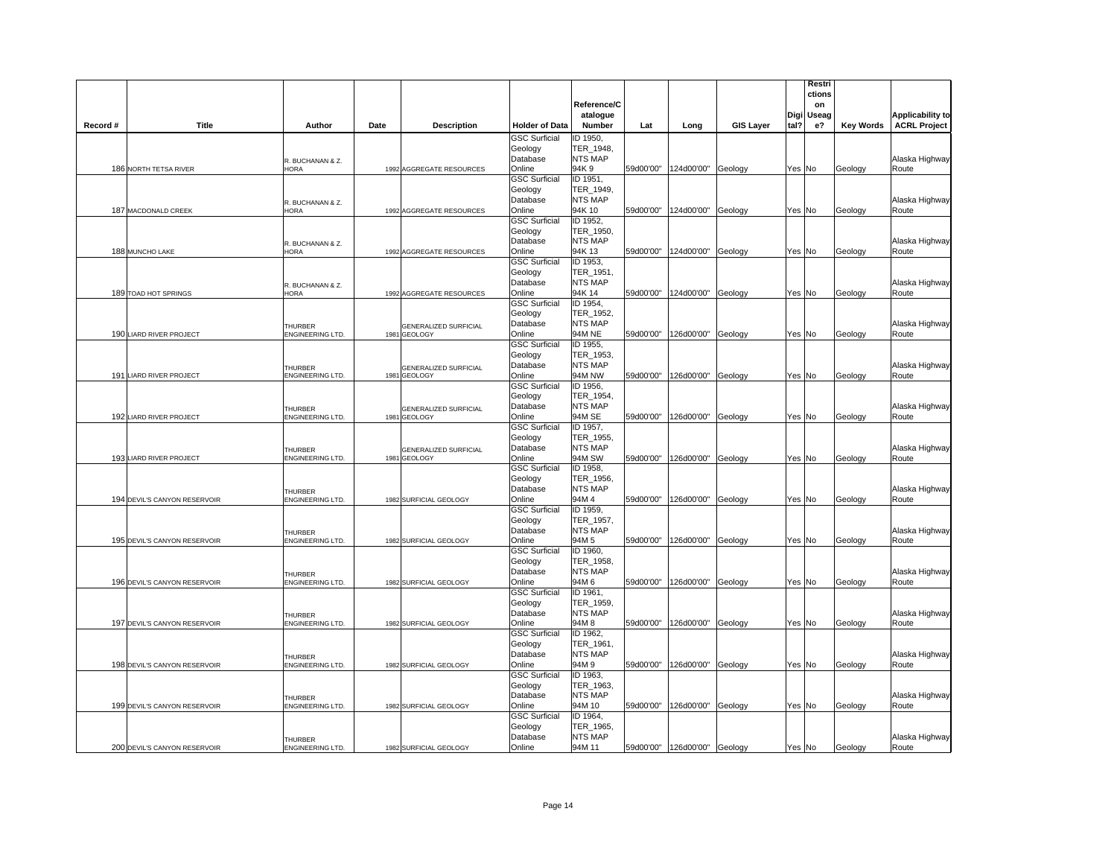|          |                              |                                           |                                       |                                 | Reference/C<br>atalogue     |           |                              |                  |         | Restri<br>ctions<br>on<br>Digi Useag |                  | <b>Applicability to</b> |
|----------|------------------------------|-------------------------------------------|---------------------------------------|---------------------------------|-----------------------------|-----------|------------------------------|------------------|---------|--------------------------------------|------------------|-------------------------|
| Record # | <b>Title</b>                 | Author                                    | Date<br><b>Description</b>            | <b>Holder of Data</b>           | Number                      | Lat       | Long                         | <b>GIS Layer</b> | tal?    | e?                                   | <b>Key Words</b> | <b>ACRL Project</b>     |
|          |                              |                                           |                                       | <b>GSC Surficial</b><br>Geology | ID 1950,<br>TER_1948,       |           |                              |                  |         |                                      |                  |                         |
|          |                              | R. BUCHANAN & Z.                          |                                       | Database                        | NTS MAP                     |           |                              |                  |         |                                      |                  | Alaska Highway          |
|          | 186 NORTH TETSA RIVER        | HORA                                      | 1992 AGGREGATE RESOURCES              | Online                          | 94K 9                       |           | 59d00'00" 124d00'00" Geology |                  | Yes No  |                                      | Geology          | Route                   |
|          |                              |                                           |                                       | <b>GSC Surficial</b>            | ID 1951,<br>TER_1949,       |           |                              |                  |         |                                      |                  |                         |
|          |                              |                                           |                                       | Geology<br>Database             | NTS MAP                     |           |                              |                  |         |                                      |                  | Alaska Highway          |
|          | 187 MACDONALD CREEK          | R. BUCHANAN & Z.<br>HORA                  | 1992 AGGREGATE RESOURCES              | Online                          | 94K 10                      |           | 59d00'00" 124d00'00" Geology |                  | Yes No  |                                      | Geology          | Route                   |
|          |                              |                                           |                                       | <b>GSC Surficial</b>            | ID 1952,                    |           |                              |                  |         |                                      |                  |                         |
|          |                              |                                           |                                       | Geology                         | TER_1950,                   |           |                              |                  |         |                                      |                  |                         |
|          | 188 MUNCHO LAKE              | R. BUCHANAN & Z.<br><b>HORA</b>           |                                       | Database<br>Online              | <b>NTS MAP</b><br>94K 13    | 59d00'00" |                              |                  | Yes No  |                                      |                  | Alaska Highway<br>Route |
|          |                              |                                           | 1992 AGGREGATE RESOURCES              | <b>GSC Surficial</b>            | ID 1953,                    |           | 124d00'00" Geology           |                  |         |                                      | Geology          |                         |
|          |                              |                                           |                                       | Geology                         | TER_1951,                   |           |                              |                  |         |                                      |                  |                         |
|          |                              | R. BUCHANAN & Z.                          |                                       | Database                        | NTS MAP                     |           |                              |                  |         |                                      |                  | Alaska Highway          |
|          | 189 TOAD HOT SPRINGS         | <b>HORA</b>                               | 1992 AGGREGATE RESOURCES              | Online                          | 94K 14                      | 59d00'00" | 124d00'00"                   | Geology          | Yes No  |                                      | Geology          | Route                   |
|          |                              |                                           |                                       | <b>GSC Surficial</b>            | ID 1954,                    |           |                              |                  |         |                                      |                  |                         |
|          |                              |                                           |                                       | Geology                         | TER 1952.<br><b>NTS MAP</b> |           |                              |                  |         |                                      |                  |                         |
|          | 190 LIARD RIVER PROJECT      | <b>THURBER</b><br>ENGINEERING LTD.        | GENERALIZED SURFICIAL<br>1981 GEOLOGY | Database<br>Online              | 94M NE                      | 59d00'00" | 126d00'00"                   | Geology          | Yes No  |                                      | Geology          | Alaska Highway<br>Route |
|          |                              |                                           |                                       | <b>GSC Surficial</b>            | ID 1955,                    |           |                              |                  |         |                                      |                  |                         |
|          |                              |                                           |                                       | Geology                         | TER_1953,                   |           |                              |                  |         |                                      |                  |                         |
|          |                              | THURBER                                   | GENERALIZED SURFICIAL                 | Database                        | NTS MAP                     |           |                              |                  |         |                                      |                  | Alaska Highway          |
|          | 191 LIARD RIVER PROJECT      | ENGINEERING LTD.                          | 1981 GEOLOGY                          | Online                          | <b>94M NW</b>               |           | 59d00'00" 126d00'00" Geology |                  | Yes No  |                                      | Geology          | Route                   |
|          |                              |                                           |                                       | <b>GSC Surficial</b>            | ID 1956,<br>TER_1954,       |           |                              |                  |         |                                      |                  |                         |
|          |                              |                                           |                                       | Geology<br>Database             | NTS MAP                     |           |                              |                  |         |                                      |                  | Alaska Highway          |
|          | 192 LIARD RIVER PROJECT      | THURBER<br>ENGINEERING LTD.               | GENERALIZED SURFICIAL<br>1981 GEOLOGY | Online                          | 94M SE                      |           | 59d00'00" 126d00'00" Geology |                  | Yes No  |                                      | Geology          | Route                   |
|          |                              |                                           |                                       | <b>GSC Surficial</b>            | ID 1957,                    |           |                              |                  |         |                                      |                  |                         |
|          |                              |                                           |                                       | Geology                         | TER_1955,                   |           |                              |                  |         |                                      |                  |                         |
|          |                              | <b>THURBER</b>                            | GENERALIZED SURFICIAL                 | Database                        | NTS MAP                     |           |                              |                  |         |                                      |                  | Alaska Highway          |
|          | 193 LIARD RIVER PROJECT      | ENGINEERING LTD.                          | 1981 GEOLOGY                          | Online<br><b>GSC Surficial</b>  | 94M SW<br>ID 1958,          |           | 59d00'00" 126d00'00" Geology |                  | Yes No  |                                      | Geology          | Route                   |
|          |                              |                                           |                                       | Geology                         | TER_1956,                   |           |                              |                  |         |                                      |                  |                         |
|          |                              | THURBER                                   |                                       | Database                        | NTS MAP                     |           |                              |                  |         |                                      |                  | Alaska Highway          |
|          | 194 DEVIL'S CANYON RESERVOIR | ENGINEERING LTD.                          | 1982 SURFICIAL GEOLOGY                | Online                          | 94M 4                       |           | 59d00'00" 126d00'00" Geology |                  | Yes No  |                                      | Geology          | Route                   |
|          |                              |                                           |                                       | <b>GSC Surficial</b>            | ID 1959,                    |           |                              |                  |         |                                      |                  |                         |
|          |                              |                                           |                                       | Geology                         | TER_1957,<br>NTS MAP        |           |                              |                  |         |                                      |                  |                         |
|          | 195 DEVIL'S CANYON RESERVOIR | <b>THURBER</b><br><b>ENGINEERING LTD.</b> | 1982 SURFICIAL GEOLOGY                | Database<br>Online              | 94M 5                       | 59d00'00" | 126d00'00"                   | Geology          | Yes No  |                                      | Geology          | Alaska Highway<br>Route |
|          |                              |                                           |                                       | <b>GSC Surficial</b>            | ID 1960,                    |           |                              |                  |         |                                      |                  |                         |
|          |                              |                                           |                                       | Geology                         | TER 1958,                   |           |                              |                  |         |                                      |                  |                         |
|          |                              | <b>THURBER</b>                            |                                       | Database                        | <b>NTS MAP</b>              |           |                              |                  |         |                                      |                  | Alaska Highway          |
|          | 196 DEVIL'S CANYON RESERVOIR | ENGINEERING LTD.                          | 1982 SURFICIAL GEOLOGY                | Online                          | 94M 6                       |           | 59d00'00" 126d00'00" Geology |                  | Yes No  |                                      | Geology          | Route                   |
|          |                              |                                           |                                       | <b>GSC Surficial</b><br>Geology | ID 1961,<br>TER 1959,       |           |                              |                  |         |                                      |                  |                         |
|          |                              | THURBER                                   |                                       | Database                        | <b>NTS MAP</b>              |           |                              |                  |         |                                      |                  | Alaska Highway          |
|          | 197 DEVIL'S CANYON RESERVOIR | <b>ENGINEERING LTD.</b>                   | 1982 SURFICIAL GEOLOGY                | Online                          | 94M 8                       | 59d00'00" | 126d00'00"                   | Geology          | Yes No  |                                      | Geology          | Route                   |
|          |                              |                                           |                                       | <b>GSC Surficial</b>            | ID 1962,                    |           |                              |                  |         |                                      |                  |                         |
|          |                              |                                           |                                       | Geology                         | TER_1961,                   |           |                              |                  |         |                                      |                  |                         |
|          |                              | THURBER                                   |                                       | Database                        | <b>NTS MAP</b>              |           |                              |                  |         |                                      |                  | Alaska Highway          |
|          | 198 DEVIL'S CANYON RESERVOIR | ENGINEERING LTD.                          | 1982 SURFICIAL GEOLOGY                | Online<br><b>GSC Surficial</b>  | 94M 9<br>ID 1963,           |           | 59d00'00" 126d00'00" Geology |                  |         | Yes No                               | Geology          | Route                   |
|          |                              |                                           |                                       | Geology                         | TER_1963,                   |           |                              |                  |         |                                      |                  |                         |
|          |                              | THURBER                                   |                                       | Database                        | NTS MAP                     |           |                              |                  |         |                                      |                  | Alaska Highway          |
|          | 199 DEVIL'S CANYON RESERVOIR | <b>ENGINEERING LTD.</b>                   | 1982 SURFICIAL GEOLOGY                | Online                          | 94M 10                      |           | 59d00'00" 126d00'00" Geology |                  | Yes  No |                                      | Geology          | Route                   |
|          |                              |                                           |                                       | <b>GSC Surficial</b>            | ID 1964,                    |           |                              |                  |         |                                      |                  |                         |
|          |                              |                                           |                                       | Geology                         | TER_1965,                   |           |                              |                  |         |                                      |                  |                         |
|          |                              | THURBER                                   |                                       | Database                        | NTS MAP<br>94M 11           |           |                              |                  |         |                                      |                  | Alaska Highway          |
|          | 200 DEVIL'S CANYON RESERVOIR | ENGINEERING LTD.                          | 1982 SURFICIAL GEOLOGY                | Online                          |                             |           | 59d00'00" 126d00'00" Geology |                  | Yes No  |                                      | Geology          | Route                   |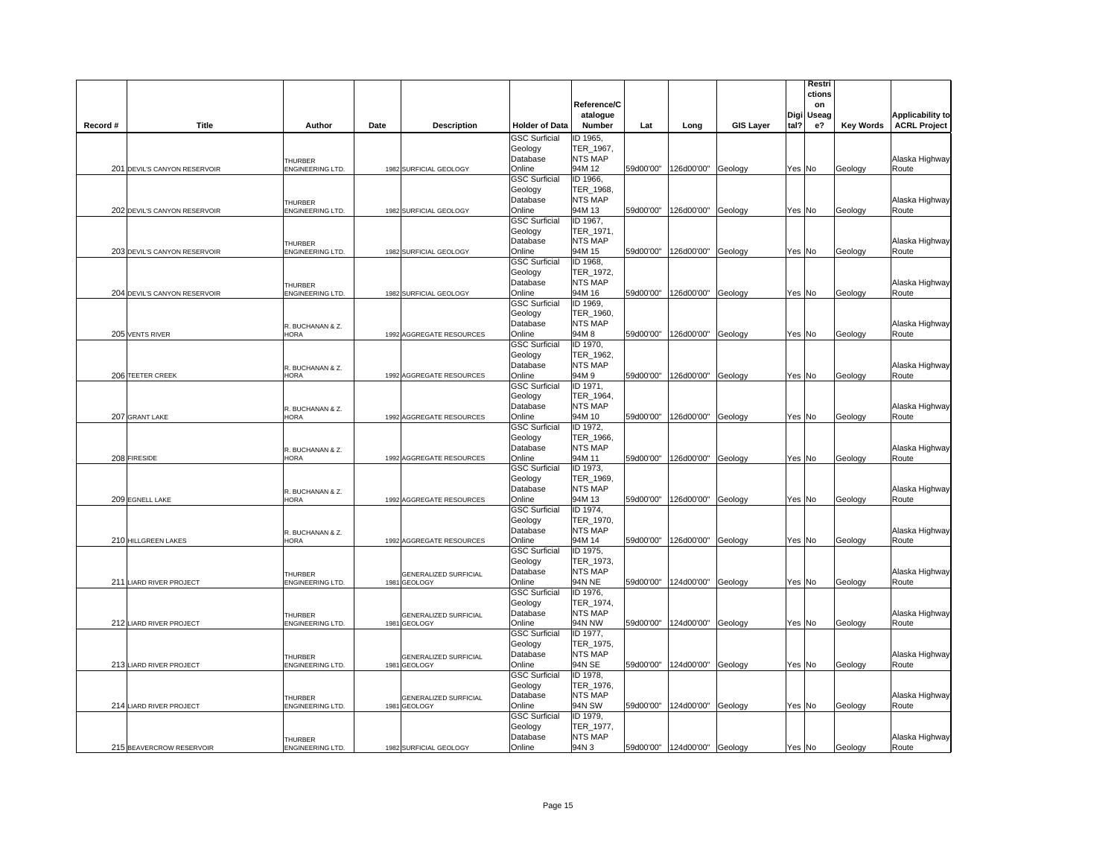|          |                              |                                    |                                       |                                 | Reference/C<br>atalogue     |           |                              |                  |        | Restri<br>ctions<br>on<br>Digi Useag |                  | <b>Applicability to</b> |
|----------|------------------------------|------------------------------------|---------------------------------------|---------------------------------|-----------------------------|-----------|------------------------------|------------------|--------|--------------------------------------|------------------|-------------------------|
| Record # | <b>Title</b>                 | Author                             | Date<br><b>Description</b>            | <b>Holder of Data</b>           | Number                      | Lat       | Long                         | <b>GIS Layer</b> | tal?   | e?                                   | <b>Key Words</b> | <b>ACRL Project</b>     |
|          |                              |                                    |                                       | <b>GSC Surficial</b>            | ID 1965,                    |           |                              |                  |        |                                      |                  |                         |
|          |                              |                                    |                                       | Geology<br>Database             | TER_1967,<br>NTS MAP        |           |                              |                  |        |                                      |                  |                         |
|          | 201 DEVIL'S CANYON RESERVOIR | <b>THURBER</b><br>ENGINEERING LTD. | 1982 SURFICIAL GEOLOGY                | Online                          | 94M 12                      |           | 59d00'00" 126d00'00" Geology |                  | Yes No |                                      | Geology          | Alaska Highway<br>Route |
|          |                              |                                    |                                       | <b>GSC Surficial</b>            | ID 1966,                    |           |                              |                  |        |                                      |                  |                         |
|          |                              |                                    |                                       | Geology                         | TER_1968,                   |           |                              |                  |        |                                      |                  |                         |
|          |                              | THURBER                            |                                       | Database                        | NTS MAP                     |           |                              |                  |        |                                      |                  | Alaska Highway          |
|          | 202 DEVIL'S CANYON RESERVOIR | ENGINEERING LTD.                   | 1982 SURFICIAL GEOLOGY                | Online<br><b>GSC Surficial</b>  | 94M 13<br>ID 1967,          |           | 59d00'00" 126d00'00" Geology |                  | Yes No |                                      | Geology          | Route                   |
|          |                              |                                    |                                       | Geology                         | TER_1971,                   |           |                              |                  |        |                                      |                  |                         |
|          |                              | <b>THURBER</b>                     |                                       | Database                        | NTS MAP                     |           |                              |                  |        |                                      |                  | Alaska Highway          |
|          | 203 DEVIL'S CANYON RESERVOIR | <b>ENGINEERING LTD.</b>            | 1982 SURFICIAL GEOLOGY                | Online                          | 94M 15                      | 59d00'00" | 126d00'00" Geology           |                  | Yes No |                                      | Geology          | Route                   |
|          |                              |                                    |                                       | <b>GSC Surficial</b>            | ID 1968,                    |           |                              |                  |        |                                      |                  |                         |
|          |                              |                                    |                                       | Geology                         | TER_1972,<br>NTS MAP        |           |                              |                  |        |                                      |                  |                         |
|          | 204 DEVIL'S CANYON RESERVOIR | <b>THURBER</b><br>ENGINEERING LTD. | 1982 SURFICIAL GEOLOGY                | Database<br>Online              | 94M 16                      | 59d00'00" | 126d00'00"                   | Geology          | Yes No |                                      | Geology          | Alaska Highway<br>Route |
|          |                              |                                    |                                       | <b>GSC Surficial</b>            | ID 1969,                    |           |                              |                  |        |                                      |                  |                         |
|          |                              |                                    |                                       | Geology                         | TER 1960,                   |           |                              |                  |        |                                      |                  |                         |
|          |                              | R. BUCHANAN & Z.                   |                                       | Database                        | <b>NTS MAP</b>              |           |                              |                  |        |                                      |                  | Alaska Highway          |
|          | 205 VENTS RIVER              | <b>HORA</b>                        | 1992 AGGREGATE RESOURCES              | Online                          | 94M 8                       | 59d00'00" | 126d00'00"                   | Geology          | Yes No |                                      | Geology          | Route                   |
|          |                              |                                    |                                       | <b>GSC Surficial</b><br>Geology | ID 1970,<br>TER_1962,       |           |                              |                  |        |                                      |                  |                         |
|          |                              | R. BUCHANAN & Z.                   |                                       | Database                        | NTS MAP                     |           |                              |                  |        |                                      |                  | Alaska Highway          |
|          | 206 TEETER CREEK             | HORA                               | 1992 AGGREGATE RESOURCES              | Online                          | 94M 9                       |           | 59d00'00" 126d00'00" Geology |                  | Yes No |                                      | Geology          | Route                   |
|          |                              |                                    |                                       | <b>GSC Surficial</b>            | ID 1971,                    |           |                              |                  |        |                                      |                  |                         |
|          |                              |                                    |                                       | Geology                         | TER_1964,                   |           |                              |                  |        |                                      |                  |                         |
|          |                              | R. BUCHANAN & Z.                   |                                       | Database                        | NTS MAP                     |           |                              |                  |        |                                      |                  | Alaska Highway          |
|          | 207 GRANT LAKE               | HORA                               | 1992 AGGREGATE RESOURCES              | Online<br><b>GSC Surficial</b>  | 94M 10<br>ID 1972,          |           | 59d00'00" 126d00'00" Geology |                  | Yes No |                                      | Geology          | Route                   |
|          |                              |                                    |                                       | Geology                         | TER_1966,                   |           |                              |                  |        |                                      |                  |                         |
|          |                              | R. BUCHANAN & Z.                   |                                       | Database                        | NTS MAP                     |           |                              |                  |        |                                      |                  | Alaska Highway          |
|          | 208 FIRESIDE                 | HORA                               | 1992 AGGREGATE RESOURCES              | Online                          | 94M 11                      |           | 59d00'00" 126d00'00" Geology |                  | Yes No |                                      | Geology          | Route                   |
|          |                              |                                    |                                       | <b>GSC Surficial</b>            | ID 1973,                    |           |                              |                  |        |                                      |                  |                         |
|          |                              |                                    |                                       | Geology<br>Database             | TER 1969,<br>NTS MAP        |           |                              |                  |        |                                      |                  | Alaska Highway          |
|          | 209 EGNELL LAKE              | R. BUCHANAN & Z.<br>HORA           | 1992 AGGREGATE RESOURCES              | Online                          | 94M 13                      |           | 59d00'00" 126d00'00" Geology |                  | Yes No |                                      | Geology          | Route                   |
|          |                              |                                    |                                       | <b>GSC Surficial</b>            | ID 1974,                    |           |                              |                  |        |                                      |                  |                         |
|          |                              |                                    |                                       | Geology                         | TER_1970,                   |           |                              |                  |        |                                      |                  |                         |
|          |                              | R. BUCHANAN & Z.                   |                                       | Database                        | NTS MAP                     |           |                              |                  |        |                                      |                  | Alaska Highway          |
|          | 210 HILLGREEN LAKES          | <b>HORA</b>                        | 1992 AGGREGATE RESOURCES              | Online<br><b>GSC Surficial</b>  | 94M 14<br>ID 1975,          | 59d00'00" | 126d00'00"                   | Geology          | Yes No |                                      | Geology          | Route                   |
|          |                              |                                    |                                       | Geology                         | TER 1973,                   |           |                              |                  |        |                                      |                  |                         |
|          |                              | <b>THURBER</b>                     | <b>GENERALIZED SURFICIAL</b>          | Database                        | <b>NTS MAP</b>              |           |                              |                  |        |                                      |                  | Alaska Highway          |
|          | 211 LIARD RIVER PROJECT      | ENGINEERING LTD.                   | 1981 GEOLOGY                          | Online                          | 94N NE                      |           | 59d00'00" 124d00'00" Geology |                  | Yes No |                                      | Geology          | Route                   |
|          |                              |                                    |                                       | <b>GSC Surficial</b>            | ID 1976,                    |           |                              |                  |        |                                      |                  |                         |
|          |                              |                                    |                                       | Geology<br>Database             | TER 1974,<br><b>NTS MAP</b> |           |                              |                  |        |                                      |                  |                         |
|          | 212 LIARD RIVER PROJECT      | THURBER<br><b>ENGINEERING LTD.</b> | GENERALIZED SURFICIAL<br>1981 GEOLOGY | Online                          | <b>94N NW</b>               | 59d00'00" | 124d00'00"                   | Geology          | Yes No |                                      | Geology          | Alaska Highway<br>Route |
|          |                              |                                    |                                       | <b>GSC Surficial</b>            | ID 1977,                    |           |                              |                  |        |                                      |                  |                         |
|          |                              |                                    |                                       | Geology                         | TER_1975,                   |           |                              |                  |        |                                      |                  |                         |
|          |                              | <b>THURBER</b>                     | GENERALIZED SURFICIAL                 | Database                        | <b>NTS MAP</b>              |           |                              |                  |        |                                      |                  | Alaska Highway          |
|          | 213 LIARD RIVER PROJECT      | ENGINEERING LTD.                   | 1981 GEOLOGY                          | Online                          | 94N SE                      |           | 59d00'00" 124d00'00" Geology |                  | Yes No |                                      | Geology          | Route                   |
|          |                              |                                    |                                       | <b>GSC Surficial</b><br>Geology | ID 1978,<br>TER_1976,       |           |                              |                  |        |                                      |                  |                         |
|          |                              | THURBER                            | <b>GENERALIZED SURFICIAL</b>          | Database                        | NTS MAP                     |           |                              |                  |        |                                      |                  | Alaska Highway          |
|          | 214 LIARD RIVER PROJECT      | <b>ENGINEERING LTD.</b>            | 1981 GEOLOGY                          | Online                          | 94N SW                      |           | 59d00'00" 124d00'00" Geology |                  | Yes No |                                      | Geology          | Route                   |
|          |                              |                                    |                                       | <b>GSC Surficial</b>            | ID 1979,                    |           |                              |                  |        |                                      |                  |                         |
|          |                              |                                    |                                       | Geology                         | TER_1977,                   |           |                              |                  |        |                                      |                  |                         |
|          | 215 BEAVERCROW RESERVOIR     | THURBER<br>ENGINEERING LTD.        | 1982 SURFICIAL GEOLOGY                | Database<br>Online              | NTS MAP<br>94N 3            |           | 59d00'00" 124d00'00" Geology |                  | Yes No |                                      | Geology          | Alaska Highway<br>Route |
|          |                              |                                    |                                       |                                 |                             |           |                              |                  |        |                                      |                  |                         |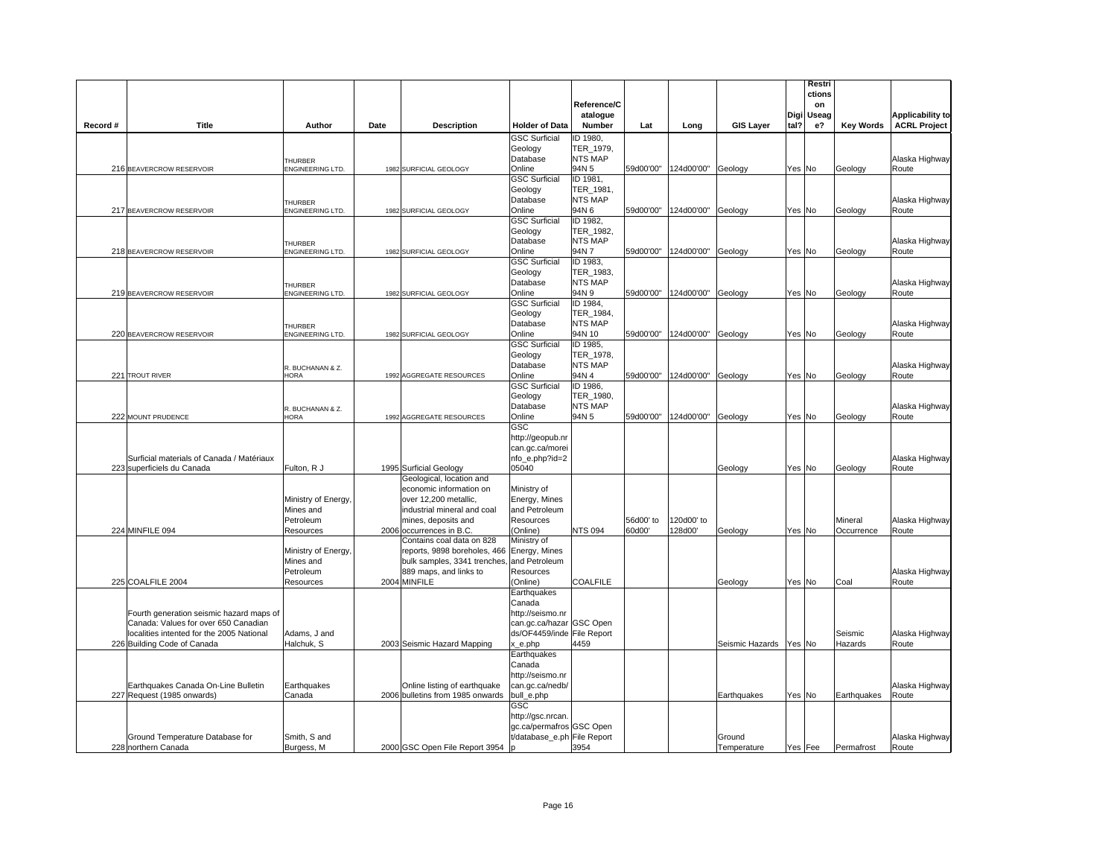|          |                                                        |                                    |                                                           |                                     | Reference/C<br>atalogue     |           |                              |                        | Digi   | Restri<br>ctions<br>on<br>Useag |                  | <b>Applicability to</b> |
|----------|--------------------------------------------------------|------------------------------------|-----------------------------------------------------------|-------------------------------------|-----------------------------|-----------|------------------------------|------------------------|--------|---------------------------------|------------------|-------------------------|
| Record # | <b>Title</b>                                           | Author                             | Date<br><b>Description</b>                                | <b>Holder of Data</b>               | Number                      | Lat       | Long                         | <b>GIS Layer</b>       | tal?   | e?                              | <b>Key Words</b> | <b>ACRL Project</b>     |
|          |                                                        |                                    |                                                           | <b>GSC Surficial</b>                | ID 1980,                    |           |                              |                        |        |                                 |                  |                         |
|          |                                                        |                                    |                                                           | Geology<br>Database                 | TER_1979,<br>NTS MAP        |           |                              |                        |        |                                 |                  | Alaska Highway          |
|          | 216 BEAVERCROW RESERVOIR                               | <b>HURBER</b><br>ENGINEERING LTD.  | 1982 SURFICIAL GEOLOGY                                    | Online                              | 94N 5                       |           | 59d00'00" 124d00'00" Geology |                        |        | Yes No                          | Geology          | Route                   |
|          |                                                        |                                    |                                                           | <b>GSC Surficial</b>                | ID 1981,                    |           |                              |                        |        |                                 |                  |                         |
|          |                                                        |                                    |                                                           | Geology                             | TER_1981,                   |           |                              |                        |        |                                 |                  |                         |
|          |                                                        | THURBER                            |                                                           | Database                            | NTS MAP<br>94N 6            |           |                              |                        |        |                                 |                  | Alaska Highway          |
|          | 217 BEAVERCROW RESERVOIR                               | ENGINEERING LTD.                   | 1982 SURFICIAL GEOLOGY                                    | Online<br><b>GSC Surficial</b>      | ID 1982,                    |           | 59d00'00" 124d00'00" Geology |                        | Yes No |                                 | Geology          | Route                   |
|          |                                                        |                                    |                                                           | Geology                             | TER 1982,                   |           |                              |                        |        |                                 |                  |                         |
|          |                                                        | <b>THURBER</b>                     |                                                           | Database                            | <b>NTS MAP</b>              |           |                              |                        |        |                                 |                  | Alaska Highway          |
|          | 218 BEAVERCROW RESERVOIR                               | ENGINEERING LTD.                   | 1982 SURFICIAL GEOLOGY                                    | Online                              | 94N 7                       | 59d00'00" | 124d00'00"                   | Geology                | Yes No |                                 | Geology          | Route                   |
|          |                                                        |                                    |                                                           | <b>GSC Surficial</b>                | ID 1983,                    |           |                              |                        |        |                                 |                  |                         |
|          |                                                        |                                    |                                                           | Geology<br>Database                 | TER_1983,<br><b>NTS MAP</b> |           |                              |                        |        |                                 |                  | Alaska Highway          |
|          | 219 BEAVERCROW RESERVOIR                               | <b>THURBER</b><br>ENGINEERING LTD. | 1982 SURFICIAL GEOLOGY                                    | Online                              | 94N 9                       | 59d00'00" | 124d00'00"                   | Geology                | Yes No |                                 | Geology          | Route                   |
|          |                                                        |                                    |                                                           | <b>GSC Surficial</b>                | ID 1984,                    |           |                              |                        |        |                                 |                  |                         |
|          |                                                        |                                    |                                                           | Geology                             | TER 1984,                   |           |                              |                        |        |                                 |                  |                         |
|          |                                                        | <b>THURBER</b>                     |                                                           | Database                            | <b>NTS MAP</b>              |           |                              |                        |        |                                 |                  | Alaska Highway          |
|          | 220 BEAVERCROW RESERVOIR                               | ENGINEERING LTD.                   | 1982 SURFICIAL GEOLOGY                                    | Online                              | 94N 10                      | 59d00'00" | 124d00'00"                   | Geology                |        | Yes No                          | Geology          | Route                   |
|          |                                                        |                                    |                                                           | <b>GSC Surficial</b><br>Geology     | ID 1985,<br>TER_1978,       |           |                              |                        |        |                                 |                  |                         |
|          |                                                        | R. BUCHANAN & Z.                   |                                                           | Database                            | <b>NTS MAP</b>              |           |                              |                        |        |                                 |                  | Alaska Highway          |
|          | 221 TROUT RIVER                                        | HORA                               | 1992 AGGREGATE RESOURCES                                  | Online                              | 94N 4                       |           | 59d00'00" 124d00'00" Geology |                        |        | Yes No                          | Geology          | Route                   |
|          |                                                        |                                    |                                                           | <b>GSC Surficial</b>                | ID 1986,                    |           |                              |                        |        |                                 |                  |                         |
|          |                                                        |                                    |                                                           | Geology                             | TER_1980,                   |           |                              |                        |        |                                 |                  |                         |
|          | 222 MOUNT PRUDENCE                                     | R. BUCHANAN & Z.<br><b>HORA</b>    | 1992 AGGREGATE RESOURCES                                  | Database<br>Online                  | NTS MAP<br>94N 5            |           | 59d00'00" 124d00'00" Geology |                        |        | Yes No                          |                  | Alaska Highway<br>Route |
|          |                                                        |                                    |                                                           | GSC                                 |                             |           |                              |                        |        |                                 | Geology          |                         |
|          |                                                        |                                    |                                                           | http://geopub.nr                    |                             |           |                              |                        |        |                                 |                  |                         |
|          |                                                        |                                    |                                                           | can.gc.ca/morei                     |                             |           |                              |                        |        |                                 |                  |                         |
|          | Surficial materials of Canada / Matériaux              |                                    |                                                           | nfo_e.php?id=2                      |                             |           |                              |                        |        |                                 |                  | Alaska Highway          |
|          | 223 superficiels du Canada                             | Fulton, R J                        | 1995 Surficial Geology                                    | 05040                               |                             |           |                              | Geology                | Yes No |                                 | Geology          | Route                   |
|          |                                                        |                                    | Geological, location and<br>economic information on       | Ministry of                         |                             |           |                              |                        |        |                                 |                  |                         |
|          |                                                        | Ministry of Energy,                | over 12,200 metallic,                                     | Energy, Mines                       |                             |           |                              |                        |        |                                 |                  |                         |
|          |                                                        | Mines and                          | industrial mineral and coal                               | and Petroleum                       |                             |           |                              |                        |        |                                 |                  |                         |
|          |                                                        | Petroleum                          | mines, deposits and                                       | Resources                           |                             | 56d00' to | 120d00' to                   |                        |        |                                 | Mineral          | Alaska Highway          |
|          | 224 MINFILE 094                                        | Resources                          | 2006 occurrences in B.C.                                  | (Online)                            | <b>NTS 094</b>              | 60d00'    | 128d00'                      | Geology                |        | Yes No                          | Occurrence       | Route                   |
|          |                                                        | Ministry of Energy,                | Contains coal data on 828<br>reports, 9898 boreholes, 466 | Ministry of<br>Energy, Mines        |                             |           |                              |                        |        |                                 |                  |                         |
|          |                                                        | Mines and                          | bulk samples, 3341 trenches,                              | and Petroleum                       |                             |           |                              |                        |        |                                 |                  |                         |
|          |                                                        | Petroleum                          | 889 maps, and links to                                    | Resources                           |                             |           |                              |                        |        |                                 |                  | Alaska Highway          |
|          | 225 COALFILE 2004                                      | Resources                          | 2004 MINFILE                                              | (Online)                            | COALFILE                    |           |                              | Geology                |        | Yes No                          | Coal             | Route                   |
|          |                                                        |                                    |                                                           | Earthquakes                         |                             |           |                              |                        |        |                                 |                  |                         |
|          | Fourth generation seismic hazard maps of               |                                    |                                                           | Canada<br>http://seismo.nr          |                             |           |                              |                        |        |                                 |                  |                         |
|          | Canada: Values for over 650 Canadian                   |                                    |                                                           | can.gc.ca/hazar GSC Open            |                             |           |                              |                        |        |                                 |                  |                         |
|          | localities intented for the 2005 National              | Adams, J and                       |                                                           | ds/OF4459/inde File Report          |                             |           |                              |                        |        |                                 | Seismic          | Alaska Highway          |
|          | 226 Building Code of Canada                            | Halchuk, S                         | 2003 Seismic Hazard Mapping                               | x_e.php                             | 4459                        |           |                              | Seismic Hazards Yes No |        |                                 | Hazards          | Route                   |
|          |                                                        |                                    |                                                           | Earthquakes                         |                             |           |                              |                        |        |                                 |                  |                         |
|          |                                                        |                                    |                                                           | Canada                              |                             |           |                              |                        |        |                                 |                  |                         |
|          | Earthquakes Canada On-Line Bulletin                    | Earthquakes                        | Online listing of earthquake                              | http://seismo.nr<br>can.gc.ca/nedb/ |                             |           |                              |                        |        |                                 |                  | Alaska Highway          |
|          | 227 Request (1985 onwards)                             | Canada                             | 2006 bulletins from 1985 onwards                          | bull_e.php                          |                             |           |                              | Earthquakes            |        | Yes No                          | Earthquakes      | Route                   |
|          |                                                        |                                    |                                                           | GSC                                 |                             |           |                              |                        |        |                                 |                  |                         |
|          |                                                        |                                    |                                                           | http://gsc.nrcan.                   |                             |           |                              |                        |        |                                 |                  |                         |
|          |                                                        |                                    |                                                           | gc.ca/permafros GSC Open            |                             |           |                              |                        |        |                                 |                  |                         |
|          | Ground Temperature Database for<br>228 northern Canada | Smith, S and<br>Burgess, M         | 2000 GSC Open File Report 3954                            | t/database_e.ph File Report         | 3954                        |           |                              | Ground<br>Temperature  |        | Yes Fee                         | Permafrost       | Alaska Highway<br>Route |
|          |                                                        |                                    |                                                           | Ip                                  |                             |           |                              |                        |        |                                 |                  |                         |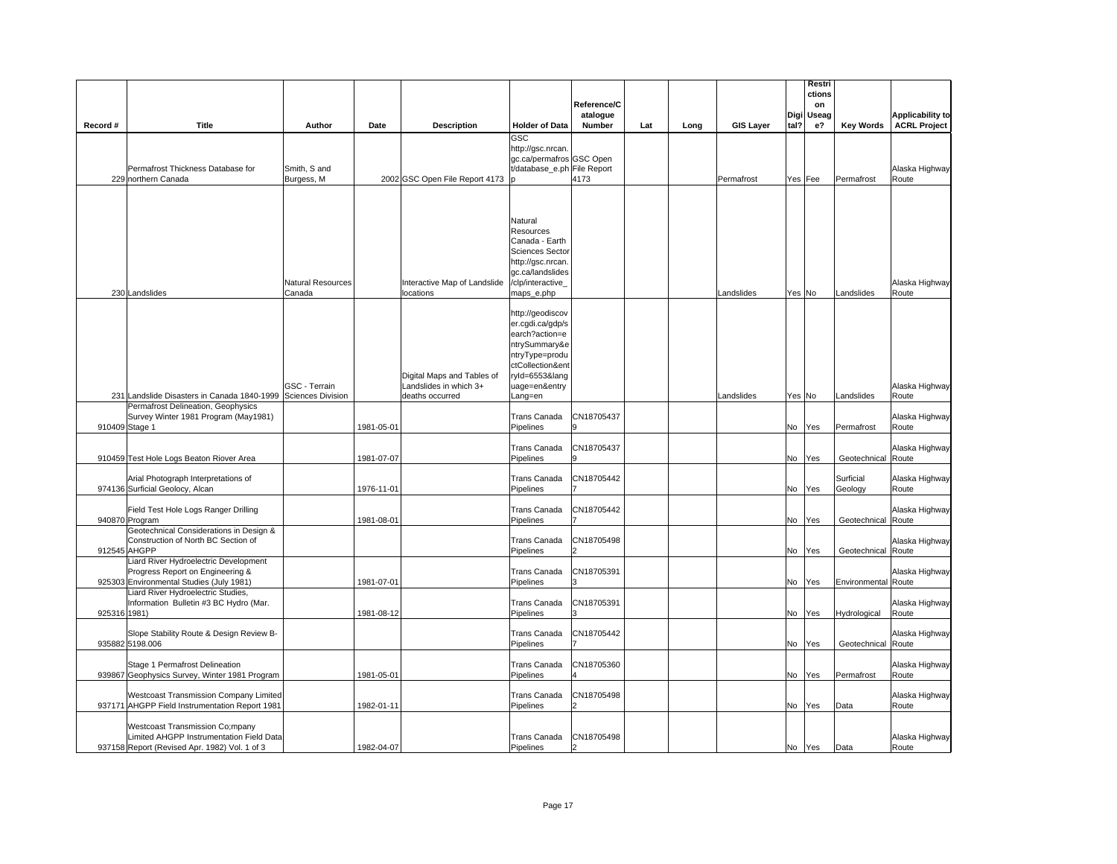|              |                                                                                                     |                          |            |                                |                                       |             |     |      |                  |        | Restri       |                     |                         |
|--------------|-----------------------------------------------------------------------------------------------------|--------------------------|------------|--------------------------------|---------------------------------------|-------------|-----|------|------------------|--------|--------------|---------------------|-------------------------|
|              |                                                                                                     |                          |            |                                |                                       | Reference/C |     |      |                  |        | ctions<br>on |                     |                         |
|              |                                                                                                     |                          |            |                                |                                       | atalogue    |     |      |                  | Digi   | Useag        |                     | Applicability to        |
| Record #     | Title                                                                                               | Author                   | Date       | <b>Description</b>             | <b>Holder of Data</b>                 | Number      | Lat | Long | <b>GIS Layer</b> | tal?   | $e$ ?        | <b>Key Words</b>    | <b>ACRL Project</b>     |
|              |                                                                                                     |                          |            |                                | GSC<br>http://gsc.nrcan.              |             |     |      |                  |        |              |                     |                         |
|              |                                                                                                     |                          |            |                                | gc.ca/permafros GSC Open              |             |     |      |                  |        |              |                     |                         |
|              | Permafrost Thickness Database for                                                                   | Smith, S and             |            |                                | t/database_e.ph File Report           |             |     |      |                  |        |              |                     | Alaska Highway          |
|              | 229 northern Canada                                                                                 | Burgess, M               |            | 2002 GSC Open File Report 4173 |                                       | 4173        |     |      | Permafrost       |        | Yes Fee      | Permafrost          | Route                   |
|              |                                                                                                     |                          |            |                                |                                       |             |     |      |                  |        |              |                     |                         |
|              |                                                                                                     |                          |            |                                |                                       |             |     |      |                  |        |              |                     |                         |
|              |                                                                                                     |                          |            |                                | Natural<br>Resources                  |             |     |      |                  |        |              |                     |                         |
|              |                                                                                                     |                          |            |                                | Canada - Earth                        |             |     |      |                  |        |              |                     |                         |
|              |                                                                                                     |                          |            |                                | <b>Sciences Sector</b>                |             |     |      |                  |        |              |                     |                         |
|              |                                                                                                     |                          |            |                                | http://gsc.nrcan                      |             |     |      |                  |        |              |                     |                         |
|              |                                                                                                     | <b>Natural Resources</b> |            | Interactive Map of Landslide   | gc.ca/landslides<br>/clp/interactive_ |             |     |      |                  |        |              |                     | Alaska Highway          |
|              | 230 Landslides                                                                                      | Canada                   |            | locations                      | maps_e.php                            |             |     |      | Landslides       | Yes No |              | Landslides          | Route                   |
|              |                                                                                                     |                          |            |                                |                                       |             |     |      |                  |        |              |                     |                         |
|              |                                                                                                     |                          |            |                                | http://geodiscov<br>er.cgdi.ca/gdp/s  |             |     |      |                  |        |              |                     |                         |
|              |                                                                                                     |                          |            |                                | earch?action=e                        |             |     |      |                  |        |              |                     |                         |
|              |                                                                                                     |                          |            |                                | ntrySummary&e                         |             |     |      |                  |        |              |                     |                         |
|              |                                                                                                     |                          |            |                                | ntryType=produ<br>ctCollection&ent    |             |     |      |                  |        |              |                     |                         |
|              |                                                                                                     |                          |            | Digital Maps and Tables of     | ryId=6553⟨                            |             |     |      |                  |        |              |                     |                         |
|              |                                                                                                     | GSC - Terrain            |            | Landslides in which 3+         | uage=en&entry                         |             |     |      |                  |        |              |                     | Alaska Highway          |
|              | 231 Landslide Disasters in Canada 1840-1999 Sciences Division<br>Permafrost Delineation, Geophysics |                          |            | deaths occurred                | Lang=en                               |             |     |      | Landslides       | Yes No |              | Landslides          | Route                   |
|              | Survey Winter 1981 Program (May1981)                                                                |                          |            |                                | Trans Canada                          | CN18705437  |     |      |                  |        |              |                     | Alaska Highway          |
|              | 910409 Stage 1                                                                                      |                          | 1981-05-01 |                                | Pipelines                             |             |     |      |                  | No     | Yes          | Permafrost          | Route                   |
|              |                                                                                                     |                          |            |                                | <b>Trans Canada</b>                   | CN18705437  |     |      |                  |        |              |                     | Alaska Highway          |
|              | 910459 Test Hole Logs Beaton Riover Area                                                            |                          | 1981-07-07 |                                | Pipelines                             | a           |     |      |                  | No     | Yes          | Geotechnical        | Route                   |
|              |                                                                                                     |                          |            |                                |                                       |             |     |      |                  |        |              |                     |                         |
|              | Arial Photograph Interpretations of                                                                 |                          |            |                                | Trans Canada                          | CN18705442  |     |      |                  |        |              | Surficial           | Alaska Highway          |
|              | 974136 Surficial Geolocy, Alcan                                                                     |                          | 1976-11-01 |                                | Pipelines                             |             |     |      |                  | No     | Yes          | Geology             | Route                   |
|              | Field Test Hole Logs Ranger Drilling                                                                |                          |            |                                | Trans Canada                          | CN18705442  |     |      |                  |        |              |                     | Alaska Highway          |
|              | 940870 Program                                                                                      |                          | 1981-08-01 |                                | Pipelines                             |             |     |      |                  | No     | Yes          | Geotechnical        | Route                   |
|              | Geotechnical Considerations in Design &<br>Construction of North BC Section of                      |                          |            |                                | Trans Canada                          | CN18705498  |     |      |                  |        |              |                     | Alaska Highway          |
|              | 912545 AHGPP                                                                                        |                          |            |                                | Pipelines                             |             |     |      |                  | No     | Yes          | Geotechnical Route  |                         |
|              | Liard River Hydroelectric Development                                                               |                          |            |                                |                                       |             |     |      |                  |        |              |                     |                         |
|              | Progress Report on Engineering &<br>925303 Environmental Studies (July 1981)                        |                          | 1981-07-01 |                                | <b>Trans Canada</b><br>Pipelines      | CN18705391  |     |      |                  | No     | Yes          | Environmental Route | Alaska Highway          |
|              | Liard River Hydroelectric Studies,                                                                  |                          |            |                                |                                       |             |     |      |                  |        |              |                     |                         |
|              | Information Bulletin #3 BC Hydro (Mar.                                                              |                          |            |                                | Trans Canada                          | CN18705391  |     |      |                  |        |              |                     | Alaska Highway          |
| 925316 1981) |                                                                                                     |                          | 1981-08-12 |                                | Pipelines                             |             |     |      |                  | No     | Yes          | Hydrological        | Route                   |
|              | Slope Stability Route & Design Review B-                                                            |                          |            |                                | <b>Trans Canada</b>                   | CN18705442  |     |      |                  |        |              |                     | Alaska Highway          |
|              | 935882 5198.006                                                                                     |                          |            |                                | Pipelines                             |             |     |      |                  | No     | Yes          | Geotechnical        | Route                   |
|              | Stage 1 Permafrost Delineation                                                                      |                          |            |                                | Trans Canada                          | CN18705360  |     |      |                  |        |              |                     | Alaska Highway          |
|              | 939867 Geophysics Survey, Winter 1981 Program                                                       |                          | 1981-05-01 |                                | Pipelines                             |             |     |      |                  | No     | Yes          | Permafrost          | Route                   |
|              |                                                                                                     |                          |            |                                |                                       |             |     |      |                  |        |              |                     |                         |
|              | <b>Westcoast Transmission Company Limited</b><br>937171 AHGPP Field Instrumentation Report 1981     |                          | 1982-01-11 |                                | <b>Trans Canada</b><br>Pipelines      | CN18705498  |     |      |                  | No     | Yes          | Data                | Alaska Highway<br>Route |
|              |                                                                                                     |                          |            |                                |                                       |             |     |      |                  |        |              |                     |                         |
|              | <b>Westcoast Transmission Co;mpany</b>                                                              |                          |            |                                |                                       |             |     |      |                  |        |              |                     |                         |
|              | Limited AHGPP Instrumentation Field Data<br>937158 Report (Revised Apr. 1982) Vol. 1 of 3           |                          | 1982-04-07 |                                | Trans Canada<br>Pipelines             | CN18705498  |     |      |                  |        |              | Data                | Alaska Highway<br>Route |
|              |                                                                                                     |                          |            |                                |                                       |             |     |      |                  |        | No Yes       |                     |                         |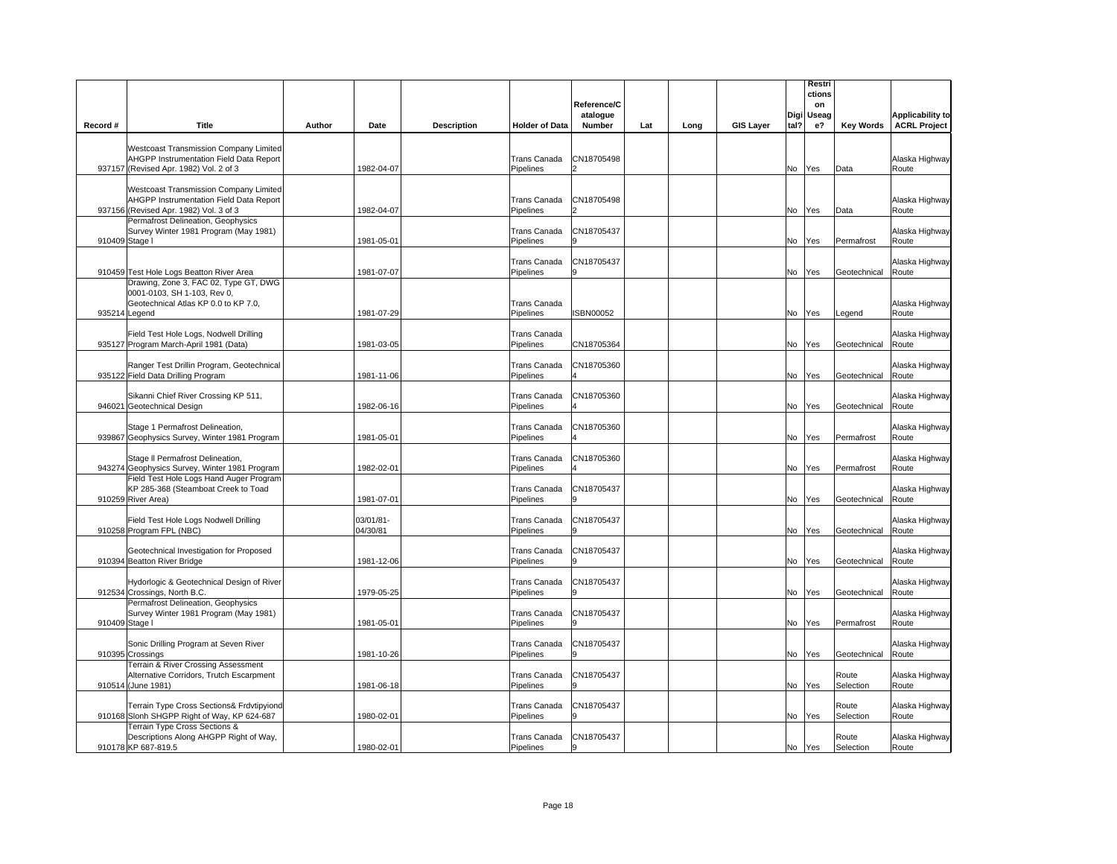|          |                                                                                                                                    |        |                       |                    |                                  | Reference/C<br>atalogue |     |      |                  | Digi | Restri<br>ctions<br>on<br><b>Useag</b> |                    | <b>Applicability to</b> |
|----------|------------------------------------------------------------------------------------------------------------------------------------|--------|-----------------------|--------------------|----------------------------------|-------------------------|-----|------|------------------|------|----------------------------------------|--------------------|-------------------------|
| Record # | <b>Title</b>                                                                                                                       | Author | Date                  | <b>Description</b> | <b>Holder of Data</b>            | Number                  | Lat | Long | <b>GIS Layer</b> | tal? | $e$ ?                                  | <b>Key Words</b>   | <b>ACRL Project</b>     |
|          | <b>Westcoast Transmission Company Limited</b><br>AHGPP Instrumentation Field Data Report<br>937157 (Revised Apr. 1982) Vol. 2 of 3 |        | 1982-04-07            |                    | Trans Canada<br>Pipelines        | CN18705498              |     |      |                  |      | No Yes                                 | Data               | Alaska Highway<br>Route |
|          | <b>Westcoast Transmission Company Limited</b><br>AHGPP Instrumentation Field Data Report<br>937156 (Revised Apr. 1982) Vol. 3 of 3 |        | 1982-04-07            |                    | <b>Trans Canada</b><br>Pipelines | CN18705498              |     |      |                  |      | No Yes                                 | Data               | Alaska Highway<br>Route |
|          | Permafrost Delineation, Geophysics<br>Survey Winter 1981 Program (May 1981)<br>910409 Stage I                                      |        | 1981-05-01            |                    | Trans Canada<br>Pipelines        | CN18705437              |     |      |                  |      | No Yes                                 | Permafrost         | Alaska Highway<br>Route |
|          | 910459 Test Hole Logs Beatton River Area<br>Drawing, Zone 3, FAC 02, Type GT, DWG                                                  |        | 1981-07-07            |                    | <b>Trans Canada</b><br>Pipelines | CN18705437              |     |      |                  |      | No Yes                                 | Geotechnical       | Alaska Highway<br>Route |
|          | 0001-0103, SH 1-103, Rev 0,<br>Geotechnical Atlas KP 0.0 to KP 7.0,<br>935214 Legend                                               |        | 1981-07-29            |                    | <b>Trans Canada</b><br>Pipelines | <b>SBN00052</b>         |     |      |                  |      | No Yes                                 | Legend             | Alaska Highway<br>Route |
|          | Field Test Hole Logs, Nodwell Drilling<br>935127 Program March-April 1981 (Data)                                                   |        | 1981-03-05            |                    | Trans Canada<br>Pipelines        | CN18705364              |     |      |                  |      | No Yes                                 | Geotechnical       | Alaska Highway<br>Route |
|          | Ranger Test Drillin Program, Geotechnical<br>935122 Field Data Drilling Program                                                    |        | 1981-11-06            |                    | Trans Canada<br>Pipelines        | CN18705360              |     |      |                  |      | No Yes                                 | Geotechnical       | Alaska Highway<br>Route |
|          | Sikanni Chief River Crossing KP 511,<br>946021 Geotechnical Design                                                                 |        | 1982-06-16            |                    | Trans Canada<br>Pipelines        | CN18705360              |     |      |                  |      | No Yes                                 | Geotechnical       | Alaska Highway<br>Route |
|          | Stage 1 Permafrost Delineation,<br>939867 Geophysics Survey, Winter 1981 Program                                                   |        | 1981-05-01            |                    | <b>Trans Canada</b><br>Pipelines | CN18705360              |     |      |                  | No   | Yes                                    | Permafrost         | Alaska Highway<br>Route |
|          | Stage II Permafrost Delineation,<br>943274 Geophysics Survey, Winter 1981 Program                                                  |        | 1982-02-01            |                    | <b>Trans Canada</b><br>Pipelines | CN18705360              |     |      |                  | No   | Yes                                    | Permafrost         | Alaska Highway<br>Route |
|          | Field Test Hole Logs Hand Auger Program<br>KP 285-368 (Steamboat Creek to Toad<br>910259 River Area)                               |        | 1981-07-01            |                    | <b>Trans Canada</b><br>Pipelines | CN18705437              |     |      |                  | No   | Yes                                    | Geotechnical       | Alaska Highway<br>Route |
|          | Field Test Hole Logs Nodwell Drilling<br>910258 Program FPL (NBC)                                                                  |        | 03/01/81-<br>04/30/81 |                    | Trans Canada<br>Pipelines        | CN18705437              |     |      |                  |      | No Yes                                 | Geotechnical       | Alaska Highway<br>Route |
|          | Geotechnical Investigation for Proposed<br>910394 Beatton River Bridge                                                             |        | 1981-12-06            |                    | <b>Trans Canada</b><br>Pipelines | CN18705437              |     |      |                  | No   | Yes                                    | Geotechnical       | Alaska Highway<br>Route |
|          | Hydorlogic & Geotechnical Design of River<br>912534 Crossings, North B.C.<br>Permafrost Delineation, Geophysics                    |        | 1979-05-25            |                    | <b>Trans Canada</b><br>Pipelines | CN18705437              |     |      |                  | No   | Yes                                    | Geotechnical       | Alaska Highway<br>Route |
|          | Survey Winter 1981 Program (May 1981)<br>910409 Stage I                                                                            |        | 1981-05-01            |                    | Trans Canada<br>Pipelines        | CN18705437              |     |      |                  |      | No Yes                                 | Permafrost         | Alaska Highway<br>Route |
|          | Sonic Drilling Program at Seven River<br>910395 Crossings                                                                          |        | 1981-10-26            |                    | Trans Canada<br>Pipelines        | CN18705437              |     |      |                  | No   | <b>Yes</b>                             | Geotechnical       | Alaska Highway<br>Route |
|          | Terrain & River Crossing Assessment<br>Alternative Corridors, Trutch Escarpment<br>910514 (June 1981)                              |        | 1981-06-18            |                    | Trans Canada<br>Pipelines        | CN18705437              |     |      |                  | No   | Yes                                    | Route<br>Selection | Alaska Highway<br>Route |
|          | Terrain Type Cross Sections& Frdvtipyiond<br>910168 Slonh SHGPP Right of Way, KP 624-687                                           |        | 1980-02-01            |                    | <b>Trans Canada</b><br>Pipelines | CN18705437              |     |      |                  | No   | Yes                                    | Route<br>Selection | Alaska Highway<br>Route |
|          | Terrain Type Cross Sections &<br>Descriptions Along AHGPP Right of Way,<br>910178 KP 687-819.5                                     |        | 1980-02-01            |                    | Trans Canada<br>Pipelines        | CN18705437<br>9         |     |      |                  |      | No Yes                                 | Route<br>Selection | Alaska Highway<br>Route |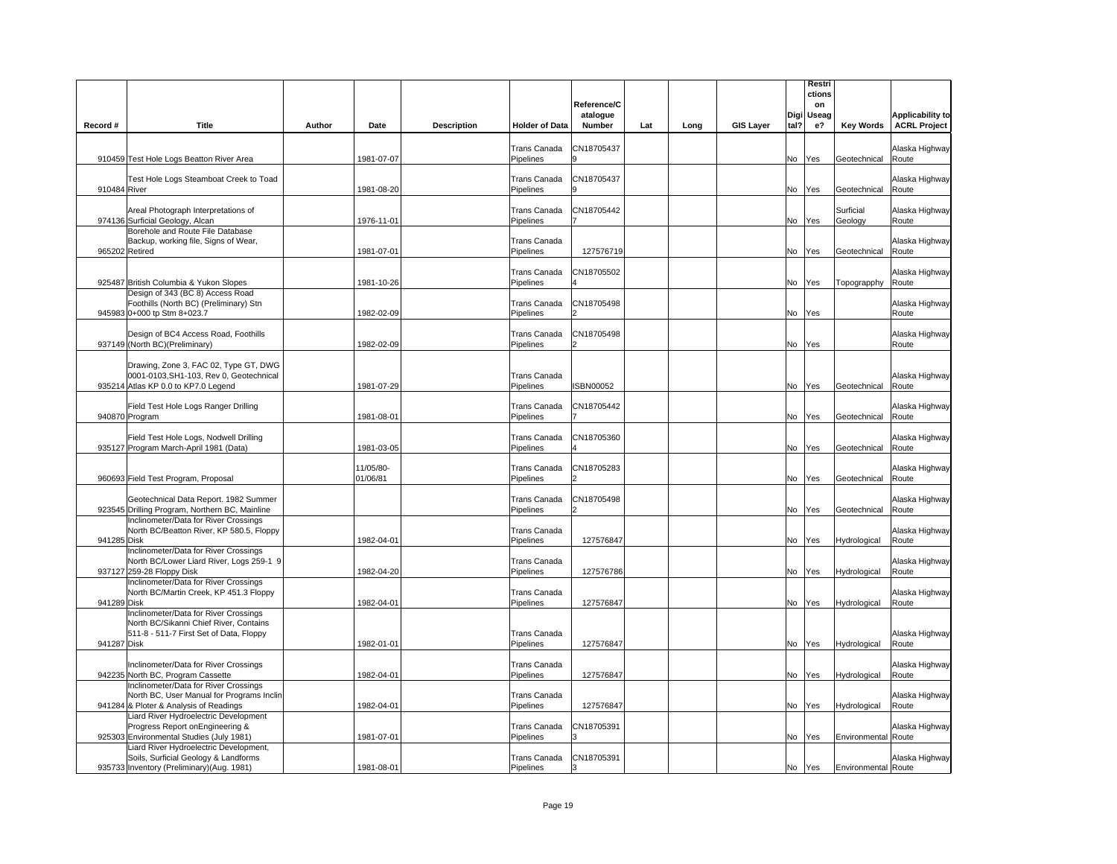|              |                                                                                                                              |        |                       |                    |                           | Reference/C        |     |      |                  |      | Restri<br>ctions<br>on |                            |                                                |
|--------------|------------------------------------------------------------------------------------------------------------------------------|--------|-----------------------|--------------------|---------------------------|--------------------|-----|------|------------------|------|------------------------|----------------------------|------------------------------------------------|
| Record #     | Title                                                                                                                        | Author | Date                  | <b>Description</b> | <b>Holder of Data</b>     | atalogue<br>Number | Lat | Long | <b>GIS Layer</b> | tal? | Digi Useag<br>e?       | <b>Key Words</b>           | <b>Applicability to</b><br><b>ACRL Project</b> |
|              | 910459 Test Hole Logs Beatton River Area                                                                                     |        | 1981-07-07            |                    | Trans Canada<br>Pipelines | CN18705437<br>g    |     |      |                  | No   | Yes                    | Geotechnical               | Alaska Highway<br>Route                        |
| 910484 River | Test Hole Logs Steamboat Creek to Toad                                                                                       |        | 1981-08-20            |                    | Trans Canada<br>Pipelines | CN18705437         |     |      |                  |      | No Yes                 | Geotechnical               | Alaska Highway<br>Route                        |
|              | Areal Photograph Interpretations of<br>974136 Surficial Geology, Alcan                                                       |        | 1976-11-01            |                    | Trans Canada<br>Pipelines | CN18705442         |     |      |                  |      | No Yes                 | Surficial<br>Geology       | Alaska Highway<br>Route                        |
|              | Borehole and Route File Database<br>Backup, working file, Signs of Wear,<br>965202 Retired                                   |        | 1981-07-01            |                    | Trans Canada<br>Pipelines | 127576719          |     |      |                  | No   | Yes                    | Geotechnical               | Alaska Highway<br>Route                        |
|              | 925487 British Columbia & Yukon Slopes                                                                                       |        | 1981-10-26            |                    | Trans Canada<br>Pipelines | CN18705502         |     |      |                  |      | No Yes                 | Topograpphy                | Alaska Highway<br>Route                        |
|              | Design of 343 (BC 8) Access Road<br>Foothills (North BC) (Preliminary) Stn<br>945983 0+000 tp Stm 8+023.7                    |        | 1982-02-09            |                    | Trans Canada<br>Pipelines | CN18705498         |     |      |                  | No   | Yes                    |                            | Alaska Highway<br>Route                        |
|              | Design of BC4 Access Road, Foothills<br>937149 (North BC) (Preliminary)                                                      |        | 1982-02-09            |                    | Trans Canada<br>Pipelines | CN18705498         |     |      |                  | No   | <b>Yes</b>             |                            | Alaska Highway<br>Route                        |
|              | Drawing, Zone 3, FAC 02, Type GT, DWG<br>0001-0103, SH1-103, Rev 0, Geotechnical<br>935214 Atlas KP 0.0 to KP7.0 Legend      |        | 1981-07-29            |                    | Trans Canada<br>Pipelines | <b>ISBN00052</b>   |     |      |                  |      | No Yes                 | Geotechnical               | Alaska Highway<br>Route                        |
|              | Field Test Hole Logs Ranger Drilling<br>940870 Program                                                                       |        | 1981-08-01            |                    | Trans Canada<br>Pipelines | CN18705442         |     |      |                  |      | No Yes                 | Geotechnical               | Alaska Highway<br>Route                        |
|              | Field Test Hole Logs, Nodwell Drilling<br>935127 Program March-April 1981 (Data)                                             |        | 1981-03-05            |                    | Trans Canada<br>Pipelines | CN18705360         |     |      |                  | No   | Yes                    | Geotechnical               | Alaska Highway<br>Route                        |
|              | 960693 Field Test Program, Proposal                                                                                          |        | 11/05/80-<br>01/06/81 |                    | Trans Canada<br>Pipelines | CN18705283         |     |      |                  | No   | Yes                    | Geotechnical               | Alaska Highway<br>Route                        |
|              | Geotechnical Data Report. 1982 Summer<br>923545 Drilling Program, Northern BC, Mainline                                      |        |                       |                    | Trans Canada<br>Pipelines | CN18705498         |     |      |                  |      | No Yes                 | Geotechnical               | Alaska Highway<br>Route                        |
| 941285 Disk  | Inclinometer/Data for River Crossings<br>North BC/Beatton River, KP 580.5, Floppy                                            |        | 1982-04-01            |                    | Trans Canada<br>Pipelines | 127576847          |     |      |                  |      | No Yes                 | Hydrological               | Alaska Highway<br>Route                        |
|              | Inclinometer/Data for River Crossings<br>North BC/Lower Liard River, Logs 259-1 9<br>937127 259-28 Floppy Disk               |        | 1982-04-20            |                    | Trans Canada<br>Pipelines | 127576786          |     |      |                  | No   | Yes                    | Hydrological               | Alaska Highway<br>Route                        |
| 941289 Disk  | Inclinometer/Data for River Crossings<br>North BC/Martin Creek, KP 451.3 Floppy                                              |        | 1982-04-01            |                    | Trans Canada<br>Pipelines | 127576847          |     |      |                  |      | No Yes                 | Hydrological               | Alaska Highway<br>Route                        |
| 941287 Disk  | Inclinometer/Data for River Crossings<br>North BC/Sikanni Chief River, Contains<br>511-8 - 511-7 First Set of Data, Floppy   |        | 1982-01-01            |                    | Trans Canada<br>Pipelines | 127576847          |     |      |                  |      | No Yes                 | Hydrological               | Alaska Highway<br>Route                        |
|              | Inclinometer/Data for River Crossings<br>942235 North BC, Program Cassette                                                   |        | 1982-04-01            |                    | Trans Canada<br>Pipelines | 127576847          |     |      |                  |      | No Yes                 | Hydrological               | Alaska Highway<br>Route                        |
|              | Inclinometer/Data for River Crossings<br>North BC, User Manual for Programs Inclin<br>941284 & Ploter & Analysis of Readings |        | 1982-04-01            |                    | Trans Canada<br>Pipelines | 127576847          |     |      |                  | No   | Yes                    | Hydrological               | Alaska Highway<br>Route                        |
|              | Liard River Hydroelectric Development<br>Progress Report on Engineering &<br>925303 Environmental Studies (July 1981)        |        | 1981-07-01            |                    | Trans Canada<br>Pipelines | CN18705391         |     |      |                  | No   | Yes                    | <b>Environmental Route</b> | Alaska Highway                                 |
|              | Liard River Hydroelectric Development,<br>Soils, Surficial Geology & Landforms<br>935733 Inventory (Preliminary) (Aug. 1981) |        | 1981-08-01            |                    | Trans Canada<br>Pipelines | CN18705391         |     |      |                  |      | No Yes                 | Environmental Route        | Alaska Highway                                 |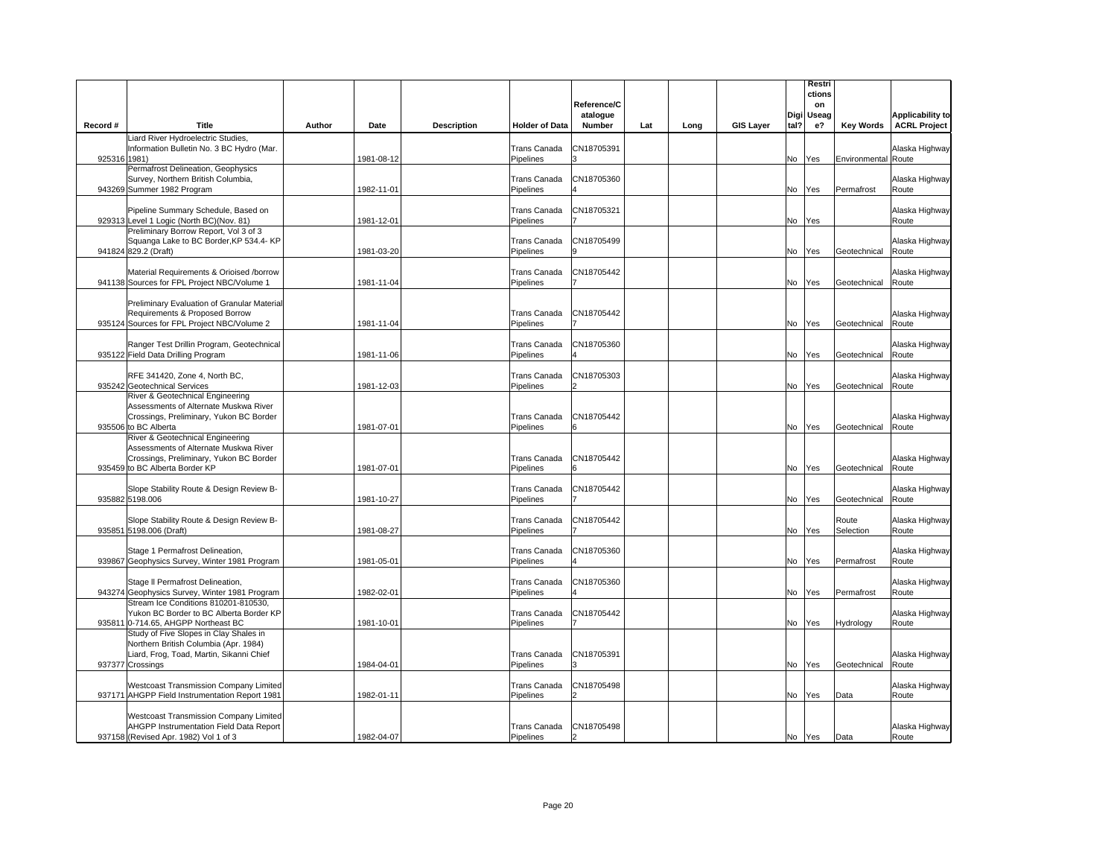|              |                                                                                                                                                        |        |            |                    |                           | Reference/C        |     |      |                  |      | Restri<br>ctions<br>on       |                     |                                                |
|--------------|--------------------------------------------------------------------------------------------------------------------------------------------------------|--------|------------|--------------------|---------------------------|--------------------|-----|------|------------------|------|------------------------------|---------------------|------------------------------------------------|
| Record #     | Title                                                                                                                                                  | Author | Date       | <b>Description</b> | <b>Holder of Data</b>     | atalogue<br>Number | Lat | Long | <b>GIS Layer</b> | tal? | Digi Useag<br>e <sup>2</sup> | <b>Key Words</b>    | <b>Applicability to</b><br><b>ACRL Project</b> |
| 925316 1981) | Liard River Hydroelectric Studies,<br>Information Bulletin No. 3 BC Hydro (Mar.                                                                        |        | 1981-08-12 |                    | Trans Canada<br>Pipelines | CN18705391         |     |      |                  | No   | Yes                          | Environmental Route | Alaska Highway                                 |
|              | Permafrost Delineation, Geophysics<br>Survey, Northern British Columbia,<br>943269 Summer 1982 Program                                                 |        | 1982-11-01 |                    | Trans Canada<br>Pipelines | CN18705360         |     |      |                  |      | No Yes                       | Permafrost          | Alaska Highway<br>Route                        |
|              | Pipeline Summary Schedule, Based on<br>929313 Level 1 Logic (North BC) (Nov. 81)                                                                       |        | 1981-12-01 |                    | Trans Canada<br>Pipelines | CN18705321         |     |      |                  |      | No Yes                       |                     | Alaska Highway<br>Route                        |
|              | Preliminary Borrow Report, Vol 3 of 3<br>Squanga Lake to BC Border, KP 534.4- KP<br>941824 829.2 (Draft)                                               |        | 1981-03-20 |                    | Trans Canada<br>Pipelines | CN18705499         |     |      |                  | No   | Yes                          | Geotechnical        | Alaska Highway<br>Route                        |
|              | Material Requirements & Orioised /borrow<br>941138 Sources for FPL Project NBC/Volume 1                                                                |        | 1981-11-04 |                    | Trans Canada<br>Pipelines | CN18705442         |     |      |                  |      | No Yes                       | Geotechnical        | Alaska Highway<br>Route                        |
|              | Preliminary Evaluation of Granular Material<br>Requirements & Proposed Borrow<br>935124 Sources for FPL Project NBC/Volume 2                           |        | 1981-11-04 |                    | Trans Canada<br>Pipelines | CN18705442         |     |      |                  | No   | <b>Yes</b>                   | Geotechnical        | Alaska Highway<br>Route                        |
|              | Ranger Test Drillin Program, Geotechnical<br>935122 Field Data Drilling Program                                                                        |        | 1981-11-06 |                    | Trans Canada<br>Pipelines | CN18705360         |     |      |                  | No   | Yes                          | Geotechnical        | Alaska Highway<br>Route                        |
|              | RFE 341420, Zone 4, North BC,<br>935242 Geotechnical Services                                                                                          |        | 1981-12-03 |                    | Trans Canada<br>Pipelines | CN18705303         |     |      |                  | No   | Yes                          | Geotechnical        | Alaska Highway<br>Route                        |
|              | River & Geotechnical Engineering<br>Assessments of Alternate Muskwa River<br>Crossings, Preliminary, Yukon BC Border<br>935506 to BC Alberta           |        | 1981-07-01 |                    | Trans Canada<br>Pipelines | CN18705442<br>6    |     |      |                  | No   | Yes                          | Geotechnical        | Alaska Highway<br>Route                        |
|              | River & Geotechnical Engineering<br>Assessments of Alternate Muskwa River<br>Crossings, Preliminary, Yukon BC Border<br>935459 to BC Alberta Border KP |        | 1981-07-01 |                    | Trans Canada<br>Pipelines | CN18705442         |     |      |                  | No   | Yes                          | Geotechnical        | Alaska Highway<br>Route                        |
|              | Slope Stability Route & Design Review B-<br>935882 5198.006                                                                                            |        | 1981-10-27 |                    | Trans Canada<br>Pipelines | CN18705442         |     |      |                  | No   | Yes                          | Geotechnical        | Alaska Highway<br>Route                        |
|              | Slope Stability Route & Design Review B-<br>935851 5198.006 (Draft)                                                                                    |        | 1981-08-27 |                    | Trans Canada<br>Pipelines | CN18705442         |     |      |                  | No   | Yes                          | Route<br>Selection  | Alaska Highway<br>Route                        |
|              | Stage 1 Permafrost Delineation,<br>939867 Geophysics Survey, Winter 1981 Program                                                                       |        | 1981-05-01 |                    | Trans Canada<br>Pipelines | CN18705360         |     |      |                  | No   | Yes                          | Permafrost          | Alaska Highway<br>Route                        |
|              | Stage II Permafrost Delineation,<br>943274 Geophysics Survey, Winter 1981 Program                                                                      |        | 1982-02-01 |                    | Trans Canada<br>Pipelines | CN18705360         |     |      |                  | No   | Yes                          | Permafrost          | Alaska Highway<br>Route                        |
|              | Stream Ice Conditions 810201-810530,<br>Yukon BC Border to BC Alberta Border KP<br>935811 0-714.65, AHGPP Northeast BC                                 |        | 1981-10-01 |                    | Trans Canada<br>Pipelines | CN18705442         |     |      |                  |      | No Yes                       | Hydrology           | Alaska Highway<br>Route                        |
|              | Study of Five Slopes in Clay Shales in<br>Northern British Columbia (Apr. 1984)<br>Liard, Frog, Toad, Martin, Sikanni Chief<br>937377 Crossings        |        | 1984-04-01 |                    | Trans Canada<br>Pipelines | CN18705391         |     |      |                  | No   | Yes                          | Geotechnical        | Alaska Highway<br>Route                        |
|              | <b>Westcoast Transmission Company Limited</b><br>937171 AHGPP Field Instrumentation Report 1981                                                        |        | 1982-01-11 |                    | Trans Canada<br>Pipelines | CN18705498         |     |      |                  |      | No Yes                       | Data                | Alaska Highway<br>Route                        |
|              | <b>Westcoast Transmission Company Limited</b><br>AHGPP Instrumentation Field Data Report<br>937158 (Revised Apr. 1982) Vol 1 of 3                      |        | 1982-04-07 |                    | Trans Canada<br>Pipelines | CN18705498         |     |      |                  |      | No Yes                       | Data                | Alaska Highway<br>Route                        |
|              |                                                                                                                                                        |        |            |                    |                           |                    |     |      |                  |      |                              |                     |                                                |